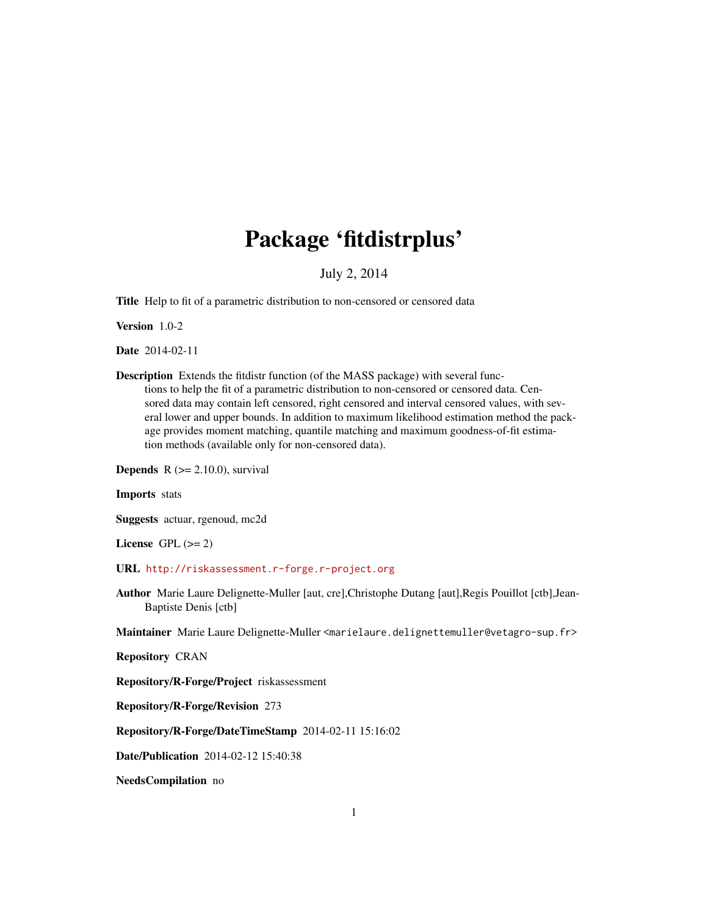# Package 'fitdistrplus'

### July 2, 2014

<span id="page-0-0"></span>Title Help to fit of a parametric distribution to non-censored or censored data

Version 1.0-2

Date 2014-02-11

Description Extends the fitdistr function (of the MASS package) with several functions to help the fit of a parametric distribution to non-censored or censored data. Censored data may contain left censored, right censored and interval censored values, with several lower and upper bounds. In addition to maximum likelihood estimation method the package provides moment matching, quantile matching and maximum goodness-of-fit estimation methods (available only for non-censored data).

**Depends**  $R$  ( $>= 2.10.0$ ), survival

Imports stats

Suggests actuar, rgenoud, mc2d

License GPL  $(>= 2)$ 

URL <http://riskassessment.r-forge.r-project.org>

Author Marie Laure Delignette-Muller [aut, cre],Christophe Dutang [aut],Regis Pouillot [ctb],Jean-Baptiste Denis [ctb]

Maintainer Marie Laure Delignette-Muller <marielaure.delignettemuller@vetagro-sup.fr>

Repository CRAN

Repository/R-Forge/Project riskassessment

Repository/R-Forge/Revision 273

Repository/R-Forge/DateTimeStamp 2014-02-11 15:16:02

Date/Publication 2014-02-12 15:40:38

NeedsCompilation no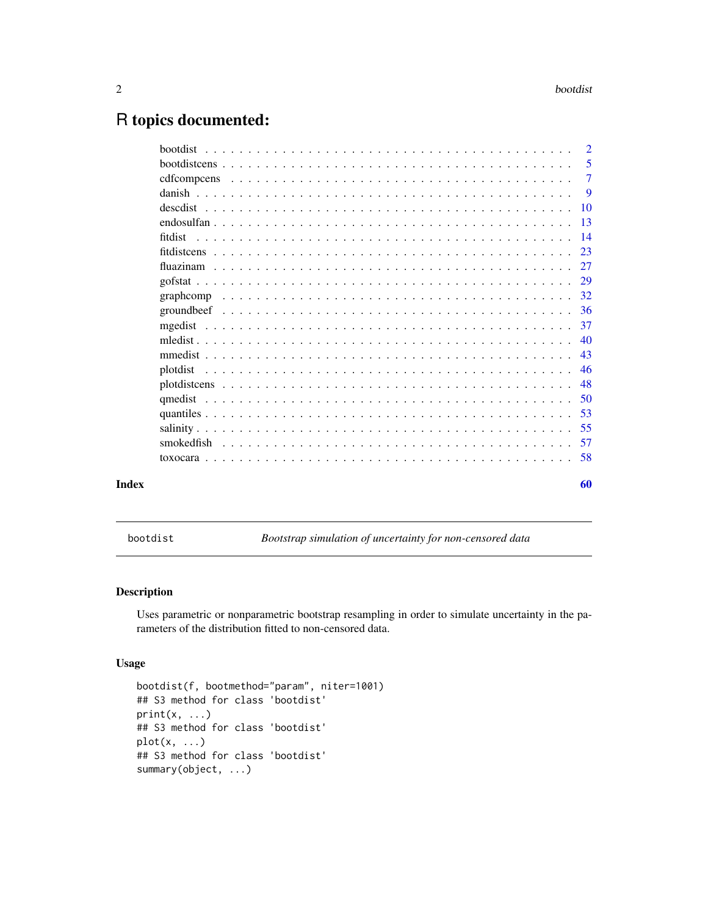## <span id="page-1-0"></span>R topics documented:

|  |  |  |  |  |  |  |  |  |  |  |  |  |  | $\overline{2}$ |
|--|--|--|--|--|--|--|--|--|--|--|--|--|--|----------------|
|  |  |  |  |  |  |  |  |  |  |  |  |  |  | -5             |
|  |  |  |  |  |  |  |  |  |  |  |  |  |  |                |
|  |  |  |  |  |  |  |  |  |  |  |  |  |  | - 9            |
|  |  |  |  |  |  |  |  |  |  |  |  |  |  |                |
|  |  |  |  |  |  |  |  |  |  |  |  |  |  |                |
|  |  |  |  |  |  |  |  |  |  |  |  |  |  |                |
|  |  |  |  |  |  |  |  |  |  |  |  |  |  |                |
|  |  |  |  |  |  |  |  |  |  |  |  |  |  |                |
|  |  |  |  |  |  |  |  |  |  |  |  |  |  | 29             |
|  |  |  |  |  |  |  |  |  |  |  |  |  |  |                |
|  |  |  |  |  |  |  |  |  |  |  |  |  |  |                |
|  |  |  |  |  |  |  |  |  |  |  |  |  |  |                |
|  |  |  |  |  |  |  |  |  |  |  |  |  |  |                |
|  |  |  |  |  |  |  |  |  |  |  |  |  |  |                |
|  |  |  |  |  |  |  |  |  |  |  |  |  |  |                |
|  |  |  |  |  |  |  |  |  |  |  |  |  |  |                |
|  |  |  |  |  |  |  |  |  |  |  |  |  |  |                |
|  |  |  |  |  |  |  |  |  |  |  |  |  |  |                |
|  |  |  |  |  |  |  |  |  |  |  |  |  |  |                |
|  |  |  |  |  |  |  |  |  |  |  |  |  |  |                |
|  |  |  |  |  |  |  |  |  |  |  |  |  |  |                |
|  |  |  |  |  |  |  |  |  |  |  |  |  |  | 60             |
|  |  |  |  |  |  |  |  |  |  |  |  |  |  |                |

<span id="page-1-1"></span>bootdist *Bootstrap simulation of uncertainty for non-censored data*

#### Description

Uses parametric or nonparametric bootstrap resampling in order to simulate uncertainty in the parameters of the distribution fitted to non-censored data.

#### Usage

```
bootdist(f, bootmethod="param", niter=1001)
## S3 method for class 'bootdist'
print(x, \ldots)## S3 method for class 'bootdist'
plot(x, \ldots)## S3 method for class 'bootdist'
summary(object, ...)
```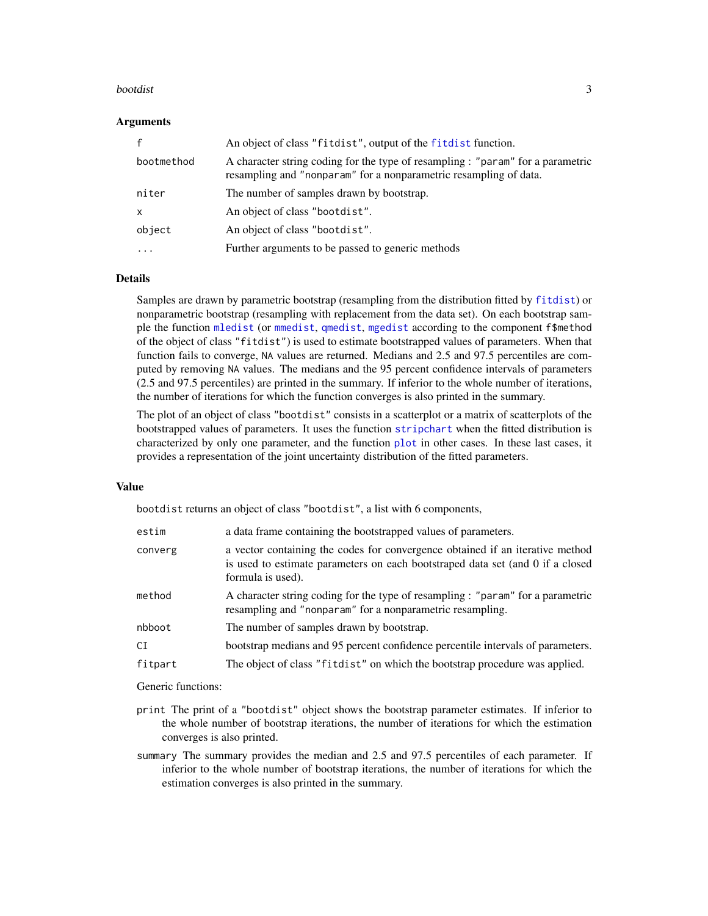#### <span id="page-2-0"></span>bootdist 3

#### **Arguments**

|            | An object of class "fitdist", output of the fitdist function.                                                                                        |
|------------|------------------------------------------------------------------------------------------------------------------------------------------------------|
| bootmethod | A character string coding for the type of resampling : "param" for a parametric<br>resampling and "nonparam" for a nonparametric resampling of data. |
| niter      | The number of samples drawn by bootstrap.                                                                                                            |
| X          | An object of class "bootdist".                                                                                                                       |
| object     | An object of class "bootdist".                                                                                                                       |
| .          | Further arguments to be passed to generic methods                                                                                                    |

#### Details

Samples are drawn by parametric bootstrap (resampling from the distribution fitted by [fitdist](#page-13-1)) or nonparametric bootstrap (resampling with replacement from the data set). On each bootstrap sample the function [mledist](#page-39-1) (or [mmedist](#page-42-1), [qmedist](#page-49-1), [mgedist](#page-36-1) according to the component f\$method of the object of class "fitdist") is used to estimate bootstrapped values of parameters. When that function fails to converge, NA values are returned. Medians and 2.5 and 97.5 percentiles are computed by removing NA values. The medians and the 95 percent confidence intervals of parameters (2.5 and 97.5 percentiles) are printed in the summary. If inferior to the whole number of iterations, the number of iterations for which the function converges is also printed in the summary.

The plot of an object of class "bootdist" consists in a scatterplot or a matrix of scatterplots of the bootstrapped values of parameters. It uses the function [stripchart](#page-0-0) when the fitted distribution is characterized by only one parameter, and the function [plot](#page-0-0) in other cases. In these last cases, it provides a representation of the joint uncertainty distribution of the fitted parameters.

#### Value

bootdist returns an object of class "bootdist", a list with 6 components,

| estim   | a data frame containing the bootstrapped values of parameters.                                                                                                                       |
|---------|--------------------------------------------------------------------------------------------------------------------------------------------------------------------------------------|
| converg | a vector containing the codes for convergence obtained if an iterative method<br>is used to estimate parameters on each bootstraped data set (and 0 if a closed<br>formula is used). |
| method  | A character string coding for the type of resampling : "param" for a parametric<br>resampling and "nonparam" for a nonparametric resampling.                                         |
| nbboot  | The number of samples drawn by bootstrap.                                                                                                                                            |
| CI      | bootstrap medians and 95 percent confidence percentile intervals of parameters.                                                                                                      |
| fitpart | The object of class "fit dist" on which the bootstrap procedure was applied.                                                                                                         |

Generic functions:

- print The print of a "bootdist" object shows the bootstrap parameter estimates. If inferior to the whole number of bootstrap iterations, the number of iterations for which the estimation converges is also printed.
- summary The summary provides the median and 2.5 and 97.5 percentiles of each parameter. If inferior to the whole number of bootstrap iterations, the number of iterations for which the estimation converges is also printed in the summary.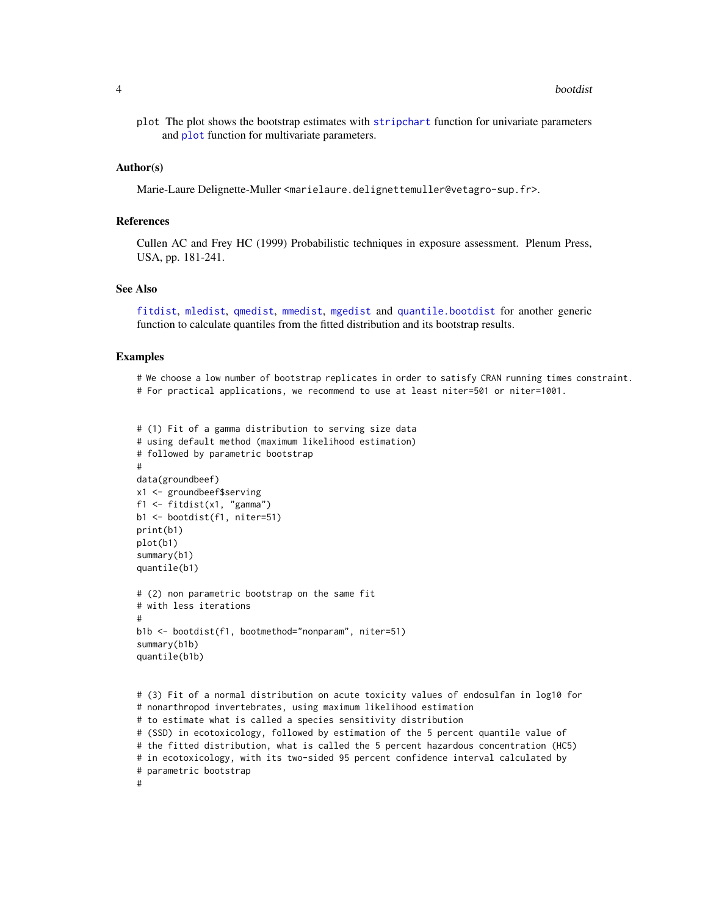<span id="page-3-0"></span>plot The plot shows the bootstrap estimates with [stripchart](#page-0-0) function for univariate parameters and **[plot](#page-0-0)** function for multivariate parameters.

#### Author(s)

Marie-Laure Delignette-Muller <marielaure.delignettemuller@vetagro-sup.fr>.

#### **References**

Cullen AC and Frey HC (1999) Probabilistic techniques in exposure assessment. Plenum Press, USA, pp. 181-241.

#### See Also

[fitdist](#page-13-1), [mledist](#page-39-1), [qmedist](#page-49-1), [mmedist](#page-42-1), [mgedist](#page-36-1) and [quantile.bootdist](#page-52-1) for another generic function to calculate quantiles from the fitted distribution and its bootstrap results.

#### Examples

# We choose a low number of bootstrap replicates in order to satisfy CRAN running times constraint. # For practical applications, we recommend to use at least niter=501 or niter=1001.

```
# (1) Fit of a gamma distribution to serving size data
# using default method (maximum likelihood estimation)
# followed by parametric bootstrap
#
data(groundbeef)
x1 <- groundbeef$serving
f1 <- fitdist(x1, "gamma")
b1 <- bootdist(f1, niter=51)
print(b1)
plot(b1)
summary(b1)
quantile(b1)
# (2) non parametric bootstrap on the same fit
# with less iterations
#
b1b <- bootdist(f1, bootmethod="nonparam", niter=51)
summary(b1b)
quantile(b1b)
# (3) Fit of a normal distribution on acute toxicity values of endosulfan in log10 for
# nonarthropod invertebrates, using maximum likelihood estimation
# to estimate what is called a species sensitivity distribution
# (SSD) in ecotoxicology, followed by estimation of the 5 percent quantile value of
# the fitted distribution, what is called the 5 percent hazardous concentration (HC5)
# in ecotoxicology, with its two-sided 95 percent confidence interval calculated by
# parametric bootstrap
```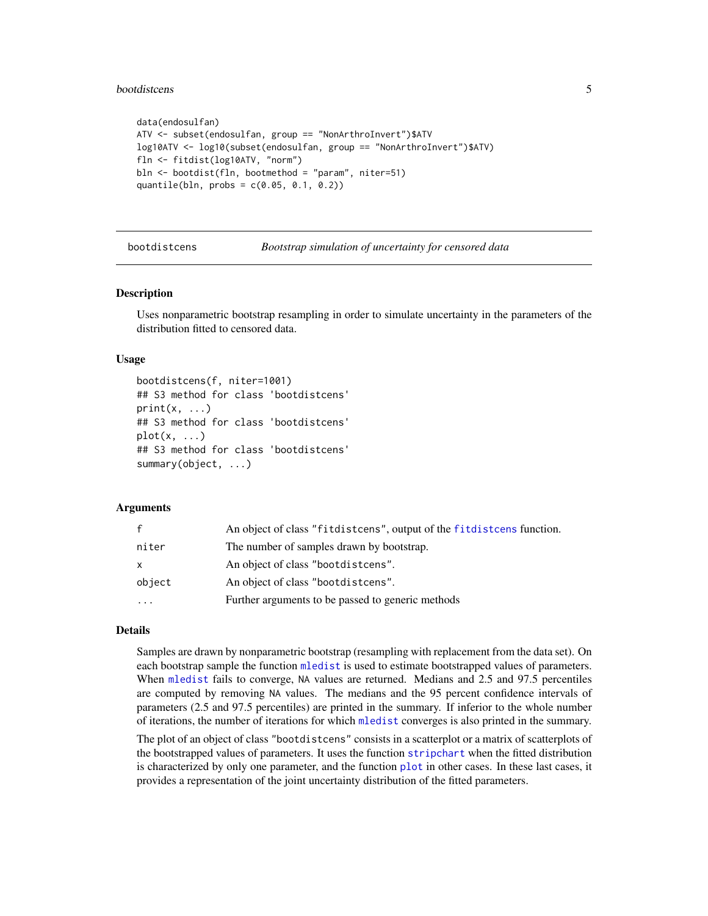#### <span id="page-4-0"></span>bootdistcens 5

```
data(endosulfan)
ATV <- subset(endosulfan, group == "NonArthroInvert")$ATV
log10ATV <- log10(subset(endosulfan, group == "NonArthroInvert")$ATV)
fln <- fitdist(log10ATV, "norm")
bln <- bootdist(fln, bootmethod = "param", niter=51)
quantile(bln, probs = c(0.05, 0.1, 0.2))
```
bootdistcens *Bootstrap simulation of uncertainty for censored data*

#### Description

Uses nonparametric bootstrap resampling in order to simulate uncertainty in the parameters of the distribution fitted to censored data.

#### Usage

```
bootdistcens(f, niter=1001)
## S3 method for class 'bootdistcens'
print(x, \ldots)## S3 method for class 'bootdistcens'
plot(x, \ldots)## S3 method for class 'bootdistcens'
summary(object, ...)
```
#### Arguments

| $\mathbf{f}$ | An object of class "fitdistcens", output of the fitdistcens function. |
|--------------|-----------------------------------------------------------------------|
| niter        | The number of samples drawn by bootstrap.                             |
| X            | An object of class "bootdistcens".                                    |
| object       | An object of class "bootdistcens".                                    |
| $\ddotsc$    | Further arguments to be passed to generic methods                     |

#### Details

Samples are drawn by nonparametric bootstrap (resampling with replacement from the data set). On each bootstrap sample the function [mledist](#page-39-1) is used to estimate bootstrapped values of parameters. When [mledist](#page-39-1) fails to converge, NA values are returned. Medians and 2.5 and 97.5 percentiles are computed by removing NA values. The medians and the 95 percent confidence intervals of parameters (2.5 and 97.5 percentiles) are printed in the summary. If inferior to the whole number of iterations, the number of iterations for which [mledist](#page-39-1) converges is also printed in the summary.

The plot of an object of class "bootdistcens" consists in a scatterplot or a matrix of scatterplots of the bootstrapped values of parameters. It uses the function [stripchart](#page-0-0) when the fitted distribution is characterized by only one parameter, and the function [plot](#page-0-0) in other cases. In these last cases, it provides a representation of the joint uncertainty distribution of the fitted parameters.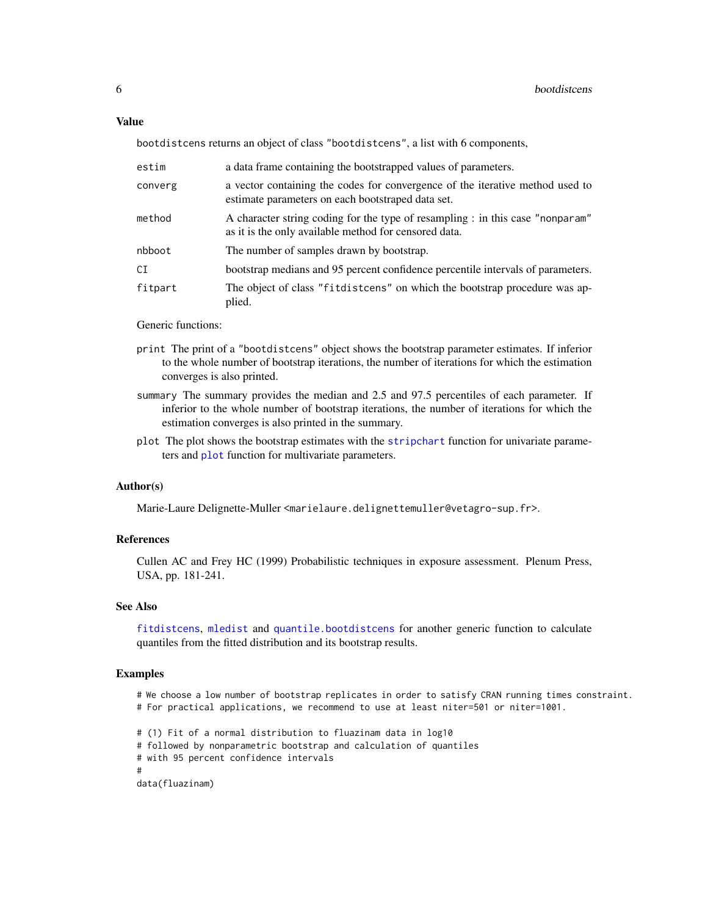#### <span id="page-5-0"></span>Value

bootdistcens returns an object of class "bootdistcens", a list with 6 components,

| estim   | a data frame containing the bootstrapped values of parameters.                                                                          |
|---------|-----------------------------------------------------------------------------------------------------------------------------------------|
| converg | a vector containing the codes for convergence of the iterative method used to<br>estimate parameters on each bootstraped data set.      |
| method  | A character string coding for the type of resampling : in this case "nonparam"<br>as it is the only available method for censored data. |
| nbboot  | The number of samples drawn by bootstrap.                                                                                               |
| СI      | bootstrap medians and 95 percent confidence percentile intervals of parameters.                                                         |
| fitpart | The object of class "fitdistcens" on which the bootstrap procedure was ap-<br>plied.                                                    |

#### Generic functions:

- print The print of a "bootdistcens" object shows the bootstrap parameter estimates. If inferior to the whole number of bootstrap iterations, the number of iterations for which the estimation converges is also printed.
- summary The summary provides the median and 2.5 and 97.5 percentiles of each parameter. If inferior to the whole number of bootstrap iterations, the number of iterations for which the estimation converges is also printed in the summary.
- plot The plot shows the bootstrap estimates with the [stripchart](#page-0-0) function for univariate parameters and [plot](#page-0-0) function for multivariate parameters.

#### Author(s)

Marie-Laure Delignette-Muller <marielaure.delignettemuller@vetagro-sup.fr>.

#### References

Cullen AC and Frey HC (1999) Probabilistic techniques in exposure assessment. Plenum Press, USA, pp. 181-241.

#### See Also

[fitdistcens](#page-22-1), [mledist](#page-39-1) and [quantile.bootdistcens](#page-52-1) for another generic function to calculate quantiles from the fitted distribution and its bootstrap results.

#### Examples

- # We choose a low number of bootstrap replicates in order to satisfy CRAN running times constraint.
- # For practical applications, we recommend to use at least niter=501 or niter=1001.
- # (1) Fit of a normal distribution to fluazinam data in log10
- # followed by nonparametric bootstrap and calculation of quantiles
- # with 95 percent confidence intervals

```
#
```
data(fluazinam)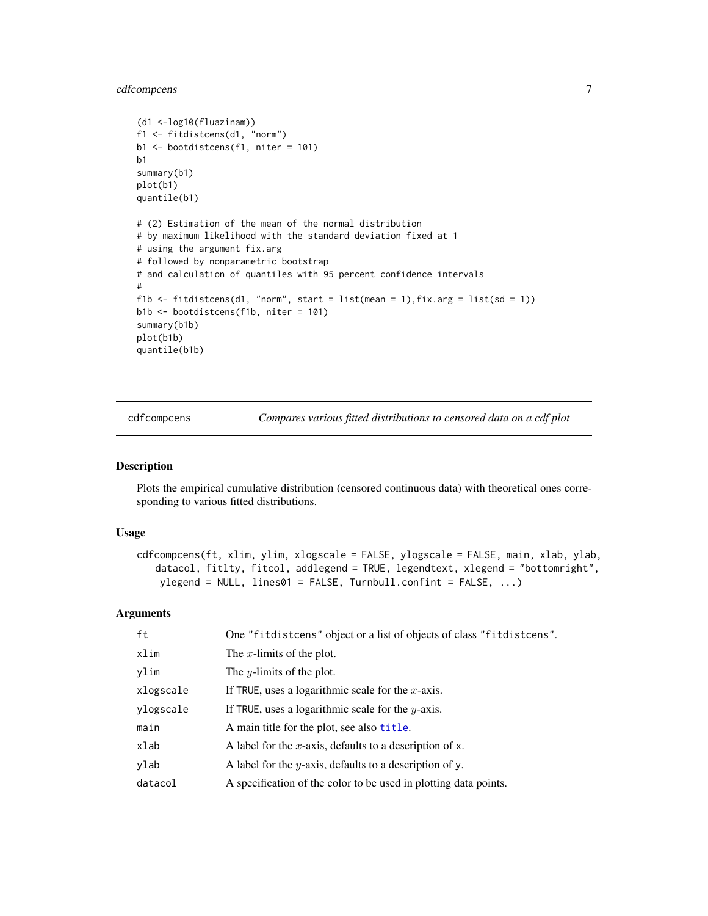#### <span id="page-6-0"></span>cdfcompcens 7

```
(d1 <-log10(fluazinam))
f1 <- fitdistcens(d1, "norm")
b1 <- bootdistcens(f1, niter = 101)
b<sub>1</sub>summary(b1)
plot(b1)
quantile(b1)
# (2) Estimation of the mean of the normal distribution
# by maximum likelihood with the standard deviation fixed at 1
# using the argument fix.arg
# followed by nonparametric bootstrap
# and calculation of quantiles with 95 percent confidence intervals
#
f1b \le fitdistcens(d1, "norm", start = list(mean = 1), fix.arg = list(sd = 1))
b1b <- bootdistcens(f1b, niter = 101)
summary(b1b)
plot(b1b)
quantile(b1b)
```
<span id="page-6-1"></span>cdfcompcens *Compares various fitted distributions to censored data on a cdf plot*

#### Description

Plots the empirical cumulative distribution (censored continuous data) with theoretical ones corresponding to various fitted distributions.

#### Usage

```
cdfcompcens(ft, xlim, ylim, xlogscale = FALSE, ylogscale = FALSE, main, xlab, ylab,
   datacol, fitlty, fitcol, addlegend = TRUE, legendtext, xlegend = "bottomright",
   ylegend = NULL, lines\theta1 = FALSE, Turnbull.confint = FALSE, ...)
```
#### Arguments

| ft        | One "fitdistcens" object or a list of objects of class "fitdistcens". |
|-----------|-----------------------------------------------------------------------|
| xlim      | The x-limits of the plot.                                             |
| ylim      | The <i>y</i> -limits of the plot.                                     |
| xlogscale | If TRUE, uses a logarithmic scale for the $x$ -axis.                  |
| ylogscale | If TRUE, uses a logarithmic scale for the $y$ -axis.                  |
| main      | A main title for the plot, see also title.                            |
| xlab      | A label for the x-axis, defaults to a description of x.               |
| ylab      | A label for the <i>y</i> -axis, defaults to a description of y.       |
| datacol   | A specification of the color to be used in plotting data points.      |
|           |                                                                       |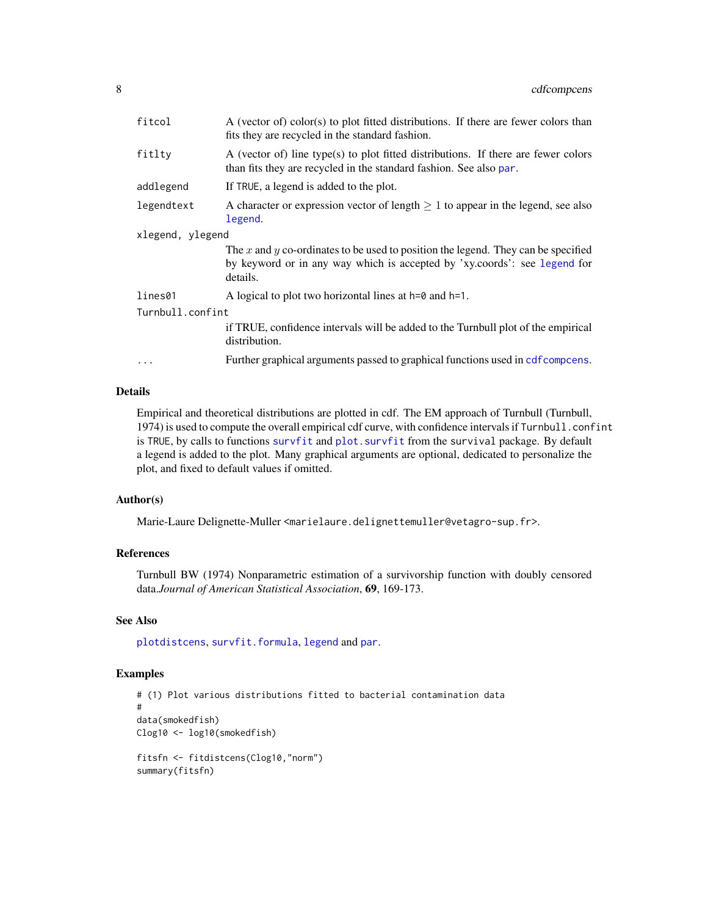<span id="page-7-0"></span>

| fitcol           | A (vector of) color(s) to plot fitted distributions. If there are fewer colors than<br>fits they are recycled in the standard fashion.                                     |
|------------------|----------------------------------------------------------------------------------------------------------------------------------------------------------------------------|
| fitlty           | A (vector of) line type(s) to plot fitted distributions. If there are fewer colors<br>than fits they are recycled in the standard fashion. See also par.                   |
| addlegend        | If TRUE, a legend is added to the plot.                                                                                                                                    |
| legendtext       | A character or expression vector of length $\geq 1$ to appear in the legend, see also<br>legend.                                                                           |
| xlegend, ylegend |                                                                                                                                                                            |
|                  | The x and y co-ordinates to be used to position the legend. They can be specified<br>by keyword or in any way which is accepted by 'xy.coords': see legend for<br>details. |
| lines01          | A logical to plot two horizontal lines at $h=0$ and $h=1$ .                                                                                                                |
| Turnbull.confint |                                                                                                                                                                            |
|                  | if TRUE, confidence intervals will be added to the Turnbull plot of the empirical<br>distribution.                                                                         |
| $\ddots$ .       | Further graphical arguments passed to graphical functions used in cdf compcens.                                                                                            |

#### Details

Empirical and theoretical distributions are plotted in cdf. The EM approach of Turnbull (Turnbull, 1974) is used to compute the overall empirical cdf curve, with confidence intervals if Turnbull.confint is TRUE, by calls to functions [survfit](#page-0-0) and [plot.survfit](#page-0-0) from the survival package. By default a legend is added to the plot. Many graphical arguments are optional, dedicated to personalize the plot, and fixed to default values if omitted.

#### Author(s)

Marie-Laure Delignette-Muller <marielaure.delignettemuller@vetagro-sup.fr>.

#### References

Turnbull BW (1974) Nonparametric estimation of a survivorship function with doubly censored data.*Journal of American Statistical Association*, 69, 169-173.

#### See Also

[plotdistcens](#page-47-1), [survfit.formula](#page-0-0), [legend](#page-0-0) and [par](#page-0-0).

```
# (1) Plot various distributions fitted to bacterial contamination data
#
data(smokedfish)
Clog10 <- log10(smokedfish)
fitsfn <- fitdistcens(Clog10,"norm")
summary(fitsfn)
```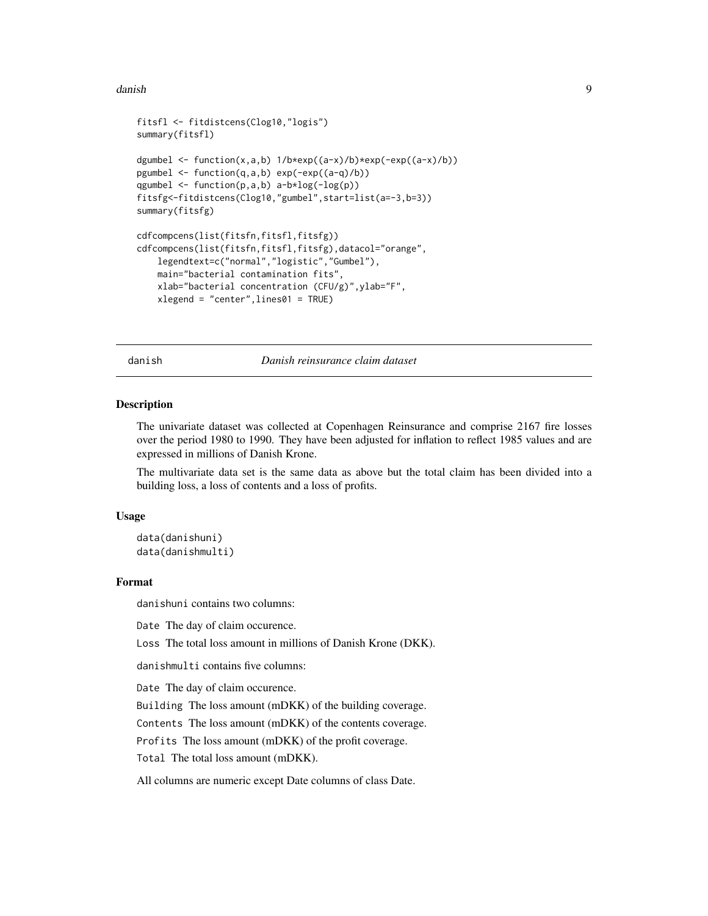#### <span id="page-8-0"></span>danish 9 and 2012 and 2012 and 2012 and 2012 and 2012 and 2012 and 2012 and 2012 and 2012 and 2012 and 2012 and 201

```
fitsfl <- fitdistcens(Clog10,"logis")
summary(fitsfl)
dgumbel <- function(x,a,b) 1/b*exp((a-x)/b)*exp(-exp((a-x)/b))pgumbel <- function(q,a,b) exp(-exp((a-q)/b))
qgumbel <- function(p,a,b) a-b*log(-log(p))
fitsfg<-fitdistcens(Clog10,"gumbel",start=list(a=-3,b=3))
summary(fitsfg)
cdfcompcens(list(fitsfn,fitsfl,fitsfg))
cdfcompcens(list(fitsfn,fitsfl,fitsfg),datacol="orange",
    legendtext=c("normal","logistic","Gumbel"),
    main="bacterial contamination fits",
   xlab="bacterial concentration (CFU/g)",ylab="F",
    xlegend = "center",lines01 = TRUE)
```
danish *Danish reinsurance claim dataset*

#### Description

The univariate dataset was collected at Copenhagen Reinsurance and comprise 2167 fire losses over the period 1980 to 1990. They have been adjusted for inflation to reflect 1985 values and are expressed in millions of Danish Krone.

The multivariate data set is the same data as above but the total claim has been divided into a building loss, a loss of contents and a loss of profits.

#### Usage

data(danishuni) data(danishmulti)

#### Format

danishuni contains two columns:

Date The day of claim occurence.

Loss The total loss amount in millions of Danish Krone (DKK).

danishmulti contains five columns:

Date The day of claim occurence.

Building The loss amount (mDKK) of the building coverage.

Contents The loss amount (mDKK) of the contents coverage.

Profits The loss amount (mDKK) of the profit coverage.

Total The total loss amount (mDKK).

All columns are numeric except Date columns of class Date.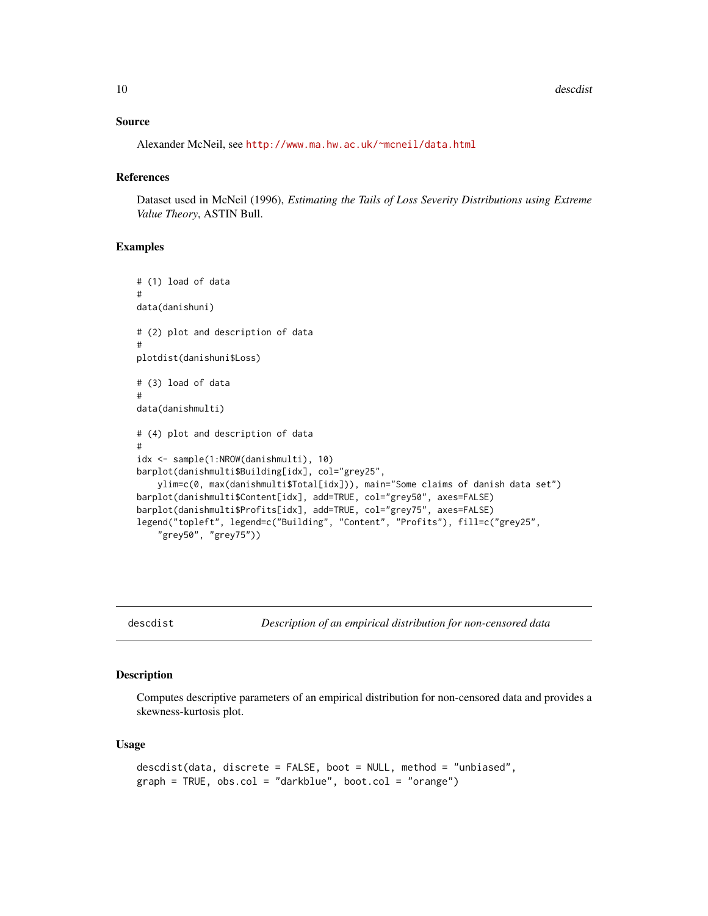#### <span id="page-9-0"></span>Source

Alexander McNeil, see <http://www.ma.hw.ac.uk/~mcneil/data.html>

#### References

Dataset used in McNeil (1996), *Estimating the Tails of Loss Severity Distributions using Extreme Value Theory*, ASTIN Bull.

#### Examples

```
# (1) load of data
#
data(danishuni)
# (2) plot and description of data
#
plotdist(danishuni$Loss)
# (3) load of data
#
data(danishmulti)
# (4) plot and description of data
#
idx <- sample(1:NROW(danishmulti), 10)
barplot(danishmulti$Building[idx], col="grey25",
    ylim=c(0, max(danishmulti$Total[idx])), main="Some claims of danish data set")
barplot(danishmulti$Content[idx], add=TRUE, col="grey50", axes=FALSE)
barplot(danishmulti$Profits[idx], add=TRUE, col="grey75", axes=FALSE)
legend("topleft", legend=c("Building", "Content", "Profits"), fill=c("grey25",
    "grey50", "grey75"))
```
<span id="page-9-1"></span>descdist *Description of an empirical distribution for non-censored data*

#### Description

Computes descriptive parameters of an empirical distribution for non-censored data and provides a skewness-kurtosis plot.

#### Usage

```
descdist(data, discrete = FALSE, boot = NULL, method = "unbiased",
graph = TRUE, obs.col = "darkblue", boot.col = "orange")
```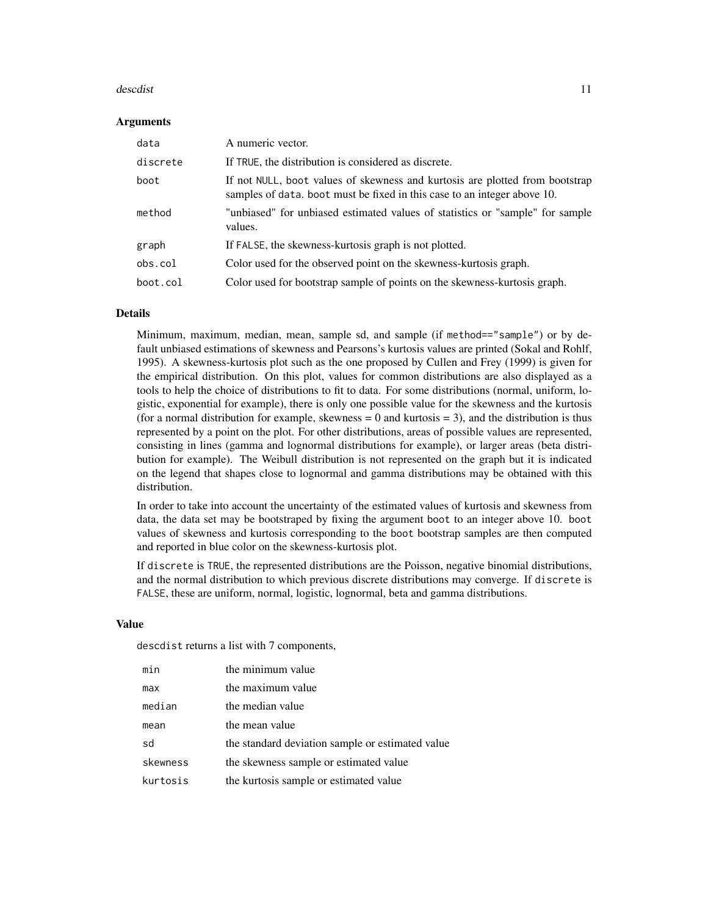#### descdist the contract of the contract of the contract of the contract of the contract of the contract of the contract of the contract of the contract of the contract of the contract of the contract of the contract of the c

#### **Arguments**

| data     | A numeric vector.                                                                                                                                        |
|----------|----------------------------------------------------------------------------------------------------------------------------------------------------------|
| discrete | If TRUE, the distribution is considered as discrete.                                                                                                     |
| boot     | If not NULL, boot values of skewness and kurtosis are plotted from bootstrap<br>samples of data, boot must be fixed in this case to an integer above 10. |
| method   | "unbiased" for unbiased estimated values of statistics or "sample" for sample<br>values.                                                                 |
| graph    | If FALSE, the skewness-kurtosis graph is not plotted.                                                                                                    |
| obs.col  | Color used for the observed point on the skewness-kurtosis graph.                                                                                        |
| boot.col | Color used for bootstrap sample of points on the skewness-kurtosis graph.                                                                                |

#### Details

Minimum, maximum, median, mean, sample sd, and sample (if method=="sample") or by default unbiased estimations of skewness and Pearsons's kurtosis values are printed (Sokal and Rohlf, 1995). A skewness-kurtosis plot such as the one proposed by Cullen and Frey (1999) is given for the empirical distribution. On this plot, values for common distributions are also displayed as a tools to help the choice of distributions to fit to data. For some distributions (normal, uniform, logistic, exponential for example), there is only one possible value for the skewness and the kurtosis (for a normal distribution for example, skewness  $= 0$  and kurtosis  $= 3$ ), and the distribution is thus represented by a point on the plot. For other distributions, areas of possible values are represented, consisting in lines (gamma and lognormal distributions for example), or larger areas (beta distribution for example). The Weibull distribution is not represented on the graph but it is indicated on the legend that shapes close to lognormal and gamma distributions may be obtained with this distribution.

In order to take into account the uncertainty of the estimated values of kurtosis and skewness from data, the data set may be bootstraped by fixing the argument boot to an integer above 10. boot values of skewness and kurtosis corresponding to the boot bootstrap samples are then computed and reported in blue color on the skewness-kurtosis plot.

If discrete is TRUE, the represented distributions are the Poisson, negative binomial distributions, and the normal distribution to which previous discrete distributions may converge. If discrete is FALSE, these are uniform, normal, logistic, lognormal, beta and gamma distributions.

#### Value

descdist returns a list with 7 components,

| min      | the minimum value                                |
|----------|--------------------------------------------------|
| max      | the maximum value                                |
| median   | the median value                                 |
| mean     | the mean value                                   |
| sd       | the standard deviation sample or estimated value |
| skewness | the skewness sample or estimated value           |
| kurtosis | the kurtosis sample or estimated value           |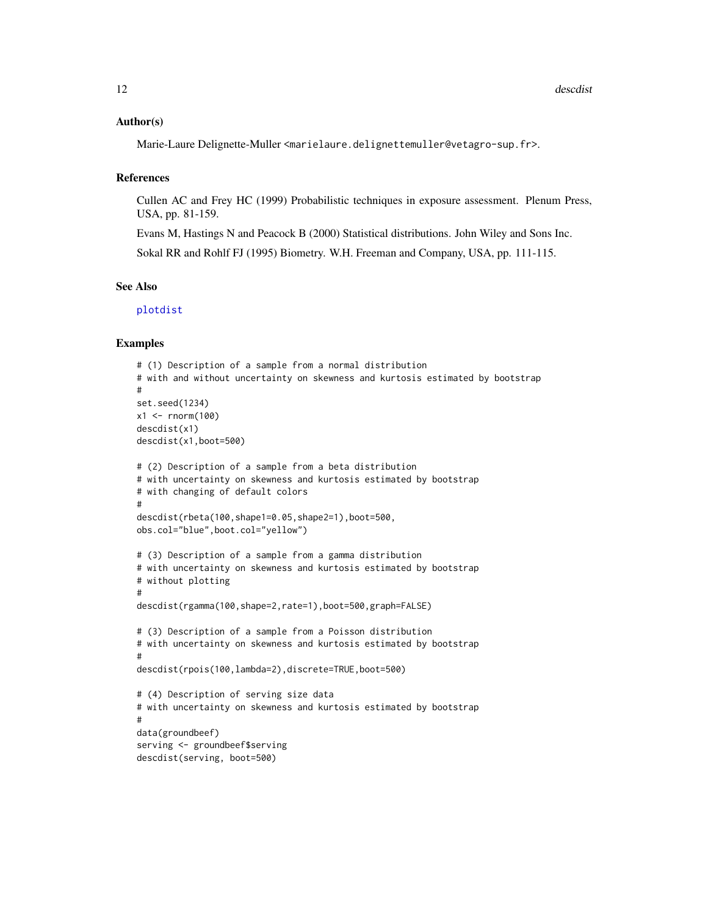#### <span id="page-11-0"></span>Author(s)

Marie-Laure Delignette-Muller <marielaure.delignettemuller@vetagro-sup.fr>.

#### References

Cullen AC and Frey HC (1999) Probabilistic techniques in exposure assessment. Plenum Press, USA, pp. 81-159.

Evans M, Hastings N and Peacock B (2000) Statistical distributions. John Wiley and Sons Inc. Sokal RR and Rohlf FJ (1995) Biometry. W.H. Freeman and Company, USA, pp. 111-115.

#### See Also

[plotdist](#page-45-1)

```
# (1) Description of a sample from a normal distribution
# with and without uncertainty on skewness and kurtosis estimated by bootstrap
#
set.seed(1234)
x1 <- rnorm(100)descdist(x1)
descdist(x1,boot=500)
# (2) Description of a sample from a beta distribution
# with uncertainty on skewness and kurtosis estimated by bootstrap
# with changing of default colors
#
descdist(rbeta(100,shape1=0.05,shape2=1),boot=500,
obs.col="blue",boot.col="yellow")
# (3) Description of a sample from a gamma distribution
# with uncertainty on skewness and kurtosis estimated by bootstrap
# without plotting
#
descdist(rgamma(100,shape=2,rate=1),boot=500,graph=FALSE)
# (3) Description of a sample from a Poisson distribution
# with uncertainty on skewness and kurtosis estimated by bootstrap
#
descdist(rpois(100,lambda=2),discrete=TRUE,boot=500)
# (4) Description of serving size data
# with uncertainty on skewness and kurtosis estimated by bootstrap
#
data(groundbeef)
serving <- groundbeef$serving
descdist(serving, boot=500)
```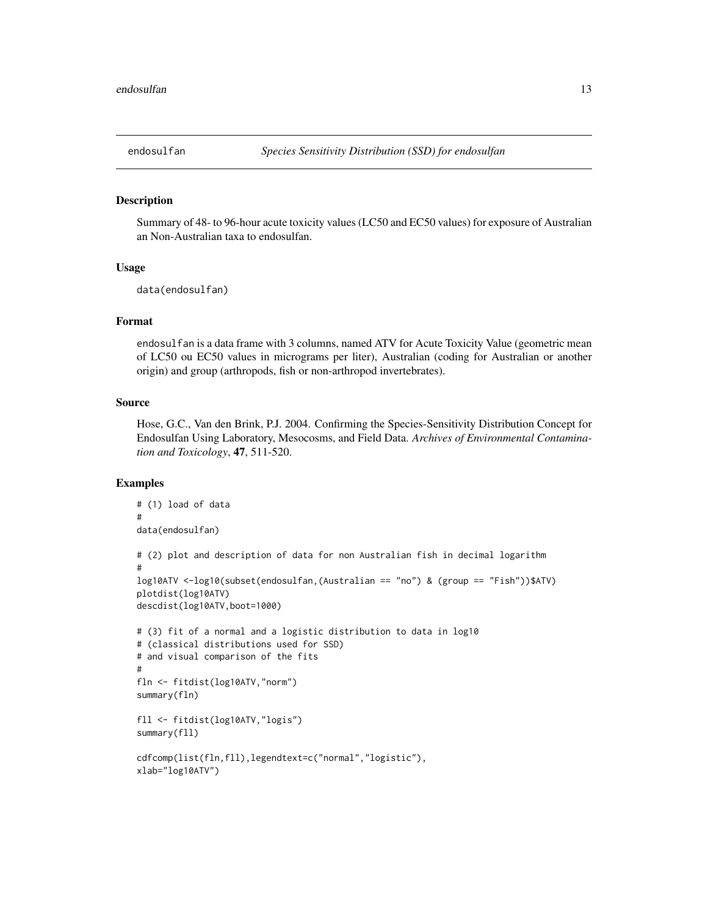<span id="page-12-0"></span>

#### Description

Summary of 48- to 96-hour acute toxicity values (LC50 and EC50 values) for exposure of Australian an Non-Australian taxa to endosulfan.

#### Usage

data(endosulfan)

#### Format

endosulfan is a data frame with 3 columns, named ATV for Acute Toxicity Value (geometric mean of LC50 ou EC50 values in micrograms per liter), Australian (coding for Australian or another origin) and group (arthropods, fish or non-arthropod invertebrates).

#### Source

Hose, G.C., Van den Brink, P.J. 2004. Confirming the Species-Sensitivity Distribution Concept for Endosulfan Using Laboratory, Mesocosms, and Field Data. *Archives of Environmental Contamination and Toxicology*, 47, 511-520.

```
# (1) load of data
#
data(endosulfan)
# (2) plot and description of data for non Australian fish in decimal logarithm
#
log10ATV <-log10(subset(endosulfan,(Australian == "no") & (group == "Fish"))$ATV)
plotdist(log10ATV)
descdist(log10ATV,boot=1000)
# (3) fit of a normal and a logistic distribution to data in log10
# (classical distributions used for SSD)
# and visual comparison of the fits
#
fln <- fitdist(log10ATV,"norm")
summary(fln)
fll <- fitdist(log10ATV,"logis")
summary(fll)
cdfcomp(list(fln,fll),legendtext=c("normal","logistic"),
xlab="log10ATV")
```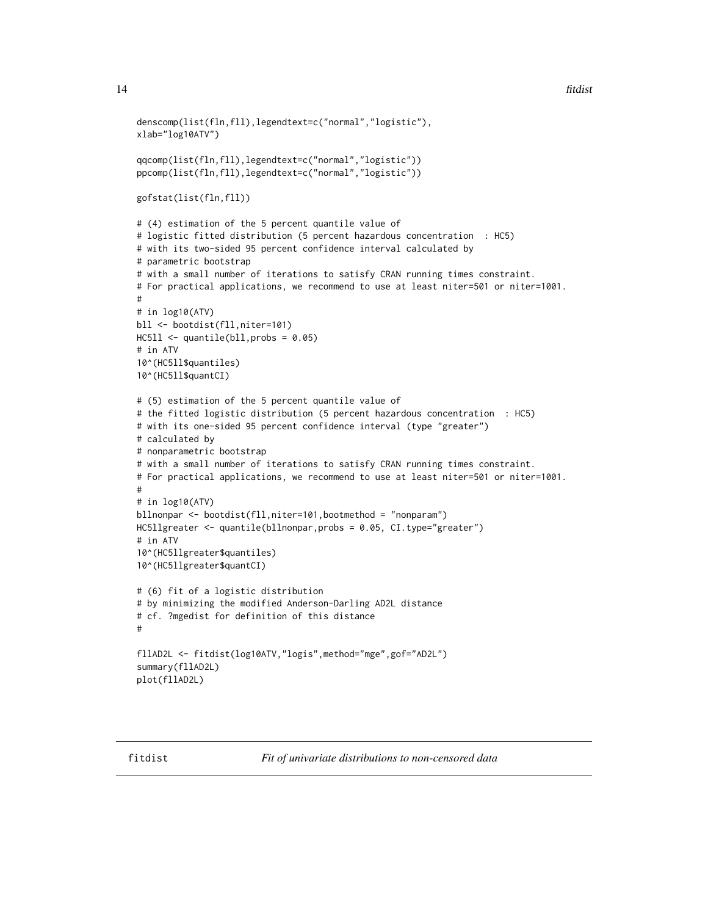```
denscomp(list(fln,fll),legendtext=c("normal","logistic"),
xlab="log10ATV")
```

```
qqcomp(list(fln,fll),legendtext=c("normal","logistic"))
ppcomp(list(fln,fll),legendtext=c("normal","logistic"))
```

```
gofstat(list(fln,fll))
```

```
# (4) estimation of the 5 percent quantile value of
# logistic fitted distribution (5 percent hazardous concentration : HC5)
# with its two-sided 95 percent confidence interval calculated by
# parametric bootstrap
# with a small number of iterations to satisfy CRAN running times constraint.
# For practical applications, we recommend to use at least niter=501 or niter=1001.
#
# in log10(ATV)
bll <- bootdist(fll,niter=101)
HCS11 < - quantile(bll, probs = 0.05)
# in ATV
10^(HC5ll$quantiles)
10^(HC5ll$quantCI)
# (5) estimation of the 5 percent quantile value of
# the fitted logistic distribution (5 percent hazardous concentration : HC5)
# with its one-sided 95 percent confidence interval (type "greater")
# calculated by
# nonparametric bootstrap
# with a small number of iterations to satisfy CRAN running times constraint.
# For practical applications, we recommend to use at least niter=501 or niter=1001.
#
# in log10(ATV)
bllnonpar <- bootdist(fll,niter=101,bootmethod = "nonparam")
HC5llgreater <- quantile(bllnonpar,probs = 0.05, CI.type="greater")
# in ATV
10^(HC5llgreater$quantiles)
10^(HC5llgreater$quantCI)
# (6) fit of a logistic distribution
# by minimizing the modified Anderson-Darling AD2L distance
# cf. ?mgedist for definition of this distance
#
fllAD2L <- fitdist(log10ATV,"logis",method="mge",gof="AD2L")
summary(fllAD2L)
plot(fllAD2L)
```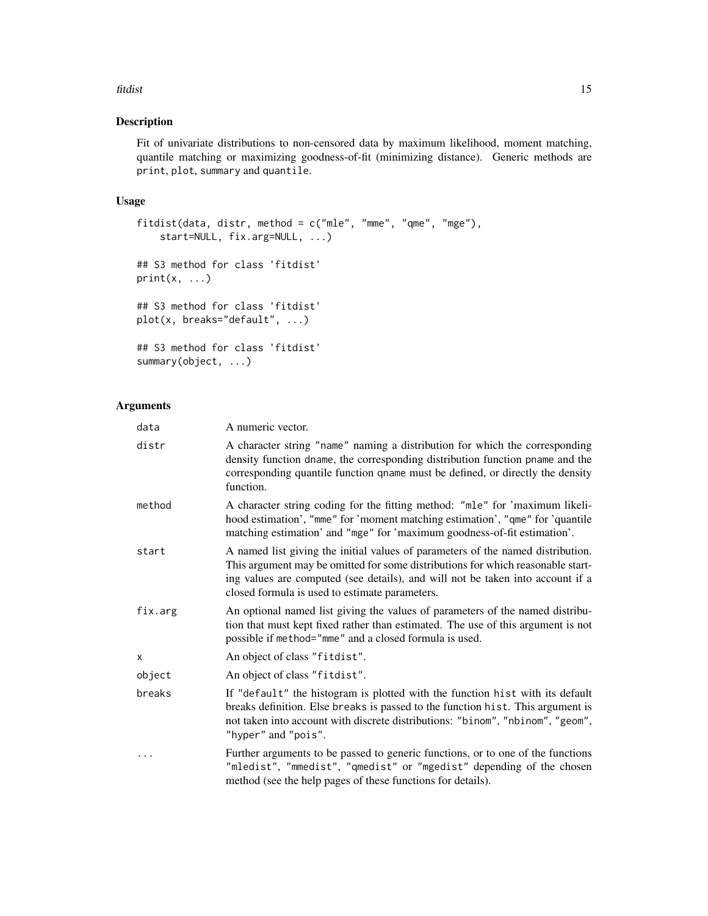#### fitdist 15

#### Description

Fit of univariate distributions to non-censored data by maximum likelihood, moment matching, quantile matching or maximizing goodness-of-fit (minimizing distance). Generic methods are print, plot, summary and quantile.

#### Usage

```
fitdist(data, distr, method = c("mle", "mme", "qme", "mge"),start=NULL, fix.arg=NULL, ...)
## S3 method for class 'fitdist'
print(x, \ldots)## S3 method for class 'fitdist'
plot(x, breaks="default", ...)
## S3 method for class 'fitdist'
summary(object, ...)
```
#### Arguments

| data    | A numeric vector.                                                                                                                                                                                                                                                                                      |
|---------|--------------------------------------------------------------------------------------------------------------------------------------------------------------------------------------------------------------------------------------------------------------------------------------------------------|
| distr   | A character string "name" naming a distribution for which the corresponding<br>density function dname, the corresponding distribution function pname and the<br>corresponding quantile function qname must be defined, or directly the density<br>function.                                            |
| method  | A character string coding for the fitting method: "mle" for 'maximum likeli-<br>hood estimation', "mme" for 'moment matching estimation', "qme" for 'quantile<br>matching estimation' and "mge" for 'maximum goodness-of-fit estimation'.                                                              |
| start   | A named list giving the initial values of parameters of the named distribution.<br>This argument may be omitted for some distributions for which reasonable start-<br>ing values are computed (see details), and will not be taken into account if a<br>closed formula is used to estimate parameters. |
| fix.arg | An optional named list giving the values of parameters of the named distribu-<br>tion that must kept fixed rather than estimated. The use of this argument is not<br>possible if method="mme" and a closed formula is used.                                                                            |
| X       | An object of class "fitdist".                                                                                                                                                                                                                                                                          |
| object  | An object of class "fitdist".                                                                                                                                                                                                                                                                          |
| breaks  | If "default" the histogram is plotted with the function hist with its default<br>breaks definition. Else breaks is passed to the function hist. This argument is<br>not taken into account with discrete distributions: "binom", "nbinom", "geom",<br>"hyper" and "pois".                              |
| .       | Further arguments to be passed to generic functions, or to one of the functions<br>"mledist", "mmedist", "qmedist" or "mgedist" depending of the chosen<br>method (see the help pages of these functions for details).                                                                                 |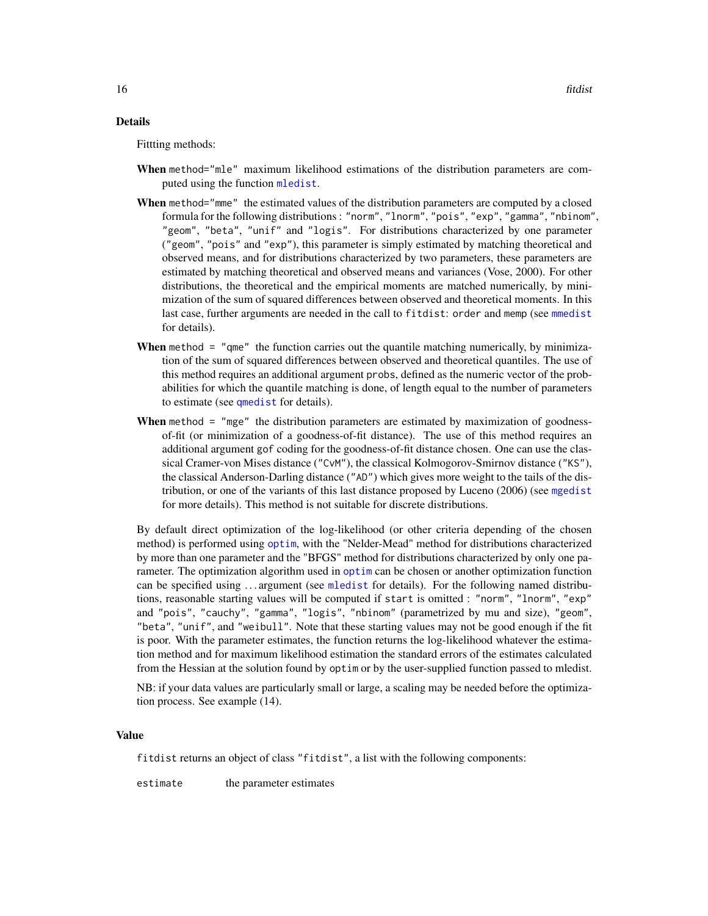#### <span id="page-15-0"></span>Details

Fittting methods:

- When method="mle" maximum likelihood estimations of the distribution parameters are computed using the function [mledist](#page-39-1).
- When method="mme" the estimated values of the distribution parameters are computed by a closed formula for the following distributions : "norm", "lnorm", "pois", "exp", "gamma", "nbinom", "geom", "beta", "unif" and "logis". For distributions characterized by one parameter ("geom", "pois" and "exp"), this parameter is simply estimated by matching theoretical and observed means, and for distributions characterized by two parameters, these parameters are estimated by matching theoretical and observed means and variances (Vose, 2000). For other distributions, the theoretical and the empirical moments are matched numerically, by minimization of the sum of squared differences between observed and theoretical moments. In this last case, further arguments are needed in the call to fitdist: order and memp (see [mmedist](#page-42-1) for details).
- When method = "gme" the function carries out the quantile matching numerically, by minimization of the sum of squared differences between observed and theoretical quantiles. The use of this method requires an additional argument probs, defined as the numeric vector of the probabilities for which the quantile matching is done, of length equal to the number of parameters to estimate (see [qmedist](#page-49-1) for details).
- **When** method  $=$  "mge" the distribution parameters are estimated by maximization of goodnessof-fit (or minimization of a goodness-of-fit distance). The use of this method requires an additional argument gof coding for the goodness-of-fit distance chosen. One can use the classical Cramer-von Mises distance ("CvM"), the classical Kolmogorov-Smirnov distance ("KS"), the classical Anderson-Darling distance ("AD") which gives more weight to the tails of the distribution, or one of the variants of this last distance proposed by Luceno (2006) (see [mgedist](#page-36-1) for more details). This method is not suitable for discrete distributions.

By default direct optimization of the log-likelihood (or other criteria depending of the chosen method) is performed using [optim](#page-0-0), with the "Nelder-Mead" method for distributions characterized by more than one parameter and the "BFGS" method for distributions characterized by only one parameter. The optimization algorithm used in [optim](#page-0-0) can be chosen or another optimization function can be specified using . . . argument (see [mledist](#page-39-1) for details). For the following named distributions, reasonable starting values will be computed if start is omitted : "norm", "lnorm", "exp" and "pois", "cauchy", "gamma", "logis", "nbinom" (parametrized by mu and size), "geom", "beta", "unif", and "weibull". Note that these starting values may not be good enough if the fit is poor. With the parameter estimates, the function returns the log-likelihood whatever the estimation method and for maximum likelihood estimation the standard errors of the estimates calculated from the Hessian at the solution found by optim or by the user-supplied function passed to mledist.

NB: if your data values are particularly small or large, a scaling may be needed before the optimization process. See example (14).

#### Value

fitdist returns an object of class "fitdist", a list with the following components:

estimate the parameter estimates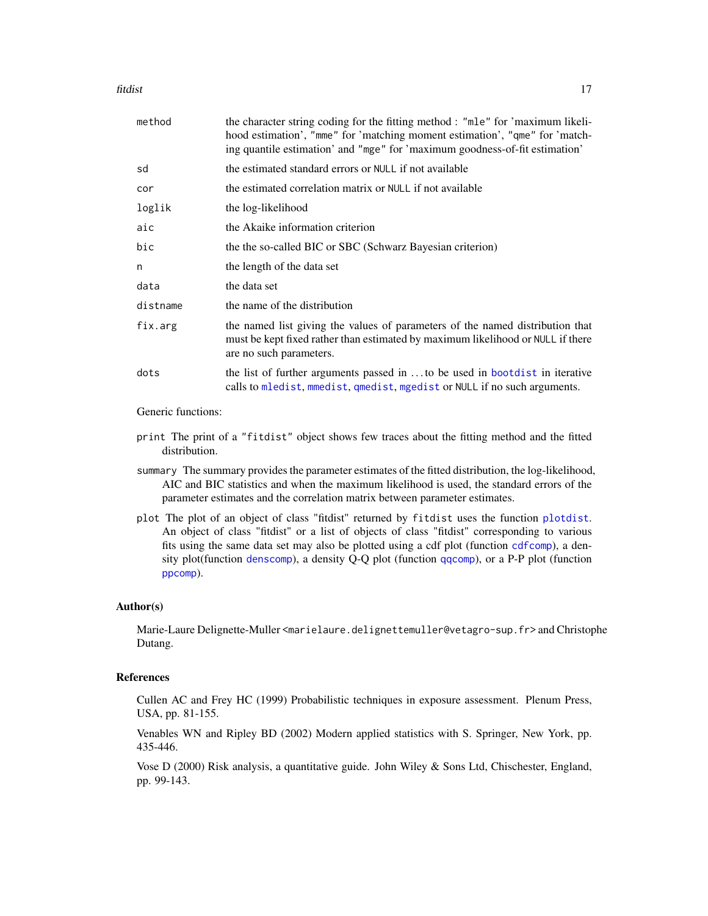#### <span id="page-16-0"></span>fitdist 17

| method   | the character string coding for the fitting method : "mle" for 'maximum likeli-<br>hood estimation', "mme" for 'matching moment estimation', "qme" for 'match-<br>ing quantile estimation' and "mge" for 'maximum goodness-of-fit estimation' |
|----------|-----------------------------------------------------------------------------------------------------------------------------------------------------------------------------------------------------------------------------------------------|
| sd       | the estimated standard errors or NULL if not available                                                                                                                                                                                        |
| cor      | the estimated correlation matrix or NULL if not available                                                                                                                                                                                     |
| loglik   | the log-likelihood                                                                                                                                                                                                                            |
| aic      | the Akaike information criterion                                                                                                                                                                                                              |
| bic      | the the so-called BIC or SBC (Schwarz Bayesian criterion)                                                                                                                                                                                     |
| n        | the length of the data set                                                                                                                                                                                                                    |
| data     | the data set                                                                                                                                                                                                                                  |
| distname | the name of the distribution                                                                                                                                                                                                                  |
| fix.arg  | the named list giving the values of parameters of the named distribution that<br>must be kept fixed rather than estimated by maximum likelihood or NULL if there<br>are no such parameters.                                                   |
| dots     | the list of further arguments passed in to be used in bootdist in iterative<br>calls to mledist, mmedist, qmedist, mgedist or NULL if no such arguments.                                                                                      |
|          |                                                                                                                                                                                                                                               |

Generic functions:

- print The print of a "fitdist" object shows few traces about the fitting method and the fitted distribution.
- summary The summary provides the parameter estimates of the fitted distribution, the log-likelihood, AIC and BIC statistics and when the maximum likelihood is used, the standard errors of the parameter estimates and the correlation matrix between parameter estimates.
- plot The plot of an object of class "fitdist" returned by fitdist uses the function [plotdist](#page-45-1). An object of class "fitdist" or a list of objects of class "fitdist" corresponding to various fits using the same data set may also be plotted using a cdf plot (function [cdfcomp](#page-31-1)), a density plot(function [denscomp](#page-31-1)), a density Q-Q plot (function [qqcomp](#page-31-1)), or a P-P plot (function [ppcomp](#page-31-1)).

#### Author(s)

Marie-Laure Delignette-Muller <marielaure.delignettemuller@vetagro-sup.fr> and Christophe Dutang.

#### References

Cullen AC and Frey HC (1999) Probabilistic techniques in exposure assessment. Plenum Press, USA, pp. 81-155.

Venables WN and Ripley BD (2002) Modern applied statistics with S. Springer, New York, pp. 435-446.

Vose D (2000) Risk analysis, a quantitative guide. John Wiley & Sons Ltd, Chischester, England, pp. 99-143.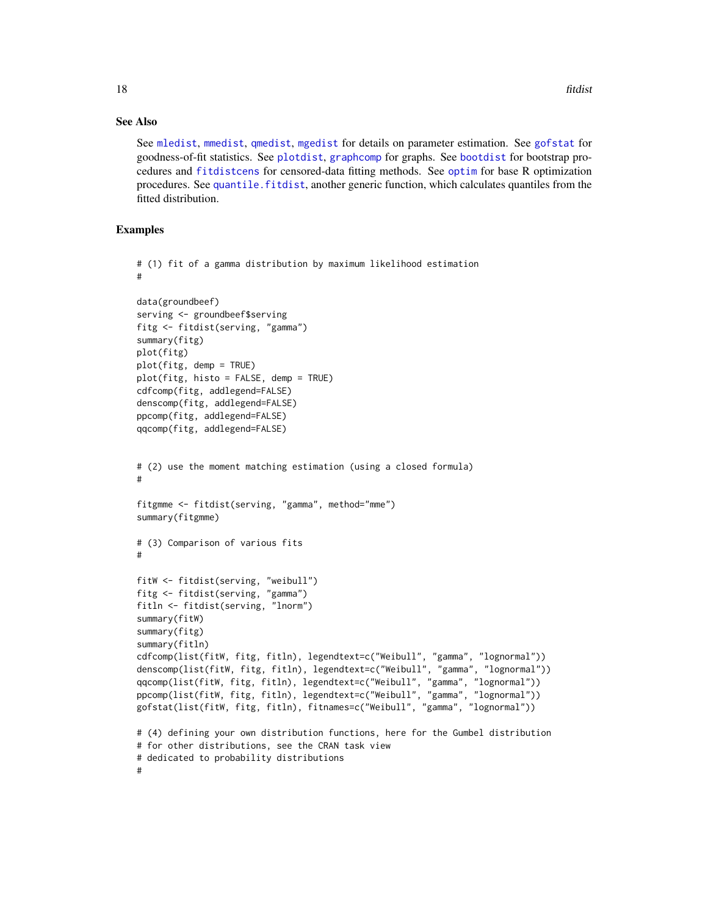#### See Also

See [mledist](#page-39-1), [mmedist](#page-42-1), [qmedist](#page-49-1), [mgedist](#page-36-1) for details on parameter estimation. See [gofstat](#page-28-1) for goodness-of-fit statistics. See [plotdist](#page-45-1), [graphcomp](#page-31-2) for graphs. See [bootdist](#page-1-1) for bootstrap procedures and [fitdistcens](#page-22-1) for censored-data fitting methods. See [optim](#page-0-0) for base R optimization procedures. See [quantile.fitdist](#page-52-1), another generic function, which calculates quantiles from the fitted distribution.

```
# (1) fit of a gamma distribution by maximum likelihood estimation
#
data(groundbeef)
serving <- groundbeef$serving
fitg <- fitdist(serving, "gamma")
summary(fitg)
plot(fitg)
plot(fitg, demp = TRUE)
plot(fitg, histo = FALSE, demp = TRUE)
cdfcomp(fitg, addlegend=FALSE)
denscomp(fitg, addlegend=FALSE)
ppcomp(fitg, addlegend=FALSE)
qqcomp(fitg, addlegend=FALSE)
# (2) use the moment matching estimation (using a closed formula)
#
fitgmme <- fitdist(serving, "gamma", method="mme")
summary(fitgmme)
# (3) Comparison of various fits
#
fitW <- fitdist(serving, "weibull")
fitg <- fitdist(serving, "gamma")
fitln <- fitdist(serving, "lnorm")
summary(fitW)
summary(fitg)
summary(fitln)
cdfcomp(list(fitW, fitg, fitln), legendtext=c("Weibull", "gamma", "lognormal"))
denscomp(list(fitW, fitg, fitln), legendtext=c("Weibull", "gamma", "lognormal"))
qqcomp(list(fitW, fitg, fitln), legendtext=c("Weibull", "gamma", "lognormal"))
ppcomp(list(fitW, fitg, fitln), legendtext=c("Weibull", "gamma", "lognormal"))
gofstat(list(fitW, fitg, fitln), fitnames=c("Weibull", "gamma", "lognormal"))
# (4) defining your own distribution functions, here for the Gumbel distribution
# for other distributions, see the CRAN task view
# dedicated to probability distributions
#
```
<span id="page-17-0"></span>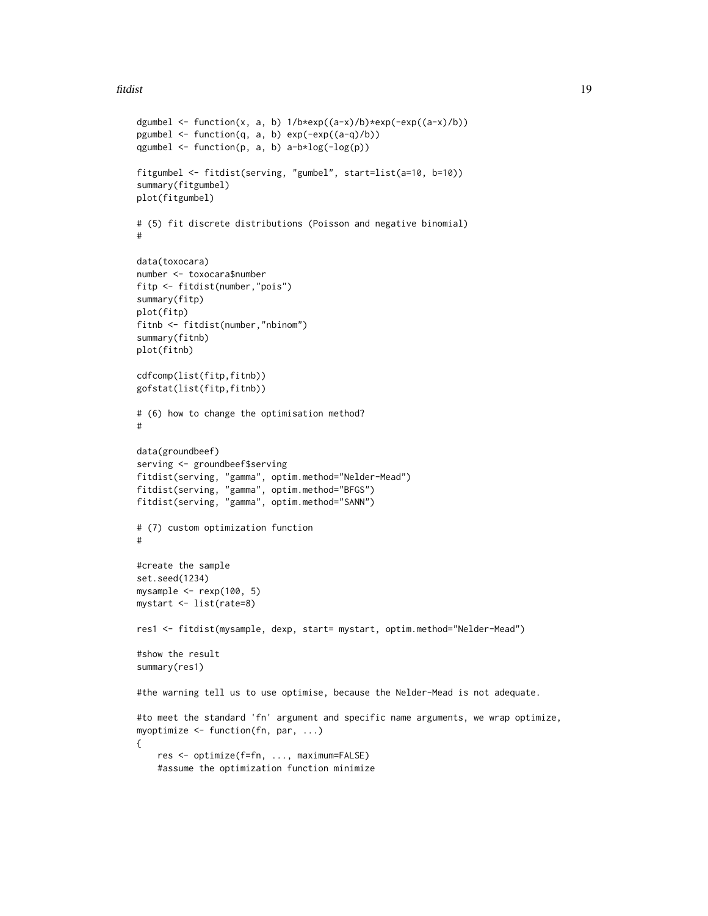#### fitdist 19

```
dgumbel <- function(x, a, b) 1/b*exp((a-x)/b)*exp(-exp((a-x)/b))pgumbel <- function(q, a, b) exp(-exp((a-q)/b))
qgumbel \leq function(p, a, b) a-b*log(-log(p))
fitgumbel <- fitdist(serving, "gumbel", start=list(a=10, b=10))
summary(fitgumbel)
plot(fitgumbel)
# (5) fit discrete distributions (Poisson and negative binomial)
#
data(toxocara)
number <- toxocara$number
fitp <- fitdist(number,"pois")
summary(fitp)
plot(fitp)
fitnb <- fitdist(number,"nbinom")
summary(fitnb)
plot(fitnb)
cdfcomp(list(fitp,fitnb))
gofstat(list(fitp,fitnb))
# (6) how to change the optimisation method?
#
data(groundbeef)
serving <- groundbeef$serving
fitdist(serving, "gamma", optim.method="Nelder-Mead")
fitdist(serving, "gamma", optim.method="BFGS")
fitdist(serving, "gamma", optim.method="SANN")
# (7) custom optimization function
#
#create the sample
set.seed(1234)
mysample <- rexp(100, 5)
mystart <- list(rate=8)
res1 <- fitdist(mysample, dexp, start= mystart, optim.method="Nelder-Mead")
#show the result
summary(res1)
#the warning tell us to use optimise, because the Nelder-Mead is not adequate.
#to meet the standard 'fn' argument and specific name arguments, we wrap optimize,
myoptimize <- function(fn, par, ...)
{
    res <- optimize(f=fn, ..., maximum=FALSE)
    #assume the optimization function minimize
```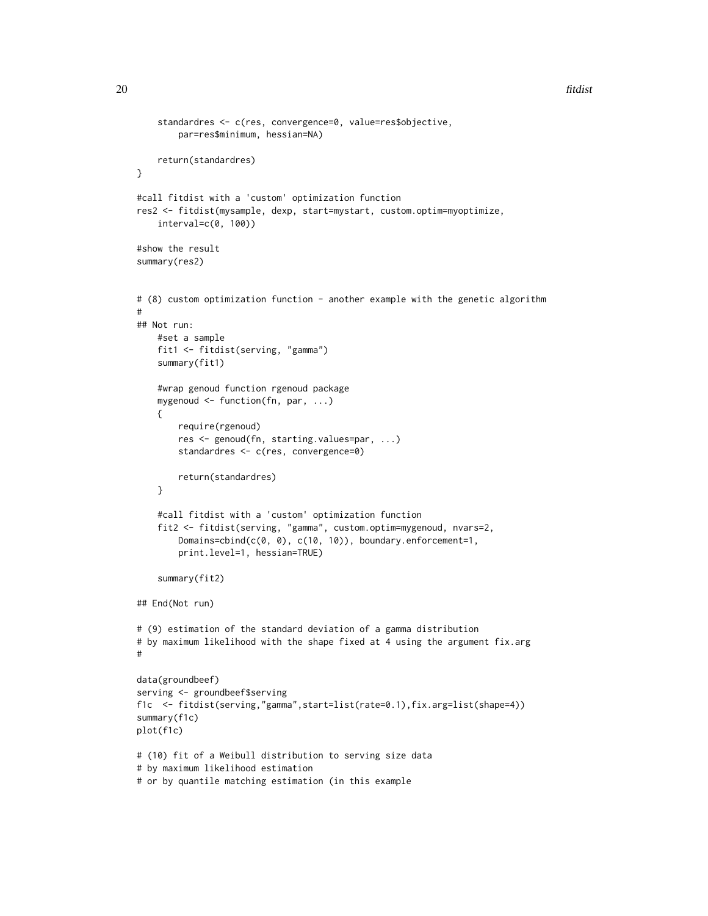```
standardres <- c(res, convergence=0, value=res$objective,
        par=res$minimum, hessian=NA)
    return(standardres)
}
#call fitdist with a 'custom' optimization function
res2 <- fitdist(mysample, dexp, start=mystart, custom.optim=myoptimize,
    interval=c(0, 100))
#show the result
summary(res2)
# (8) custom optimization function - another example with the genetic algorithm
#
## Not run:
   #set a sample
    fit1 <- fitdist(serving, "gamma")
    summary(fit1)
    #wrap genoud function rgenoud package
    mygenoud <- function(fn, par, ...)
    {
        require(rgenoud)
        res <- genoud(fn, starting.values=par, ...)
        standardres <- c(res, convergence=0)
        return(standardres)
    }
    #call fitdist with a 'custom' optimization function
    fit2 <- fitdist(serving, "gamma", custom.optim=mygenoud, nvars=2,
        Domains=cbind(c(0, 0), c(10, 10)), boundary.enforcement=1,
        print.level=1, hessian=TRUE)
    summary(fit2)
## End(Not run)
# (9) estimation of the standard deviation of a gamma distribution
# by maximum likelihood with the shape fixed at 4 using the argument fix.arg
#
data(groundbeef)
serving <- groundbeef$serving
f1c <- fitdist(serving,"gamma",start=list(rate=0.1),fix.arg=list(shape=4))
summary(f1c)
plot(f1c)
# (10) fit of a Weibull distribution to serving size data
# by maximum likelihood estimation
# or by quantile matching estimation (in this example
```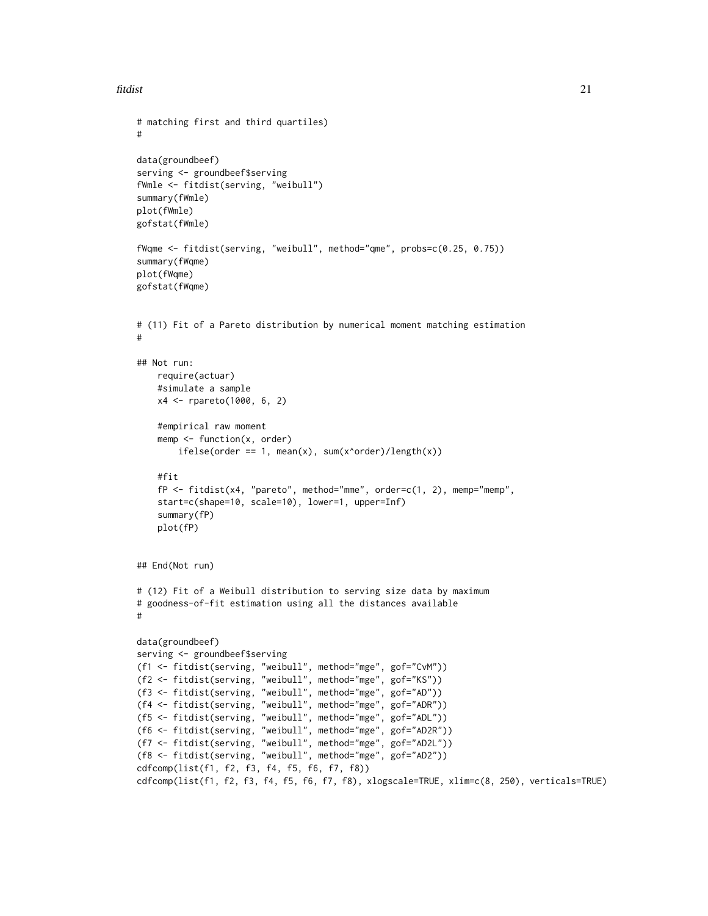#### fitdist 21

```
# matching first and third quartiles)
#
data(groundbeef)
serving <- groundbeef$serving
fWmle <- fitdist(serving, "weibull")
summary(fWmle)
plot(fWmle)
gofstat(fWmle)
fWqme <- fitdist(serving, "weibull", method="qme", probs=c(0.25, 0.75))
summary(fWqme)
plot(fWqme)
gofstat(fWqme)
# (11) Fit of a Pareto distribution by numerical moment matching estimation
#
## Not run:
   require(actuar)
   #simulate a sample
   x4 <- rpareto(1000, 6, 2)
   #empirical raw moment
   memp <- function(x, order)
       ifelse(order == 1, mean(x), sum(x'order)/length(x))#fit
    fP <- fitdist(x4, "pareto", method="mme", order=c(1, 2), memp="memp",
    start=c(shape=10, scale=10), lower=1, upper=Inf)
    summary(fP)
   plot(fP)
## End(Not run)
# (12) Fit of a Weibull distribution to serving size data by maximum
# goodness-of-fit estimation using all the distances available
#
data(groundbeef)
serving <- groundbeef$serving
(f1 <- fitdist(serving, "weibull", method="mge", gof="CvM"))
(f2 <- fitdist(serving, "weibull", method="mge", gof="KS"))
(f3 <- fitdist(serving, "weibull", method="mge", gof="AD"))
(f4 <- fitdist(serving, "weibull", method="mge", gof="ADR"))
(f5 <- fitdist(serving, "weibull", method="mge", gof="ADL"))
(f6 <- fitdist(serving, "weibull", method="mge", gof="AD2R"))
(f7 <- fitdist(serving, "weibull", method="mge", gof="AD2L"))
(f8 <- fitdist(serving, "weibull", method="mge", gof="AD2"))
cdfcomp(list(f1, f2, f3, f4, f5, f6, f7, f8))
cdfcomp(list(f1, f2, f3, f4, f5, f6, f7, f8), xlogscale=TRUE, xlim=c(8, 250), verticals=TRUE)
```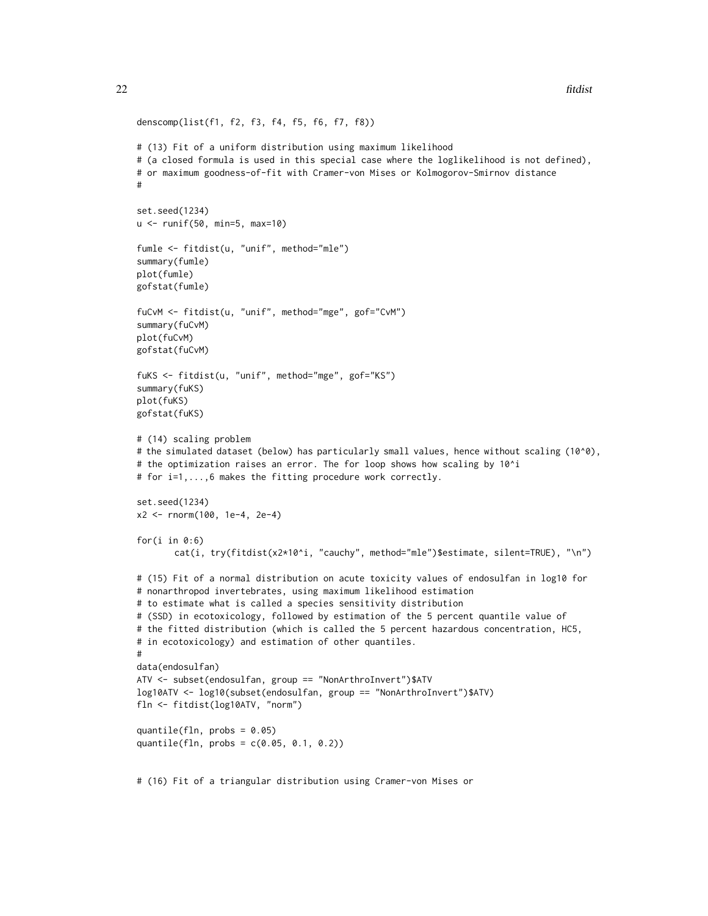```
denscomp(list(f1, f2, f3, f4, f5, f6, f7, f8))
# (13) Fit of a uniform distribution using maximum likelihood
# (a closed formula is used in this special case where the loglikelihood is not defined),
# or maximum goodness-of-fit with Cramer-von Mises or Kolmogorov-Smirnov distance
#
set.seed(1234)
u <- runif(50, min=5, max=10)
fumle <- fitdist(u, "unif", method="mle")
summary(fumle)
plot(fumle)
gofstat(fumle)
fuCvM <- fitdist(u, "unif", method="mge", gof="CvM")
summary(fuCvM)
plot(fuCvM)
gofstat(fuCvM)
fuKS <- fitdist(u, "unif", method="mge", gof="KS")
summary(fuKS)
plot(fuKS)
gofstat(fuKS)
# (14) scaling problem
# the simulated dataset (below) has particularly small values, hence without scaling (10^0),
# the optimization raises an error. The for loop shows how scaling by 10^i
# for i=1,...,6 makes the fitting procedure work correctly.
set.seed(1234)
x2 <- rnorm(100, 1e-4, 2e-4)
for(i in 0:6)
       cat(i, try(fitdist(x2*10^i, "cauchy", method="mle")$estimate, silent=TRUE), "\n")
# (15) Fit of a normal distribution on acute toxicity values of endosulfan in log10 for
# nonarthropod invertebrates, using maximum likelihood estimation
# to estimate what is called a species sensitivity distribution
# (SSD) in ecotoxicology, followed by estimation of the 5 percent quantile value of
# the fitted distribution (which is called the 5 percent hazardous concentration, HC5,
# in ecotoxicology) and estimation of other quantiles.
#
data(endosulfan)
ATV <- subset(endosulfan, group == "NonArthroInvert")$ATV
log10ATV <- log10(subset(endosulfan, group == "NonArthroInvert")$ATV)
fln <- fitdist(log10ATV, "norm")
quantile(fln, probs = 0.05)
quantile(fln, probs = c(0.05, 0.1, 0.2))
```
# (16) Fit of a triangular distribution using Cramer-von Mises or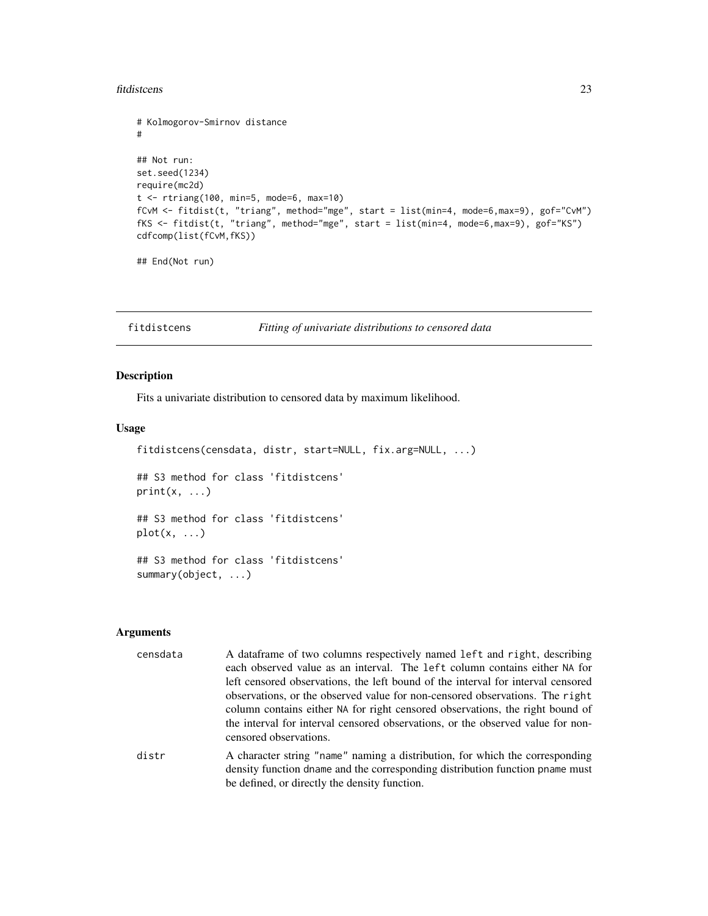#### <span id="page-22-0"></span>fitdistcens 23

```
# Kolmogorov-Smirnov distance
#
## Not run:
set.seed(1234)
require(mc2d)
t <- rtriang(100, min=5, mode=6, max=10)
fCvM <- fitdist(t, "triang", method="mge", start = list(min=4, mode=6,max=9), gof="CvM")
fKS <- fitdist(t, "triang", method="mge", start = list(min=4, mode=6,max=9), gof="KS")
cdfcomp(list(fCvM,fKS))
```
## End(Not run)

<span id="page-22-1"></span>fitdistcens *Fitting of univariate distributions to censored data*

#### Description

Fits a univariate distribution to censored data by maximum likelihood.

#### Usage

fitdistcens(censdata, distr, start=NULL, fix.arg=NULL, ...)

## S3 method for class 'fitdistcens'  $print(x, \ldots)$ 

## S3 method for class 'fitdistcens'  $plot(x, \ldots)$ 

## S3 method for class 'fitdistcens' summary(object, ...)

#### Arguments

| censdata | A dataframe of two columns respectively named left and right, describing<br>each observed value as an interval. The left column contains either NA for<br>left censored observations, the left bound of the interval for interval censored                                 |
|----------|----------------------------------------------------------------------------------------------------------------------------------------------------------------------------------------------------------------------------------------------------------------------------|
|          | observations, or the observed value for non-censored observations. The right<br>column contains either NA for right censored observations, the right bound of<br>the interval for interval censored observations, or the observed value for non-<br>censored observations. |
| distr    | A character string "name" naming a distribution, for which the corresponding<br>density function dname and the corresponding distribution function pname must                                                                                                              |

be defined, or directly the density function.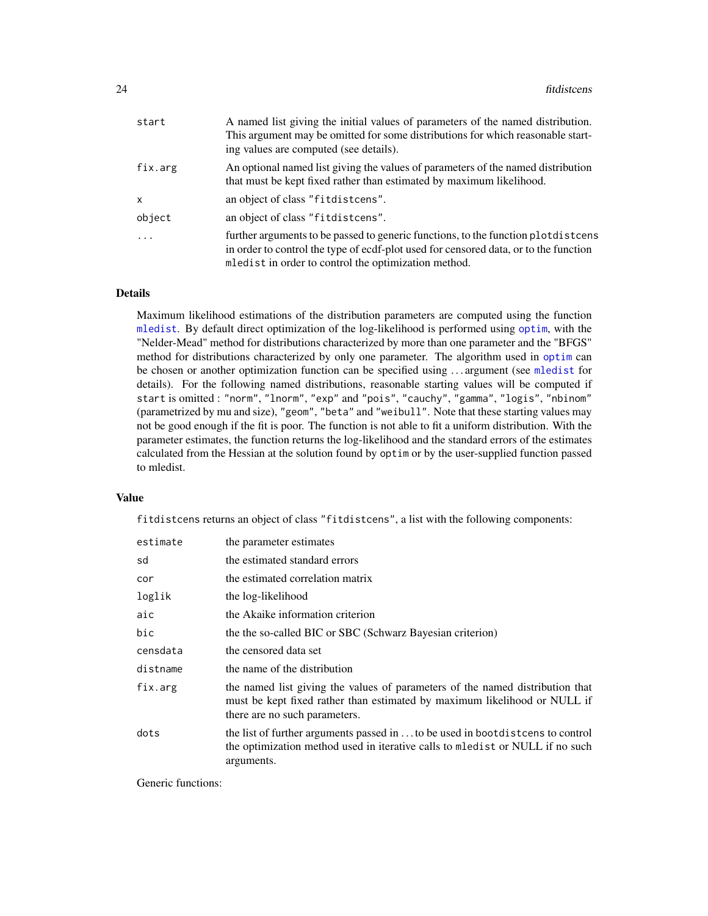<span id="page-23-0"></span>

| start     | A named list giving the initial values of parameters of the named distribution.<br>This argument may be omitted for some distributions for which reasonable start-<br>ing values are computed (see details).                      |
|-----------|-----------------------------------------------------------------------------------------------------------------------------------------------------------------------------------------------------------------------------------|
| fix.arg   | An optional named list giving the values of parameters of the named distribution<br>that must be kept fixed rather than estimated by maximum likelihood.                                                                          |
| X         | an object of class "fitdistcens".                                                                                                                                                                                                 |
| object    | an object of class "fitdistcens".                                                                                                                                                                                                 |
| $\ddotsc$ | further arguments to be passed to generic functions, to the function plotdistcens<br>in order to control the type of ecdf-plot used for censored data, or to the function<br>mledist in order to control the optimization method. |

#### Details

Maximum likelihood estimations of the distribution parameters are computed using the function [mledist](#page-39-1). By default direct optimization of the log-likelihood is performed using [optim](#page-0-0), with the "Nelder-Mead" method for distributions characterized by more than one parameter and the "BFGS" method for distributions characterized by only one parameter. The algorithm used in [optim](#page-0-0) can be chosen or another optimization function can be specified using . . . argument (see [mledist](#page-39-1) for details). For the following named distributions, reasonable starting values will be computed if start is omitted : "norm", "lnorm", "exp" and "pois", "cauchy", "gamma", "logis", "nbinom" (parametrized by mu and size), "geom", "beta" and "weibull". Note that these starting values may not be good enough if the fit is poor. The function is not able to fit a uniform distribution. With the parameter estimates, the function returns the log-likelihood and the standard errors of the estimates calculated from the Hessian at the solution found by optim or by the user-supplied function passed to mledist.

#### Value

fitdistcens returns an object of class "fitdistcens", a list with the following components:

| estimate | the parameter estimates                                                                                                                                                                     |
|----------|---------------------------------------------------------------------------------------------------------------------------------------------------------------------------------------------|
| sd       | the estimated standard errors                                                                                                                                                               |
| cor      | the estimated correlation matrix                                                                                                                                                            |
| loglik   | the log-likelihood                                                                                                                                                                          |
| aic      | the Akaike information criterion                                                                                                                                                            |
| bic      | the the so-called BIC or SBC (Schwarz Bayesian criterion)                                                                                                                                   |
| censdata | the censored data set                                                                                                                                                                       |
| distname | the name of the distribution                                                                                                                                                                |
| fix.arg  | the named list giving the values of parameters of the named distribution that<br>must be kept fixed rather than estimated by maximum likelihood or NULL if<br>there are no such parameters. |
| dots     | the list of further arguments passed in  to be used in bootdistcens to control<br>the optimization method used in iterative calls to medist or NULL if no such<br>arguments.                |

Generic functions: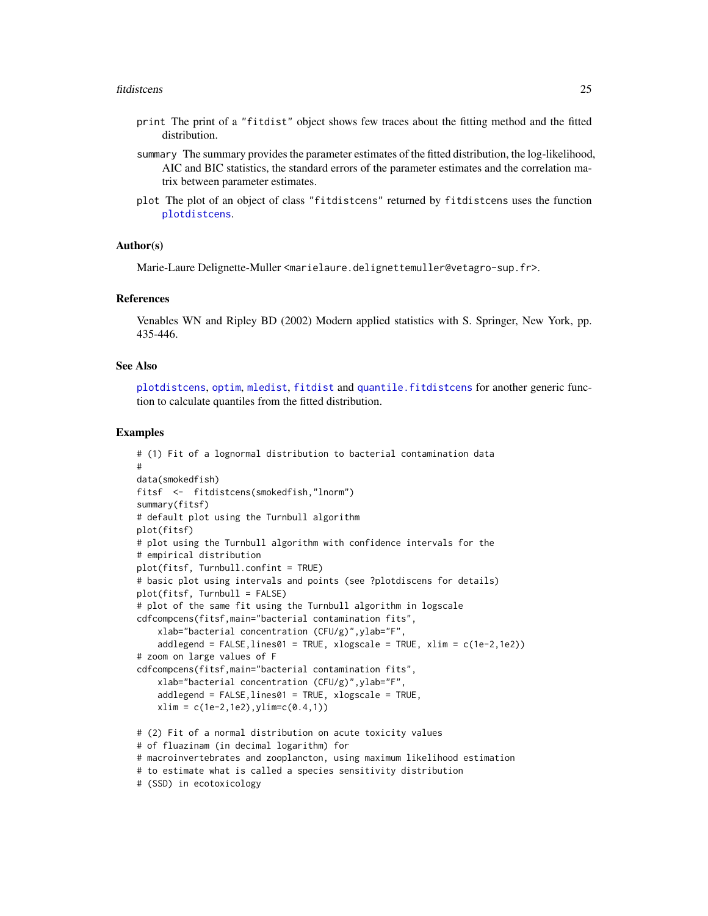#### <span id="page-24-0"></span>fitdistcens 25

- print The print of a "fitdist" object shows few traces about the fitting method and the fitted distribution.
- summary The summary provides the parameter estimates of the fitted distribution, the log-likelihood, AIC and BIC statistics, the standard errors of the parameter estimates and the correlation matrix between parameter estimates.
- plot The plot of an object of class "fitdistcens" returned by fitdistcens uses the function [plotdistcens](#page-47-1).

#### Author(s)

Marie-Laure Delignette-Muller <marielaure.delignettemuller@vetagro-sup.fr>.

#### References

Venables WN and Ripley BD (2002) Modern applied statistics with S. Springer, New York, pp. 435-446.

#### See Also

[plotdistcens](#page-47-1), [optim](#page-0-0), [mledist](#page-39-1), [fitdist](#page-13-1) and [quantile.fitdistcens](#page-52-1) for another generic function to calculate quantiles from the fitted distribution.

```
# (1) Fit of a lognormal distribution to bacterial contamination data
#
data(smokedfish)
fitsf <- fitdistcens(smokedfish,"lnorm")
summary(fitsf)
# default plot using the Turnbull algorithm
plot(fitsf)
# plot using the Turnbull algorithm with confidence intervals for the
# empirical distribution
plot(fitsf, Turnbull.confint = TRUE)
# basic plot using intervals and points (see ?plotdiscens for details)
plot(fitsf, Turnbull = FALSE)
# plot of the same fit using the Turnbull algorithm in logscale
cdfcompcens(fitsf,main="bacterial contamination fits",
    xlab="bacterial concentration (CFU/g)",ylab="F",
    addlegend = FALSE, lines01 = TRUE, xlogscale = TRUE, xlim = c(1e-2, 1e2))# zoom on large values of F
cdfcompcens(fitsf,main="bacterial contamination fits",
    xlab="bacterial concentration (CFU/g)",ylab="F",
    addlegend = FALSE,lines01 = TRUE, xlogscale = TRUE,
    xlim = c(1e-2,1e2), ylim = c(0.4,1))# (2) Fit of a normal distribution on acute toxicity values
# of fluazinam (in decimal logarithm) for
# macroinvertebrates and zooplancton, using maximum likelihood estimation
# to estimate what is called a species sensitivity distribution
# (SSD) in ecotoxicology
```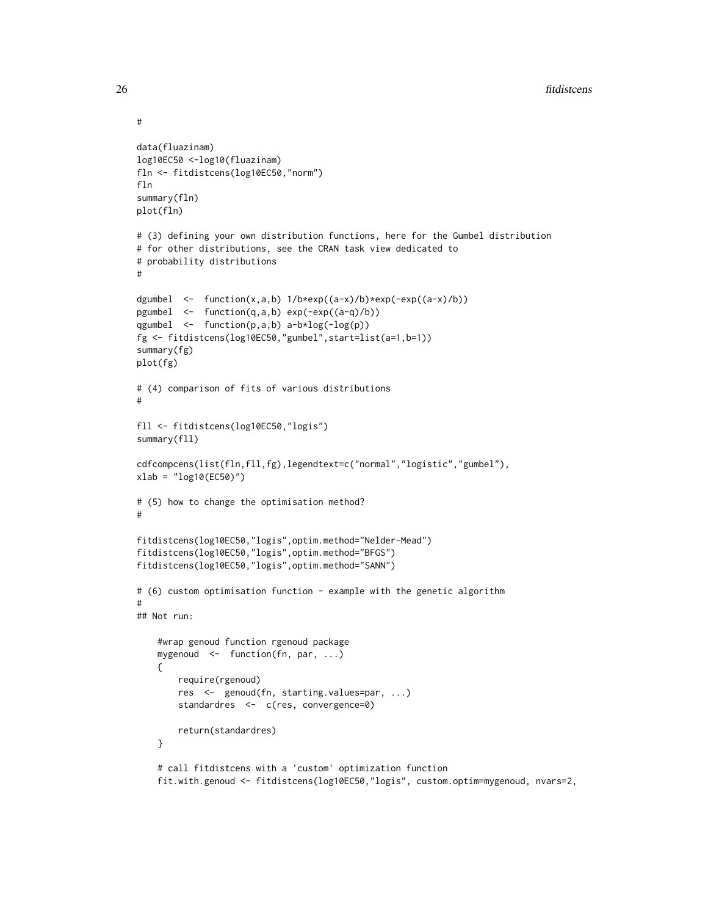```
data(fluazinam)
log10EC50 <-log10(fluazinam)
fln <- fitdistcens(log10EC50,"norm")
fln
summary(fln)
plot(fln)
# (3) defining your own distribution functions, here for the Gumbel distribution
# for other distributions, see the CRAN task view dedicated to
# probability distributions
#
dgumbel <- function(x,a,b) 1/b*exp((a-x)/b)*exp(-exp((a-x)/b))
pgumbel <- function(q,a,b) exp(-exp((a-q)/b))
qgumbel <- function(p,a,b) a-b*log(-log(p))
fg <- fitdistcens(log10EC50,"gumbel",start=list(a=1,b=1))
summary(fg)
plot(fg)
# (4) comparison of fits of various distributions
#
fll <- fitdistcens(log10EC50,"logis")
summary(fll)
cdfcompcens(list(fln,fll,fg),legendtext=c("normal","logistic","gumbel"),
xlab = "log10(EC50)")
# (5) how to change the optimisation method?
#
fitdistcens(log10EC50,"logis",optim.method="Nelder-Mead")
fitdistcens(log10EC50,"logis",optim.method="BFGS")
fitdistcens(log10EC50,"logis",optim.method="SANN")
# (6) custom optimisation function - example with the genetic algorithm
#
## Not run:
    #wrap genoud function rgenoud package
    mygenoud <- function(fn, par, ...)
    {
        require(rgenoud)
        res <- genoud(fn, starting.values=par, ...)
        standardres <- c(res, convergence=0)
        return(standardres)
    }
    # call fitdistcens with a 'custom' optimization function
    fit.with.genoud <- fitdistcens(log10EC50,"logis", custom.optim=mygenoud, nvars=2,
```
#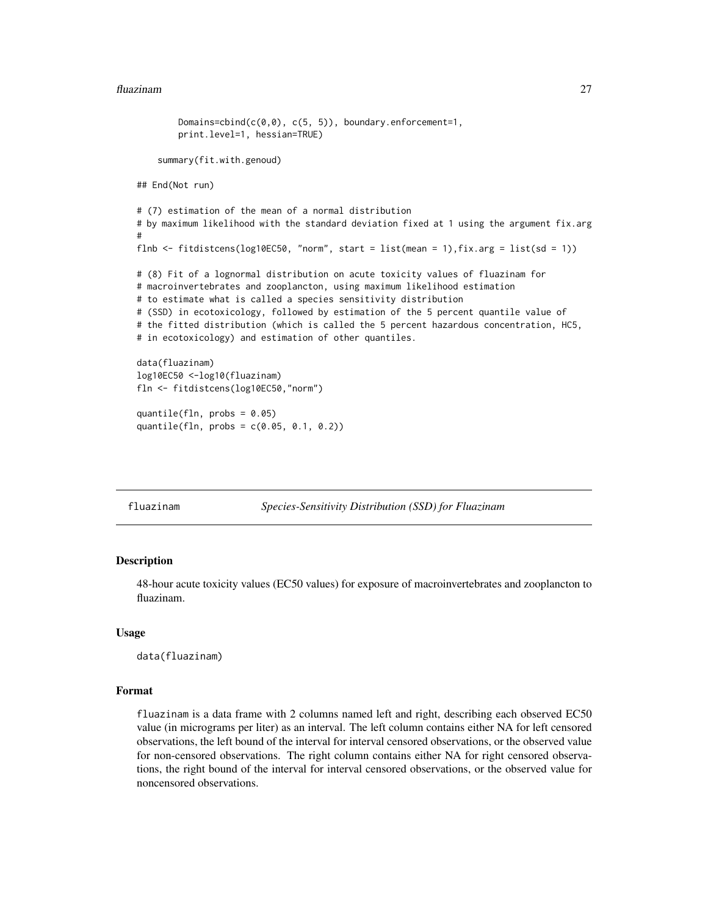```
Domains=cbind(c(0,0), c(5, 5)), boundary.enforcement=1,
       print.level=1, hessian=TRUE)
    summary(fit.with.genoud)
## End(Not run)
# (7) estimation of the mean of a normal distribution
# by maximum likelihood with the standard deviation fixed at 1 using the argument fix.arg
#
flnb <- fitdistcens(log10EC50, "norm", start = list(mean = 1),fix.arg = list(sd = 1))
# (8) Fit of a lognormal distribution on acute toxicity values of fluazinam for
# macroinvertebrates and zooplancton, using maximum likelihood estimation
# to estimate what is called a species sensitivity distribution
# (SSD) in ecotoxicology, followed by estimation of the 5 percent quantile value of
# the fitted distribution (which is called the 5 percent hazardous concentration, HC5,
# in ecotoxicology) and estimation of other quantiles.
data(fluazinam)
log10EC50 <-log10(fluazinam)
fln <- fitdistcens(log10EC50,"norm")
quantile(fln, probs = 0.05)
quantile(fln, probs = c(0.05, 0.1, 0.2))
```
fluazinam *Species-Sensitivity Distribution (SSD) for Fluazinam*

#### **Description**

48-hour acute toxicity values (EC50 values) for exposure of macroinvertebrates and zooplancton to fluazinam.

#### Usage

data(fluazinam)

#### Format

fluazinam is a data frame with 2 columns named left and right, describing each observed EC50 value (in micrograms per liter) as an interval. The left column contains either NA for left censored observations, the left bound of the interval for interval censored observations, or the observed value for non-censored observations. The right column contains either NA for right censored observations, the right bound of the interval for interval censored observations, or the observed value for noncensored observations.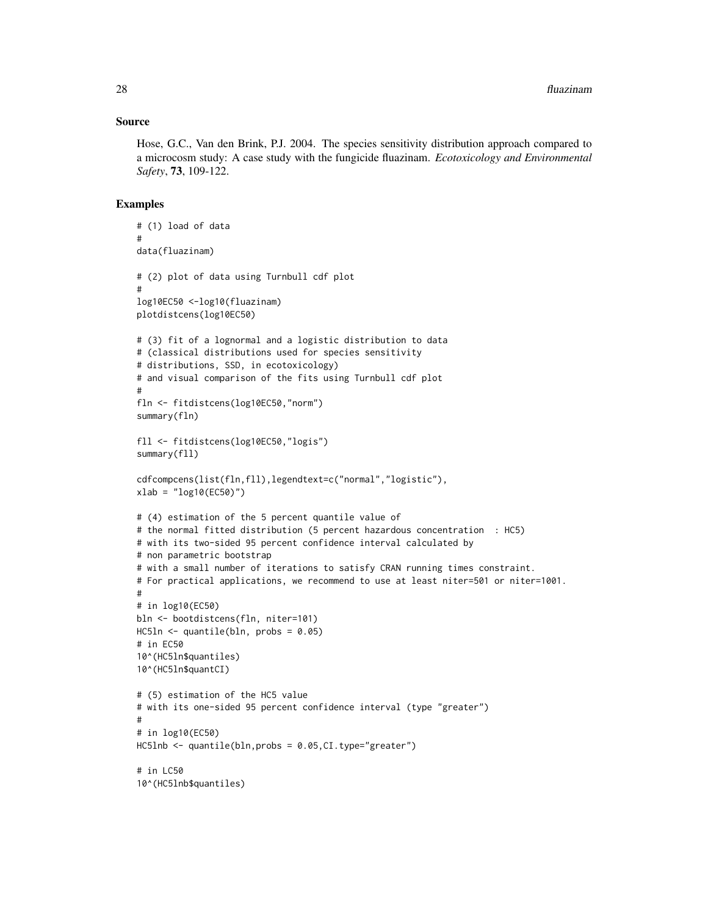#### Source

Hose, G.C., Van den Brink, P.J. 2004. The species sensitivity distribution approach compared to a microcosm study: A case study with the fungicide fluazinam. *Ecotoxicology and Environmental Safety*, 73, 109-122.

```
# (1) load of data
#
data(fluazinam)
# (2) plot of data using Turnbull cdf plot
#
log10EC50 <-log10(fluazinam)
plotdistcens(log10EC50)
# (3) fit of a lognormal and a logistic distribution to data
# (classical distributions used for species sensitivity
# distributions, SSD, in ecotoxicology)
# and visual comparison of the fits using Turnbull cdf plot
#
fln <- fitdistcens(log10EC50,"norm")
summary(fln)
fll <- fitdistcens(log10EC50,"logis")
summary(fll)
cdfcompcens(list(fln,fll),legendtext=c("normal","logistic"),
xlab = "log10(EC50)")# (4) estimation of the 5 percent quantile value of
# the normal fitted distribution (5 percent hazardous concentration : HC5)
# with its two-sided 95 percent confidence interval calculated by
# non parametric bootstrap
# with a small number of iterations to satisfy CRAN running times constraint.
# For practical applications, we recommend to use at least niter=501 or niter=1001.
#
# in log10(EC50)
bln <- bootdistcens(fln, niter=101)
HC5ln \leftarrow quantile(bln, probs = 0.05)
# in EC50
10^(HC5ln$quantiles)
10^(HC5ln$quantCI)
# (5) estimation of the HC5 value
# with its one-sided 95 percent confidence interval (type "greater")
#
# in log10(EC50)
HC5lnb <- quantile(bln,probs = 0.05,CI.type="greater")
# in LC50
10^(HC5lnb$quantiles)
```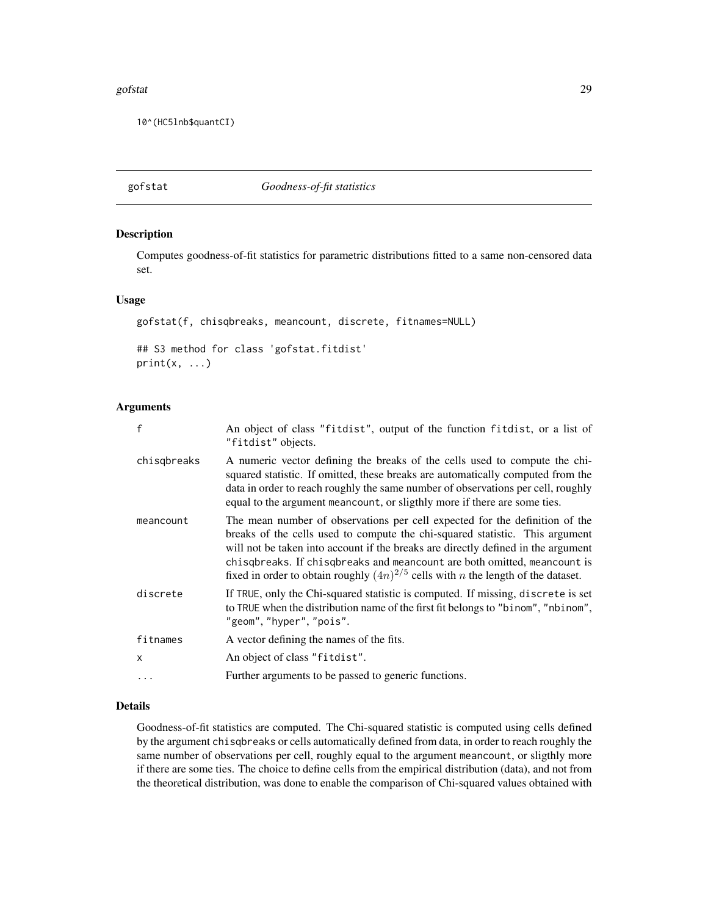#### <span id="page-28-0"></span>gofstat 29

10^(HC5lnb\$quantCI)

<span id="page-28-1"></span>gofstat *Goodness-of-fit statistics*

#### Description

Computes goodness-of-fit statistics for parametric distributions fitted to a same non-censored data set.

#### Usage

gofstat(f, chisqbreaks, meancount, discrete, fitnames=NULL) ## S3 method for class 'gofstat.fitdist'  $print(x, \ldots)$ 

#### Arguments

| $\mathsf{f}$ | An object of class "fitdist", output of the function fitdist, or a list of<br>"fitdist" objects.                                                                                                                                                                                                                                                                                                                             |
|--------------|------------------------------------------------------------------------------------------------------------------------------------------------------------------------------------------------------------------------------------------------------------------------------------------------------------------------------------------------------------------------------------------------------------------------------|
| chisgbreaks  | A numeric vector defining the breaks of the cells used to compute the chi-<br>squared statistic. If omitted, these breaks are automatically computed from the<br>data in order to reach roughly the same number of observations per cell, roughly<br>equal to the argument mean count, or sligthly more if there are some ties.                                                                                              |
| meancount    | The mean number of observations per cell expected for the definition of the<br>breaks of the cells used to compute the chi-squared statistic. This argument<br>will not be taken into account if the breaks are directly defined in the argument<br>chisqbreaks. If chisqbreaks and meancount are both omitted, meancount is<br>fixed in order to obtain roughly $(4n)^{2/5}$ cells with <i>n</i> the length of the dataset. |
| discrete     | If TRUE, only the Chi-squared statistic is computed. If missing, discrete is set<br>to TRUE when the distribution name of the first fit belongs to "binom", "nbinom",<br>"geom", "hyper", "pois".                                                                                                                                                                                                                            |
| fitnames     | A vector defining the names of the fits.                                                                                                                                                                                                                                                                                                                                                                                     |
| $\mathsf{x}$ | An object of class "fitdist".                                                                                                                                                                                                                                                                                                                                                                                                |
|              | Further arguments to be passed to generic functions.                                                                                                                                                                                                                                                                                                                                                                         |

#### Details

Goodness-of-fit statistics are computed. The Chi-squared statistic is computed using cells defined by the argument chisqbreaks or cells automatically defined from data, in order to reach roughly the same number of observations per cell, roughly equal to the argument meancount, or sligthly more if there are some ties. The choice to define cells from the empirical distribution (data), and not from the theoretical distribution, was done to enable the comparison of Chi-squared values obtained with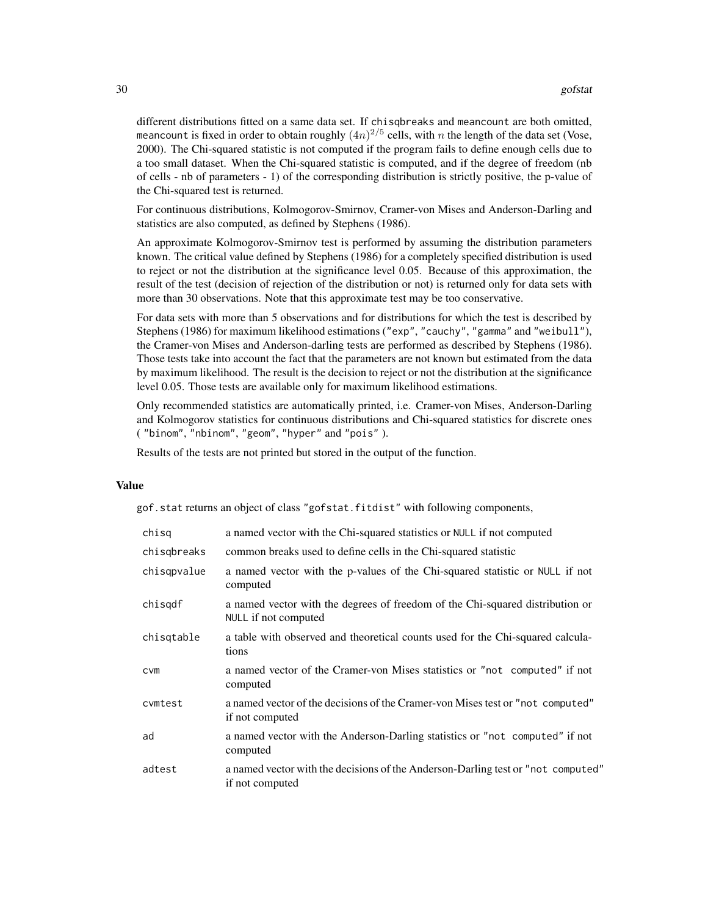different distributions fitted on a same data set. If chisqbreaks and meancount are both omitted, meancount is fixed in order to obtain roughly  $(4n)^{2/5}$  cells, with n the length of the data set (Vose, 2000). The Chi-squared statistic is not computed if the program fails to define enough cells due to a too small dataset. When the Chi-squared statistic is computed, and if the degree of freedom (nb of cells - nb of parameters - 1) of the corresponding distribution is strictly positive, the p-value of the Chi-squared test is returned.

For continuous distributions, Kolmogorov-Smirnov, Cramer-von Mises and Anderson-Darling and statistics are also computed, as defined by Stephens (1986).

An approximate Kolmogorov-Smirnov test is performed by assuming the distribution parameters known. The critical value defined by Stephens (1986) for a completely specified distribution is used to reject or not the distribution at the significance level 0.05. Because of this approximation, the result of the test (decision of rejection of the distribution or not) is returned only for data sets with more than 30 observations. Note that this approximate test may be too conservative.

For data sets with more than 5 observations and for distributions for which the test is described by Stephens (1986) for maximum likelihood estimations ("exp", "cauchy", "gamma" and "weibull"), the Cramer-von Mises and Anderson-darling tests are performed as described by Stephens (1986). Those tests take into account the fact that the parameters are not known but estimated from the data by maximum likelihood. The result is the decision to reject or not the distribution at the significance level 0.05. Those tests are available only for maximum likelihood estimations.

Only recommended statistics are automatically printed, i.e. Cramer-von Mises, Anderson-Darling and Kolmogorov statistics for continuous distributions and Chi-squared statistics for discrete ones ( "binom", "nbinom", "geom", "hyper" and "pois" ).

Results of the tests are not printed but stored in the output of the function.

#### Value

gof.stat returns an object of class "gofstat.fitdist" with following components,

| chisq       | a named vector with the Chi-squared statistics or NULL if not computed                                |  |  |  |
|-------------|-------------------------------------------------------------------------------------------------------|--|--|--|
| chisgbreaks | common breaks used to define cells in the Chi-squared statistic                                       |  |  |  |
| chisqpvalue | a named vector with the p-values of the Chi-squared statistic or NULL if not<br>computed              |  |  |  |
| chisqdf     | a named vector with the degrees of freedom of the Chi-squared distribution or<br>NULL if not computed |  |  |  |
| chisqtable  | a table with observed and theoretical counts used for the Chi-squared calcula-<br>tions               |  |  |  |
| <b>CVM</b>  | a named vector of the Cramer-von Mises statistics or "not computed" if not<br>computed                |  |  |  |
| cvmtest     | a named vector of the decisions of the Cramer-von Mises test or "not computed"<br>if not computed     |  |  |  |
| ad          | a named vector with the Anderson-Darling statistics or "not computed" if not<br>computed              |  |  |  |
| adtest      | a named vector with the decisions of the Anderson-Darling test or "not computed"<br>if not computed   |  |  |  |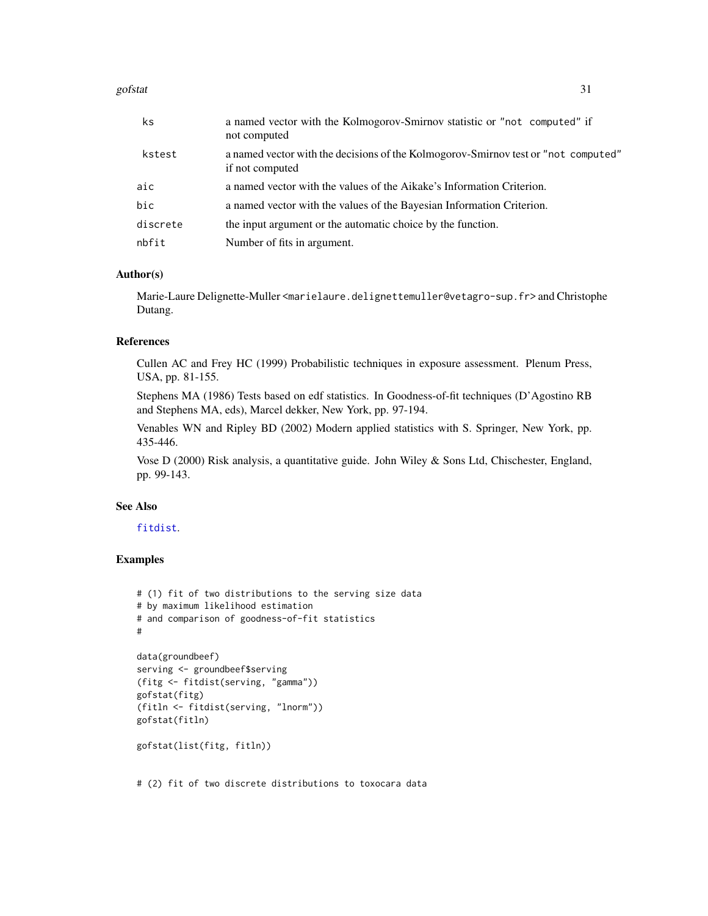#### <span id="page-30-0"></span>gofstat 31 and 32 and 32 and 33 and 33 and 33 and 33 and 33 and 33 and 33 and 33 and 34 and 34 and 34 and 34 and 35 and 35 and 36 and 36 and 36 and 36 and 36 and 36 and 36 and 36 and 36 and 36 and 36 and 36 and 36 and 36 a

| ks       | a named vector with the Kolmogorov-Smirnov statistic or "not computed" if<br>not computed             |
|----------|-------------------------------------------------------------------------------------------------------|
| kstest   | a named vector with the decisions of the Kolmogorov-Smirnov test or "not computed"<br>if not computed |
| aic      | a named vector with the values of the Aikake's Information Criterion.                                 |
| bic      | a named vector with the values of the Bayesian Information Criterion.                                 |
| discrete | the input argument or the automatic choice by the function.                                           |
| nbfit    | Number of fits in argument.                                                                           |

#### Author(s)

Marie-Laure Delignette-Muller <marielaure.delignettemuller@vetagro-sup.fr> and Christophe Dutang.

#### References

Cullen AC and Frey HC (1999) Probabilistic techniques in exposure assessment. Plenum Press, USA, pp. 81-155.

Stephens MA (1986) Tests based on edf statistics. In Goodness-of-fit techniques (D'Agostino RB and Stephens MA, eds), Marcel dekker, New York, pp. 97-194.

Venables WN and Ripley BD (2002) Modern applied statistics with S. Springer, New York, pp. 435-446.

Vose D (2000) Risk analysis, a quantitative guide. John Wiley & Sons Ltd, Chischester, England, pp. 99-143.

#### See Also

#### [fitdist](#page-13-1).

#### Examples

```
# (1) fit of two distributions to the serving size data
# by maximum likelihood estimation
# and comparison of goodness-of-fit statistics
#
```

```
data(groundbeef)
serving <- groundbeef$serving
(fitg <- fitdist(serving, "gamma"))
gofstat(fitg)
(fitln <- fitdist(serving, "lnorm"))
gofstat(fitln)
```

```
gofstat(list(fitg, fitln))
```
# (2) fit of two discrete distributions to toxocara data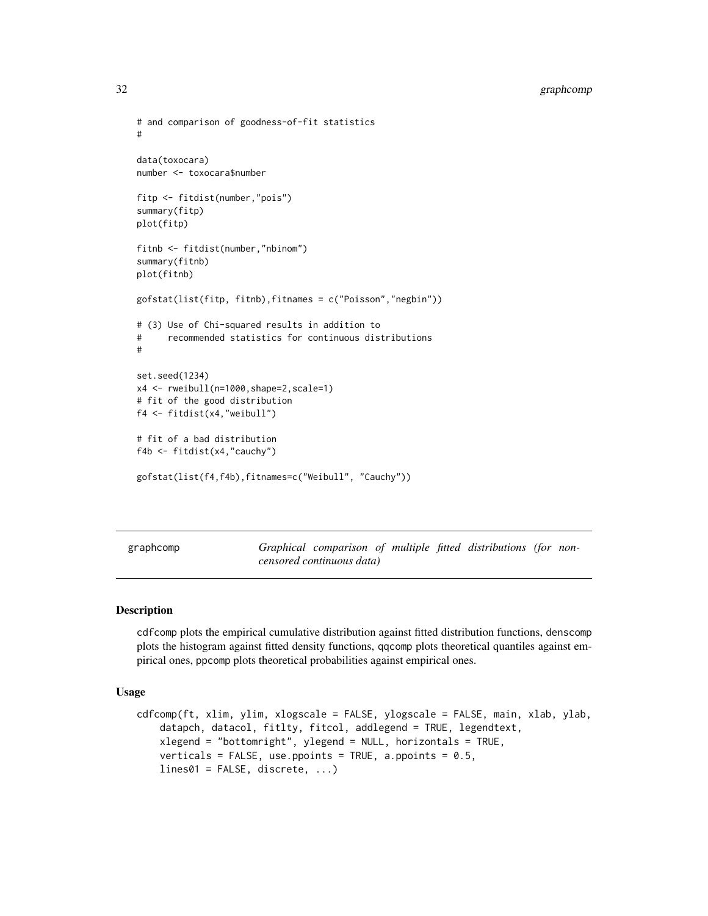```
# and comparison of goodness-of-fit statistics
#
data(toxocara)
number <- toxocara$number
fitp <- fitdist(number,"pois")
summary(fitp)
plot(fitp)
fitnb <- fitdist(number,"nbinom")
summary(fitnb)
plot(fitnb)
gofstat(list(fitp, fitnb),fitnames = c("Poisson","negbin"))
# (3) Use of Chi-squared results in addition to
# recommended statistics for continuous distributions
#
set.seed(1234)
x4 <- rweibull(n=1000,shape=2,scale=1)
# fit of the good distribution
f4 <- fitdist(x4,"weibull")
# fit of a bad distribution
f4b <- fitdist(x4,"cauchy")
gofstat(list(f4,f4b),fitnames=c("Weibull", "Cauchy"))
```
<span id="page-31-2"></span>graphcomp *Graphical comparison of multiple fitted distributions (for noncensored continuous data)*

#### <span id="page-31-1"></span>Description

cdfcomp plots the empirical cumulative distribution against fitted distribution functions, denscomp plots the histogram against fitted density functions, qqcomp plots theoretical quantiles against empirical ones, ppcomp plots theoretical probabilities against empirical ones.

#### Usage

```
cdfcomp(ft, xlim, ylim, xlogscale = FALSE, ylogscale = FALSE, main, xlab, ylab,
   datapch, datacol, fitlty, fitcol, addlegend = TRUE, legendtext,
   xlegend = "bottomright", ylegend = NULL, horizontals = TRUE,
   verticals = FALSE, use.ppoints = TRUE, a.ppoints = 0.5,
   lines01 = FALSE, discrete, ...)
```
<span id="page-31-0"></span>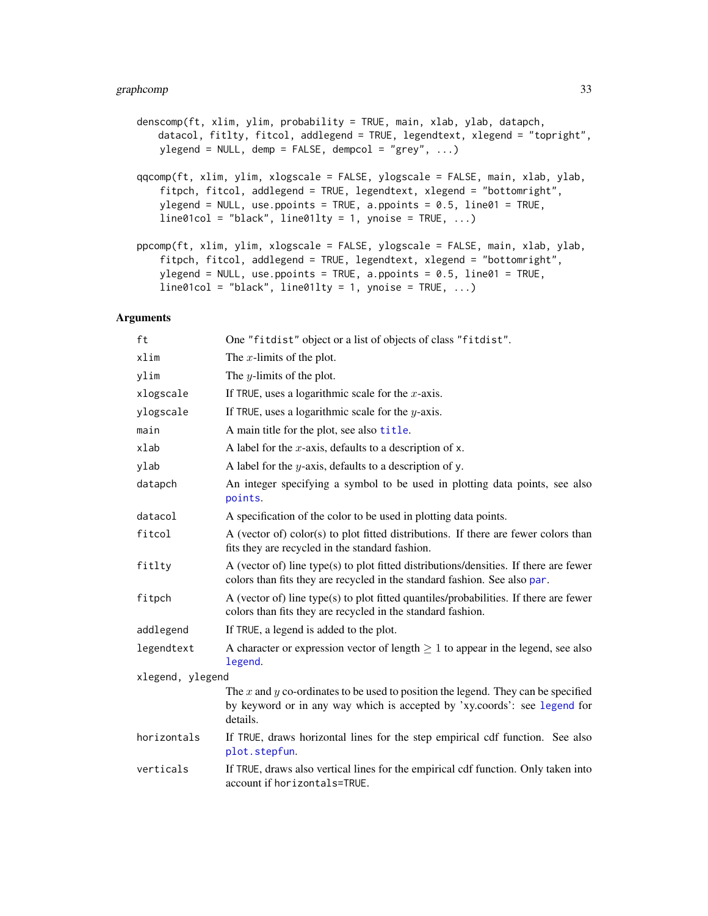#### <span id="page-32-0"></span>graphcomp 33

```
denscomp(ft, xlim, ylim, probability = TRUE, main, xlab, ylab, datapch,
   datacol, fitlty, fitcol, addlegend = TRUE, legendtext, xlegend = "topright",
   ylegend = NULL, demp = FALSE, dempcol = "grey", \dots)
qqcomp(ft, xlim, ylim, xlogscale = FALSE, ylogscale = FALSE, main, xlab, ylab,
    fitpch, fitcol, addlegend = TRUE, legendtext, xlegend = "bottomright",
   ylegend = NULL, use.ppoints = TRUE, a.ppoints = 0.5, line01 = TRUE,
   line01col = "black", line011ty = 1, ynoise = TRUE, ...)ppcomp(ft, xlim, ylim, xlogscale = FALSE, ylogscale = FALSE, main, xlab, ylab,
    fitpch, fitcol, addlegend = TRUE, legendtext, xlegend = "bottomright",
   ylegend = NULL, use.ppoints = TRUE, a.ppoints = 0.5, line01 = TRUE,
   line01col = "black", line01lty = 1, ynoise = TRUE, ...)
```
#### Arguments

| ft               | One "fitdist" object or a list of objects of class "fitdist".                                                                                                              |  |  |  |
|------------------|----------------------------------------------------------------------------------------------------------------------------------------------------------------------------|--|--|--|
| xlim             | The $x$ -limits of the plot.                                                                                                                                               |  |  |  |
| ylim             | The $y$ -limits of the plot.                                                                                                                                               |  |  |  |
| xlogscale        | If TRUE, uses a logarithmic scale for the $x$ -axis.                                                                                                                       |  |  |  |
| ylogscale        | If TRUE, uses a logarithmic scale for the $y$ -axis.                                                                                                                       |  |  |  |
| main             | A main title for the plot, see also title.                                                                                                                                 |  |  |  |
| xlab             | A label for the $x$ -axis, defaults to a description of x.                                                                                                                 |  |  |  |
| ylab             | A label for the $y$ -axis, defaults to a description of y.                                                                                                                 |  |  |  |
| datapch          | An integer specifying a symbol to be used in plotting data points, see also<br>points.                                                                                     |  |  |  |
| datacol          | A specification of the color to be used in plotting data points.                                                                                                           |  |  |  |
| fitcol           | A (vector of) color(s) to plot fitted distributions. If there are fewer colors than<br>fits they are recycled in the standard fashion.                                     |  |  |  |
| fitlty           | A (vector of) line type(s) to plot fitted distributions/densities. If there are fewer<br>colors than fits they are recycled in the standard fashion. See also par.         |  |  |  |
| fitpch           | A (vector of) line type(s) to plot fitted quantiles/probabilities. If there are fewer<br>colors than fits they are recycled in the standard fashion.                       |  |  |  |
| addlegend        | If TRUE, a legend is added to the plot.                                                                                                                                    |  |  |  |
| legendtext       | A character or expression vector of length $\geq 1$ to appear in the legend, see also<br>legend.                                                                           |  |  |  |
| xlegend, ylegend |                                                                                                                                                                            |  |  |  |
|                  | The x and y co-ordinates to be used to position the legend. They can be specified<br>by keyword or in any way which is accepted by 'xy.coords': see legend for<br>details. |  |  |  |
| horizontals      | If TRUE, draws horizontal lines for the step empirical cdf function. See also<br>plot.stepfun.                                                                             |  |  |  |
| verticals        | If TRUE, draws also vertical lines for the empirical cdf function. Only taken into<br>account if horizontals=TRUE.                                                         |  |  |  |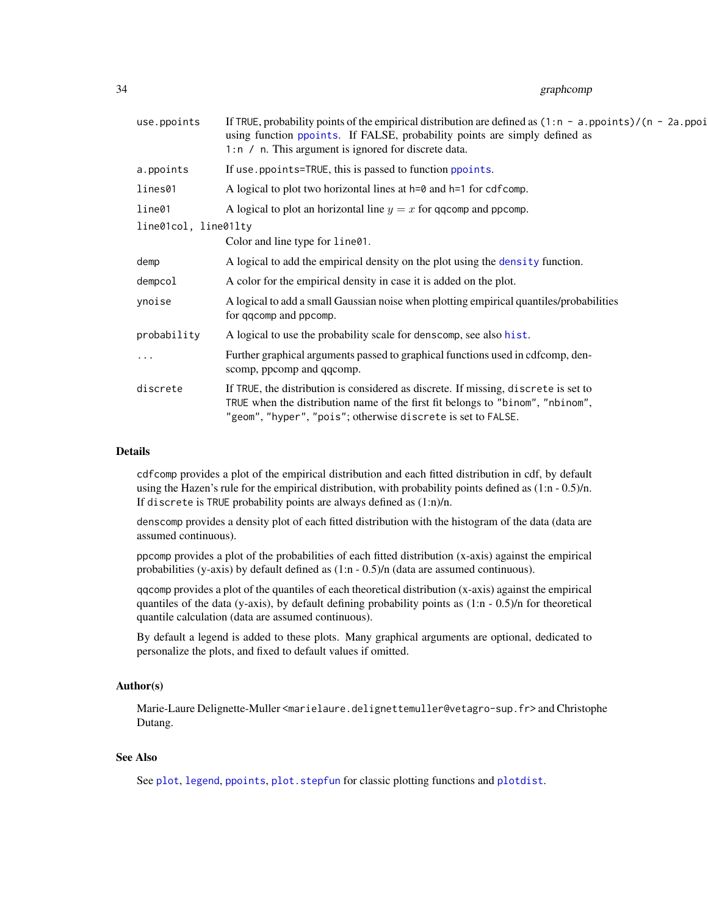#### <span id="page-33-0"></span>34 graphcomp

| use.ppoints          | If TRUE, probability points of the empirical distribution are defined as $(1:n - a$ . points)/ $(n - 2a)$ . poi<br>using function ppoints. If FALSE, probability points are simply defined as<br>1:n / n. This argument is ignored for discrete data. |  |  |
|----------------------|-------------------------------------------------------------------------------------------------------------------------------------------------------------------------------------------------------------------------------------------------------|--|--|
| a.ppoints            | If use ppoints=TRUE, this is passed to function ppoints.                                                                                                                                                                                              |  |  |
| lines01              | A logical to plot two horizontal lines at $h=0$ and $h=1$ for cdfcomp.                                                                                                                                                                                |  |  |
| line01               | A logical to plot an horizontal line $y = x$ for qqcomp and ppcomp.                                                                                                                                                                                   |  |  |
| line01col, line01lty |                                                                                                                                                                                                                                                       |  |  |
|                      | Color and line type for line01.                                                                                                                                                                                                                       |  |  |
| demp                 | A logical to add the empirical density on the plot using the density function.                                                                                                                                                                        |  |  |
| dempcol              | A color for the empirical density in case it is added on the plot.                                                                                                                                                                                    |  |  |
| ynoise               | A logical to add a small Gaussian noise when plotting empirical quantiles/probabilities<br>for qqcomp and ppcomp.                                                                                                                                     |  |  |
| probability          | A logical to use the probability scale for denscomp, see also hist.                                                                                                                                                                                   |  |  |
| $\cdots$             | Further graphical arguments passed to graphical functions used in cdfcomp, den-<br>scomp, ppcomp and qqcomp.                                                                                                                                          |  |  |
| discrete             | If TRUE, the distribution is considered as discrete. If missing, discrete is set to<br>TRUE when the distribution name of the first fit belongs to "binom", "nbinom",<br>"geom", "hyper", "pois"; otherwise discrete is set to FALSE.                 |  |  |
|                      |                                                                                                                                                                                                                                                       |  |  |

#### Details

cdfcomp provides a plot of the empirical distribution and each fitted distribution in cdf, by default using the Hazen's rule for the empirical distribution, with probability points defined as (1:n - 0.5)/n. If discrete is TRUE probability points are always defined as (1:n)/n.

denscomp provides a density plot of each fitted distribution with the histogram of the data (data are assumed continuous).

ppcomp provides a plot of the probabilities of each fitted distribution (x-axis) against the empirical probabilities (y-axis) by default defined as (1:n - 0.5)/n (data are assumed continuous).

qqcomp provides a plot of the quantiles of each theoretical distribution (x-axis) against the empirical quantiles of the data (y-axis), by default defining probability points as  $(1:\text{m} - 0.5)/\text{n}$  for theoretical quantile calculation (data are assumed continuous).

By default a legend is added to these plots. Many graphical arguments are optional, dedicated to personalize the plots, and fixed to default values if omitted.

#### Author(s)

Marie-Laure Delignette-Muller <marielaure.delignettemuller@vetagro-sup.fr> and Christophe Dutang.

#### See Also

See [plot](#page-0-0), [legend](#page-0-0), [ppoints](#page-0-0), [plot.stepfun](#page-0-0) for classic plotting functions and [plotdist](#page-45-1).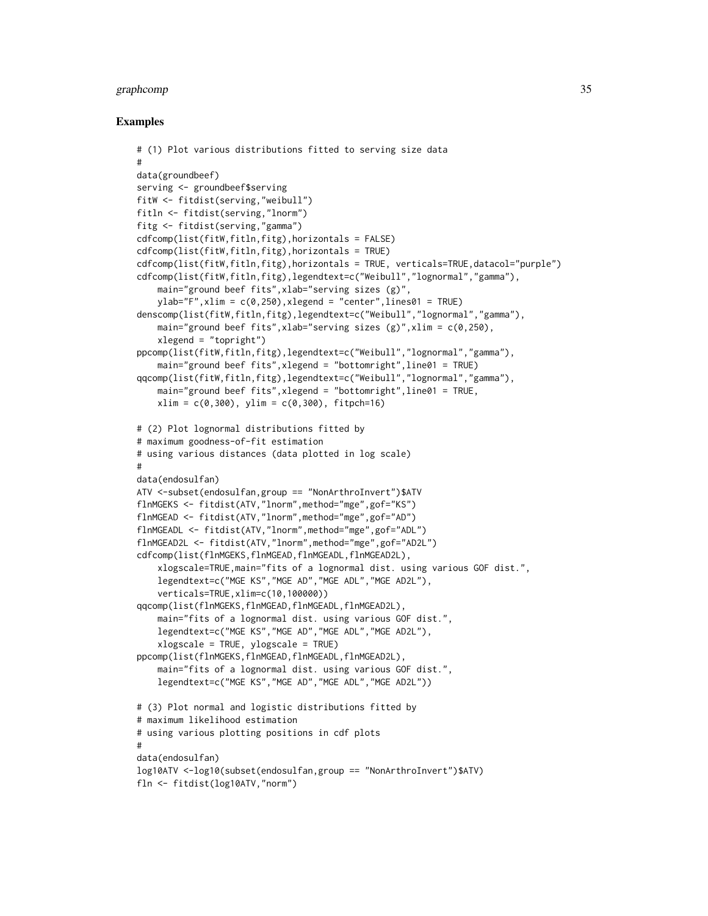#### graphcomp 35

```
# (1) Plot various distributions fitted to serving size data
#
data(groundbeef)
serving <- groundbeef$serving
fitW <- fitdist(serving,"weibull")
fitln <- fitdist(serving,"lnorm")
fitg <- fitdist(serving,"gamma")
cdfcomp(list(fitW,fitln,fitg),horizontals = FALSE)
cdfcomp(list(fitW,fitln,fitg),horizontals = TRUE)
cdfcomp(list(fitW,fitln,fitg),horizontals = TRUE, verticals=TRUE,datacol="purple")
cdfcomp(list(fitW,fitln,fitg),legendtext=c("Weibull","lognormal","gamma"),
    main="ground beef fits",xlab="serving sizes (g)",
    ylab="''F", xlim = c(0, 250), xlegend = "center", lines01 = TRUE)denscomp(list(fitW,fitln,fitg),legendtext=c("Weibull","lognormal","gamma"),
    main="ground beef fits", xlab="serving sizes (g)", xlim = c(0, 250),
    xlegend = "topright")
ppcomp(list(fitW,fitln,fitg),legendtext=c("Weibull","lognormal","gamma"),
    main="ground beef fits",xlegend = "bottomright",line01 = TRUE)
qqcomp(list(fitW,fitln,fitg),legendtext=c("Weibull","lognormal","gamma"),
    main="ground beef fits",xlegend = "bottomright",line01 = TRUE,
    xlim = c(0,300), ylim = c(0,300), fit.# (2) Plot lognormal distributions fitted by
# maximum goodness-of-fit estimation
# using various distances (data plotted in log scale)
#
data(endosulfan)
ATV <-subset(endosulfan,group == "NonArthroInvert")$ATV
flnMGEKS <- fitdist(ATV,"lnorm",method="mge",gof="KS")
flnMGEAD <- fitdist(ATV,"lnorm",method="mge",gof="AD")
flnMGEADL <- fitdist(ATV,"lnorm",method="mge",gof="ADL")
flnMGEAD2L <- fitdist(ATV,"lnorm",method="mge",gof="AD2L")
cdfcomp(list(flnMGEKS,flnMGEAD,flnMGEADL,flnMGEAD2L),
    xlogscale=TRUE,main="fits of a lognormal dist. using various GOF dist.",
    legendtext=c("MGE KS","MGE AD","MGE ADL","MGE AD2L"),
    verticals=TRUE,xlim=c(10,100000))
qqcomp(list(flnMGEKS,flnMGEAD,flnMGEADL,flnMGEAD2L),
    main="fits of a lognormal dist. using various GOF dist.",
    legendtext=c("MGE KS","MGE AD","MGE ADL","MGE AD2L"),
    xlogscale = TRUE, ylogscale = TRUE)
ppcomp(list(flnMGEKS,flnMGEAD,flnMGEADL,flnMGEAD2L),
    main="fits of a lognormal dist. using various GOF dist.",
    legendtext=c("MGE KS","MGE AD","MGE ADL","MGE AD2L"))
# (3) Plot normal and logistic distributions fitted by
# maximum likelihood estimation
# using various plotting positions in cdf plots
#
data(endosulfan)
log10ATV <-log10(subset(endosulfan,group == "NonArthroInvert")$ATV)
fln <- fitdist(log10ATV,"norm")
```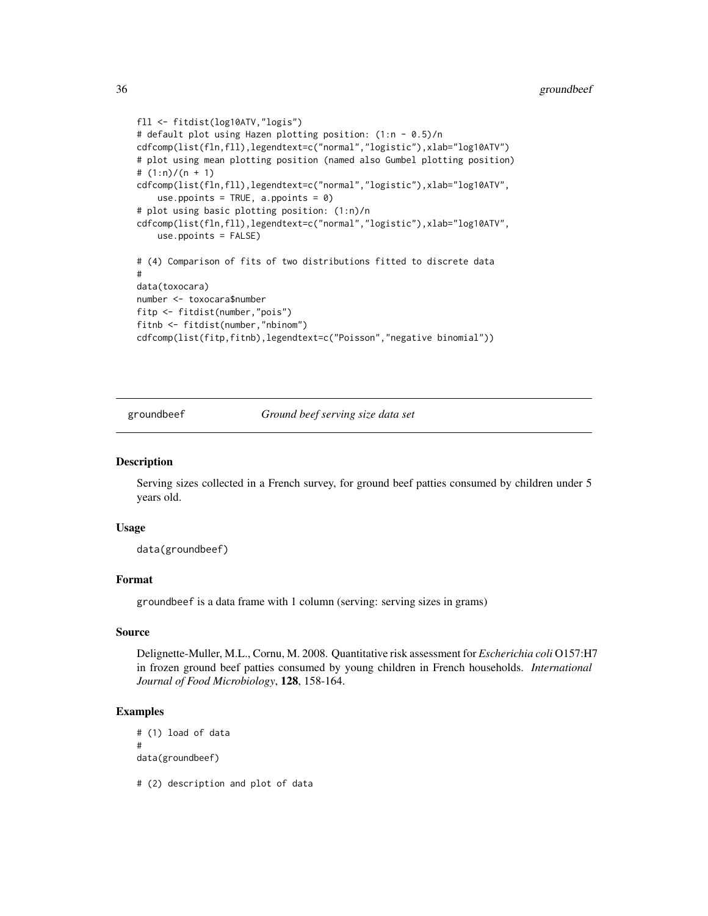```
fll <- fitdist(log10ATV,"logis")
# default plot using Hazen plotting position: (1:n - 0.5)/n
cdfcomp(list(fln,fll),legendtext=c("normal","logistic"),xlab="log10ATV")
# plot using mean plotting position (named also Gumbel plotting position)
# (1:n)/(n + 1)
cdfcomp(list(fln,fll),legendtext=c("normal","logistic"),xlab="log10ATV",
   use.ppoints = TRUE, a.ppoints = 0)
# plot using basic plotting position: (1:n)/n
cdfcomp(list(fln,fll),legendtext=c("normal","logistic"),xlab="log10ATV",
    use.ppoints = FALSE)
# (4) Comparison of fits of two distributions fitted to discrete data
#
data(toxocara)
number <- toxocara$number
fitp <- fitdist(number,"pois")
fitnb <- fitdist(number,"nbinom")
cdfcomp(list(fitp,fitnb),legendtext=c("Poisson","negative binomial"))
```
groundbeef *Ground beef serving size data set*

#### Description

Serving sizes collected in a French survey, for ground beef patties consumed by children under 5 years old.

#### Usage

data(groundbeef)

#### Format

groundbeef is a data frame with 1 column (serving: serving sizes in grams)

#### Source

Delignette-Muller, M.L., Cornu, M. 2008. Quantitative risk assessment for *Escherichia coli* O157:H7 in frozen ground beef patties consumed by young children in French households. *International Journal of Food Microbiology*, 128, 158-164.

#### Examples

```
# (1) load of data
#
data(groundbeef)
```
# (2) description and plot of data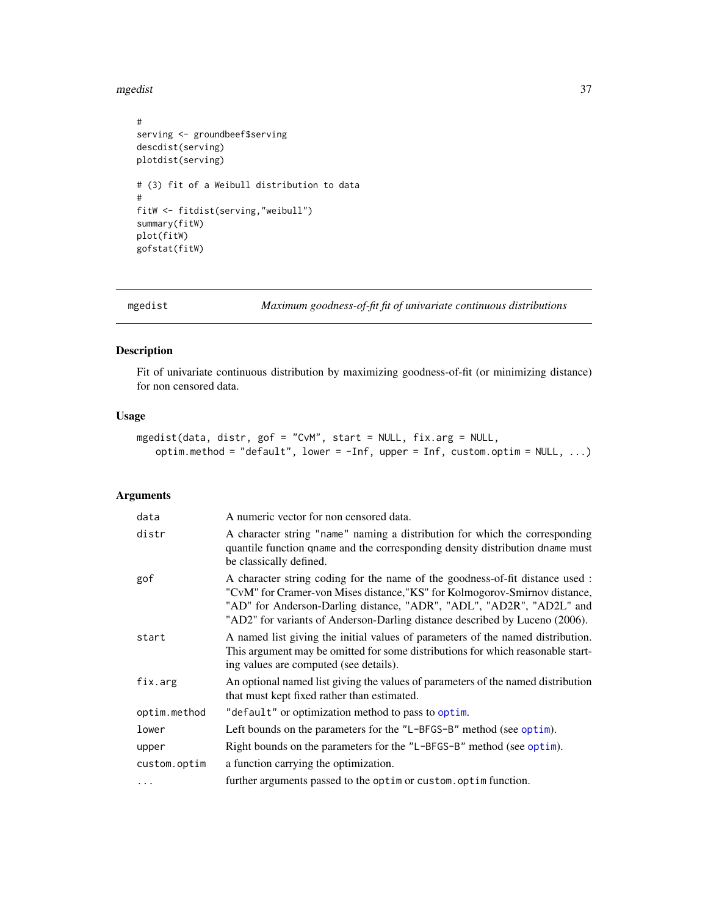#### <span id="page-36-0"></span>mgedist 37

```
#
serving <- groundbeef$serving
descdist(serving)
plotdist(serving)
# (3) fit of a Weibull distribution to data
#
fitW <- fitdist(serving,"weibull")
summary(fitW)
plot(fitW)
gofstat(fitW)
```
<span id="page-36-1"></span>mgedist *Maximum goodness-of-fit fit of univariate continuous distributions*

#### Description

Fit of univariate continuous distribution by maximizing goodness-of-fit (or minimizing distance) for non censored data.

#### Usage

```
mgedist(data, distr, gof = "CvM", start = NULL, fix.arg = NULL,
   optim.method = "default", lower = -Inf, upper = Inf, custom.optim = NULL, ...)
```
#### Arguments

| data         | A numeric vector for non censored data.                                                                                                                                                                                                                                                                            |
|--------------|--------------------------------------------------------------------------------------------------------------------------------------------------------------------------------------------------------------------------------------------------------------------------------------------------------------------|
| distr        | A character string "name" naming a distribution for which the corresponding<br>quantile function qname and the corresponding density distribution dname must<br>be classically defined.                                                                                                                            |
| gof          | A character string coding for the name of the goodness-of-fit distance used :<br>"CvM" for Cramer-von Mises distance, "KS" for Kolmogorov-Smirnov distance,<br>"AD" for Anderson-Darling distance, "ADR", "ADL", "AD2R", "AD2L" and<br>"AD2" for variants of Anderson-Darling distance described by Luceno (2006). |
| start        | A named list giving the initial values of parameters of the named distribution.<br>This argument may be omitted for some distributions for which reasonable start-<br>ing values are computed (see details).                                                                                                       |
| fix.arg      | An optional named list giving the values of parameters of the named distribution<br>that must kept fixed rather than estimated.                                                                                                                                                                                    |
| optim.method | "default" or optimization method to pass to optim.                                                                                                                                                                                                                                                                 |
| lower        | Left bounds on the parameters for the "L-BFGS-B" method (see optim).                                                                                                                                                                                                                                               |
| upper        | Right bounds on the parameters for the "L-BFGS-B" method (see optim).                                                                                                                                                                                                                                              |
| custom.optim | a function carrying the optimization.                                                                                                                                                                                                                                                                              |
| $\cdots$     | further arguments passed to the optim or custom. optim function.                                                                                                                                                                                                                                                   |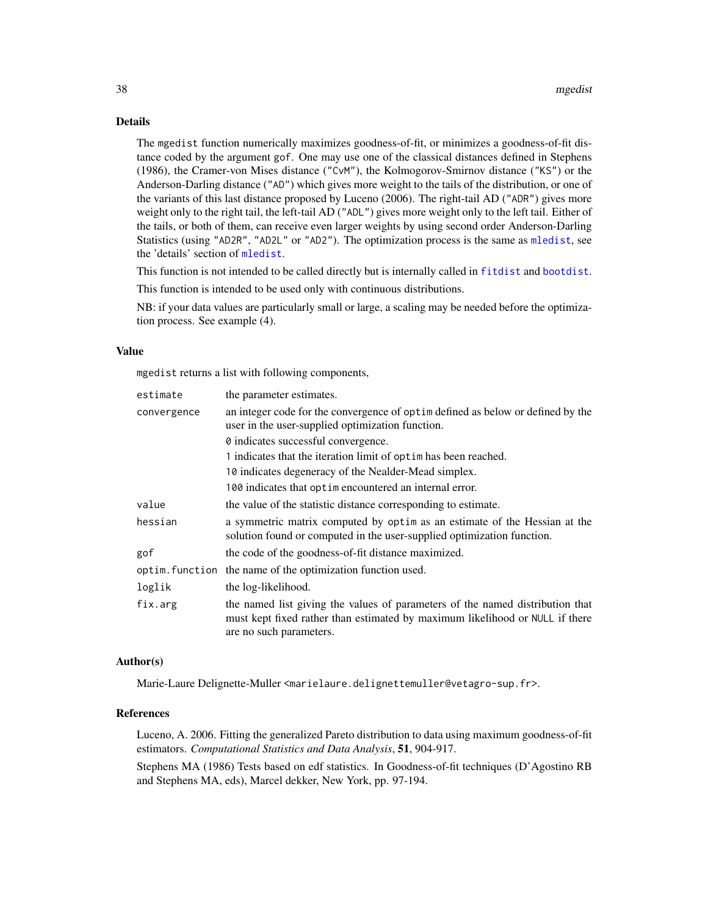#### <span id="page-37-0"></span>Details

The mgedist function numerically maximizes goodness-of-fit, or minimizes a goodness-of-fit distance coded by the argument gof. One may use one of the classical distances defined in Stephens (1986), the Cramer-von Mises distance ("CvM"), the Kolmogorov-Smirnov distance ("KS") or the Anderson-Darling distance ("AD") which gives more weight to the tails of the distribution, or one of the variants of this last distance proposed by Luceno (2006). The right-tail AD ("ADR") gives more weight only to the right tail, the left-tail AD ("ADL") gives more weight only to the left tail. Either of the tails, or both of them, can receive even larger weights by using second order Anderson-Darling Statistics (using "AD2R", "AD2L" or "AD2"). The optimization process is the same as [mledist](#page-39-1), see the 'details' section of [mledist](#page-39-1).

This function is not intended to be called directly but is internally called in [fitdist](#page-13-1) and [bootdist](#page-1-1).

This function is intended to be used only with continuous distributions.

NB: if your data values are particularly small or large, a scaling may be needed before the optimization process. See example (4).

#### Value

mgedist returns a list with following components,

| estimate    | the parameter estimates.                                                                                                                                                                 |  |  |  |
|-------------|------------------------------------------------------------------------------------------------------------------------------------------------------------------------------------------|--|--|--|
| convergence | an integer code for the convergence of optimed as below or defined by the<br>user in the user-supplied optimization function.                                                            |  |  |  |
|             | 0 indicates successful convergence.                                                                                                                                                      |  |  |  |
|             | 1 indicates that the iteration limit of optime has been reached.                                                                                                                         |  |  |  |
|             | 10 indicates degeneracy of the Nealder-Mead simplex.                                                                                                                                     |  |  |  |
|             | 100 indicates that optimen countered an internal error.                                                                                                                                  |  |  |  |
| value       | the value of the statistic distance corresponding to estimate.                                                                                                                           |  |  |  |
| hessian     | a symmetric matrix computed by optim as an estimate of the Hessian at the<br>solution found or computed in the user-supplied optimization function.                                      |  |  |  |
| gof         | the code of the goodness-of-fit distance maximized.                                                                                                                                      |  |  |  |
|             | optim. function the name of the optimization function used.                                                                                                                              |  |  |  |
| loglik      | the log-likelihood.                                                                                                                                                                      |  |  |  |
| fix.arg     | the named list giving the values of parameters of the named distribution that<br>must kept fixed rather than estimated by maximum likelihood or NULL if there<br>are no such parameters. |  |  |  |

#### Author(s)

Marie-Laure Delignette-Muller <marielaure.delignettemuller@vetagro-sup.fr>.

#### References

Luceno, A. 2006. Fitting the generalized Pareto distribution to data using maximum goodness-of-fit estimators. *Computational Statistics and Data Analysis*, 51, 904-917.

Stephens MA (1986) Tests based on edf statistics. In Goodness-of-fit techniques (D'Agostino RB and Stephens MA, eds), Marcel dekker, New York, pp. 97-194.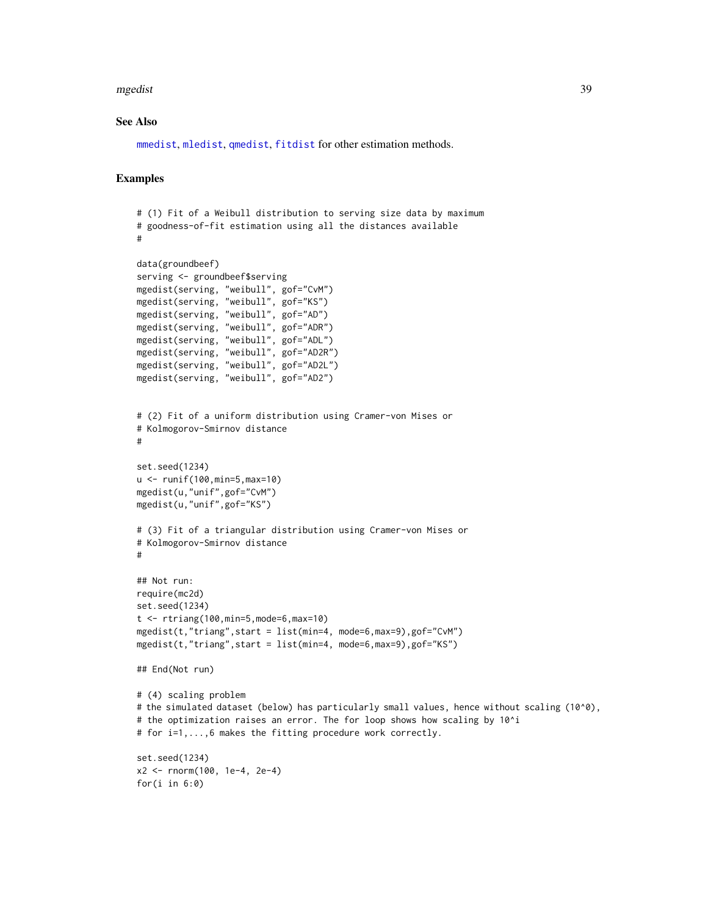#### <span id="page-38-0"></span>mgedist 39

#### See Also

[mmedist](#page-42-1), [mledist](#page-39-1), [qmedist](#page-49-1), [fitdist](#page-13-1) for other estimation methods.

```
# (1) Fit of a Weibull distribution to serving size data by maximum
# goodness-of-fit estimation using all the distances available
#
data(groundbeef)
serving <- groundbeef$serving
mgedist(serving, "weibull", gof="CvM")
mgedist(serving, "weibull", gof="KS")
mgedist(serving, "weibull", gof="AD")
mgedist(serving, "weibull", gof="ADR")
mgedist(serving, "weibull", gof="ADL")
mgedist(serving, "weibull", gof="AD2R")
mgedist(serving, "weibull", gof="AD2L")
mgedist(serving, "weibull", gof="AD2")
# (2) Fit of a uniform distribution using Cramer-von Mises or
# Kolmogorov-Smirnov distance
#
set.seed(1234)
u <- runif(100,min=5,max=10)
mgedist(u,"unif",gof="CvM")
mgedist(u,"unif",gof="KS")
# (3) Fit of a triangular distribution using Cramer-von Mises or
# Kolmogorov-Smirnov distance
#
## Not run:
require(mc2d)
set.seed(1234)
t <- rtriang(100,min=5,mode=6,max=10)
mgedist(t,"triang", start = list(min=4, mode=6, max=9), gof="CvM")mgedist(t,"triang",start = list(min=4, mode=6,max=9),gof="KS")
## End(Not run)
# (4) scaling problem
# the simulated dataset (below) has particularly small values, hence without scaling (10^0),
# the optimization raises an error. The for loop shows how scaling by 10^i
# for i=1,...,6 makes the fitting procedure work correctly.
set.seed(1234)
x2 <- rnorm(100, 1e-4, 2e-4)
for(i in 6:0)
```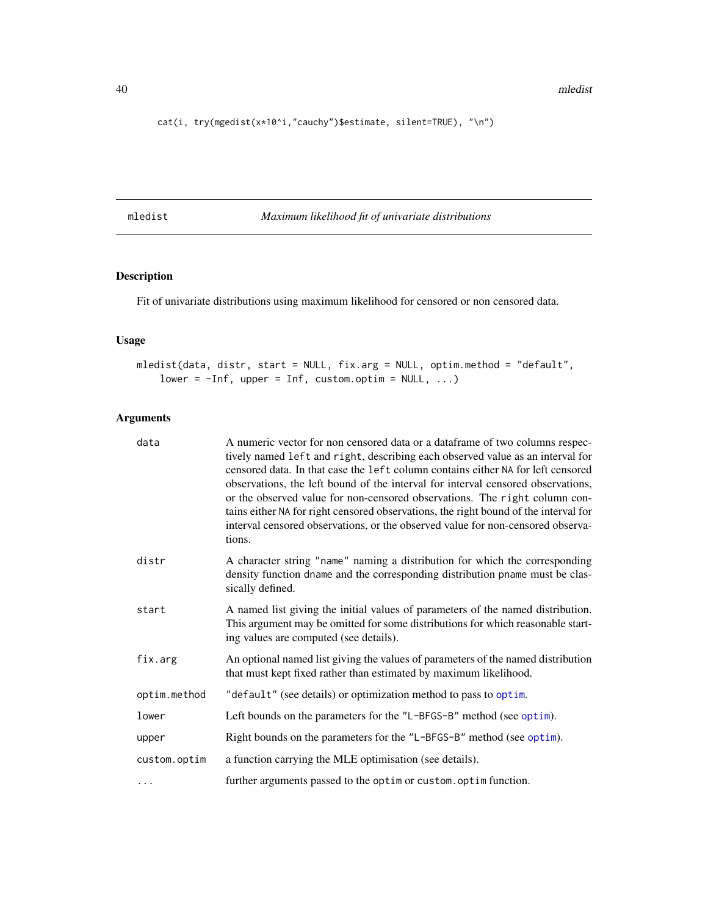<span id="page-39-0"></span>cat(i, try(mgedist(x\*10^i,"cauchy")\$estimate, silent=TRUE), "\n")

<span id="page-39-1"></span>mledist *Maximum likelihood fit of univariate distributions*

#### Description

Fit of univariate distributions using maximum likelihood for censored or non censored data.

#### Usage

```
mledist(data, distr, start = NULL, fix.arg = NULL, optim.method = "default",
   lower = -Inf, upper = Inf, custom.optim = NULL, ...)
```
#### Arguments

| data         | A numeric vector for non censored data or a data frame of two columns respec-<br>tively named left and right, describing each observed value as an interval for<br>censored data. In that case the left column contains either NA for left censored<br>observations, the left bound of the interval for interval censored observations,<br>or the observed value for non-censored observations. The right column con-<br>tains either NA for right censored observations, the right bound of the interval for<br>interval censored observations, or the observed value for non-censored observa-<br>tions. |
|--------------|------------------------------------------------------------------------------------------------------------------------------------------------------------------------------------------------------------------------------------------------------------------------------------------------------------------------------------------------------------------------------------------------------------------------------------------------------------------------------------------------------------------------------------------------------------------------------------------------------------|
| distr        | A character string "name" naming a distribution for which the corresponding<br>density function dname and the corresponding distribution pname must be clas-<br>sically defined.                                                                                                                                                                                                                                                                                                                                                                                                                           |
| start        | A named list giving the initial values of parameters of the named distribution.<br>This argument may be omitted for some distributions for which reasonable start-<br>ing values are computed (see details).                                                                                                                                                                                                                                                                                                                                                                                               |
| fix.arg      | An optional named list giving the values of parameters of the named distribution<br>that must kept fixed rather than estimated by maximum likelihood.                                                                                                                                                                                                                                                                                                                                                                                                                                                      |
| optim.method | "default" (see details) or optimization method to pass to optim.                                                                                                                                                                                                                                                                                                                                                                                                                                                                                                                                           |
| lower        | Left bounds on the parameters for the "L-BFGS-B" method (see optim).                                                                                                                                                                                                                                                                                                                                                                                                                                                                                                                                       |
| upper        | Right bounds on the parameters for the "L-BFGS-B" method (see optim).                                                                                                                                                                                                                                                                                                                                                                                                                                                                                                                                      |
| custom.optim | a function carrying the MLE optimisation (see details).                                                                                                                                                                                                                                                                                                                                                                                                                                                                                                                                                    |
| .            | further arguments passed to the optim or custom. optim function.                                                                                                                                                                                                                                                                                                                                                                                                                                                                                                                                           |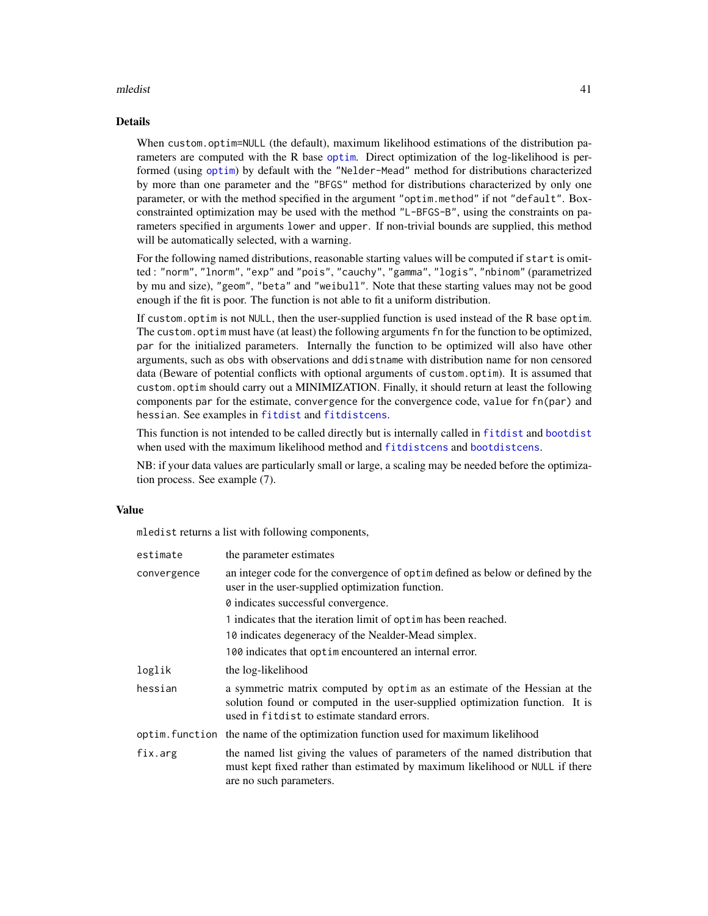#### <span id="page-40-0"></span>mledist the contract of the contract of the contract of the contract of the contract of the contract of the contract of the contract of the contract of the contract of the contract of the contract of the contract of the co

#### Details

When custom.optim=NULL (the default), maximum likelihood estimations of the distribution parameters are computed with the R base [optim](#page-0-0). Direct optimization of the log-likelihood is performed (using [optim](#page-0-0)) by default with the "Nelder-Mead" method for distributions characterized by more than one parameter and the "BFGS" method for distributions characterized by only one parameter, or with the method specified in the argument "optim.method" if not "default". Boxconstrainted optimization may be used with the method "L-BFGS-B", using the constraints on parameters specified in arguments lower and upper. If non-trivial bounds are supplied, this method will be automatically selected, with a warning.

For the following named distributions, reasonable starting values will be computed if start is omitted : "norm", "lnorm", "exp" and "pois", "cauchy", "gamma", "logis", "nbinom" (parametrized by mu and size), "geom", "beta" and "weibull". Note that these starting values may not be good enough if the fit is poor. The function is not able to fit a uniform distribution.

If custom.optim is not NULL, then the user-supplied function is used instead of the R base optim. The custom.optim must have (at least) the following arguments fn for the function to be optimized, par for the initialized parameters. Internally the function to be optimized will also have other arguments, such as obs with observations and ddistname with distribution name for non censored data (Beware of potential conflicts with optional arguments of custom.optim). It is assumed that custom.optim should carry out a MINIMIZATION. Finally, it should return at least the following components par for the estimate, convergence for the convergence code, value for fn(par) and hessian. See examples in [fitdist](#page-13-1) and [fitdistcens](#page-22-1).

This function is not intended to be called directly but is internally called in [fitdist](#page-13-1) and [bootdist](#page-1-1) when used with the maximum likelihood method and [fitdistcens](#page-22-1) and [bootdistcens](#page-4-1).

NB: if your data values are particularly small or large, a scaling may be needed before the optimization process. See example (7).

#### Value

mledist returns a list with following components,

| estimate    | the parameter estimates                                                                                                                                                                                    |  |
|-------------|------------------------------------------------------------------------------------------------------------------------------------------------------------------------------------------------------------|--|
| convergence | an integer code for the convergence of optime defined as below or defined by the<br>user in the user-supplied optimization function.                                                                       |  |
|             | 0 indicates successful convergence.                                                                                                                                                                        |  |
|             | 1 indicates that the iteration limit of optimines been reached.                                                                                                                                            |  |
|             | 10 indicates degeneracy of the Nealder-Mead simplex.                                                                                                                                                       |  |
|             | 100 indicates that optime not encountered an internal error.                                                                                                                                               |  |
| loglik      | the log-likelihood                                                                                                                                                                                         |  |
| hessian     | a symmetric matrix computed by optim as an estimate of the Hessian at the<br>solution found or computed in the user-supplied optimization function. It is<br>used in fit dist to estimate standard errors. |  |
|             | optim. function the name of the optimization function used for maximum likelihood                                                                                                                          |  |
| fix.arg     | the named list giving the values of parameters of the named distribution that<br>must kept fixed rather than estimated by maximum likelihood or NULL if there<br>are no such parameters.                   |  |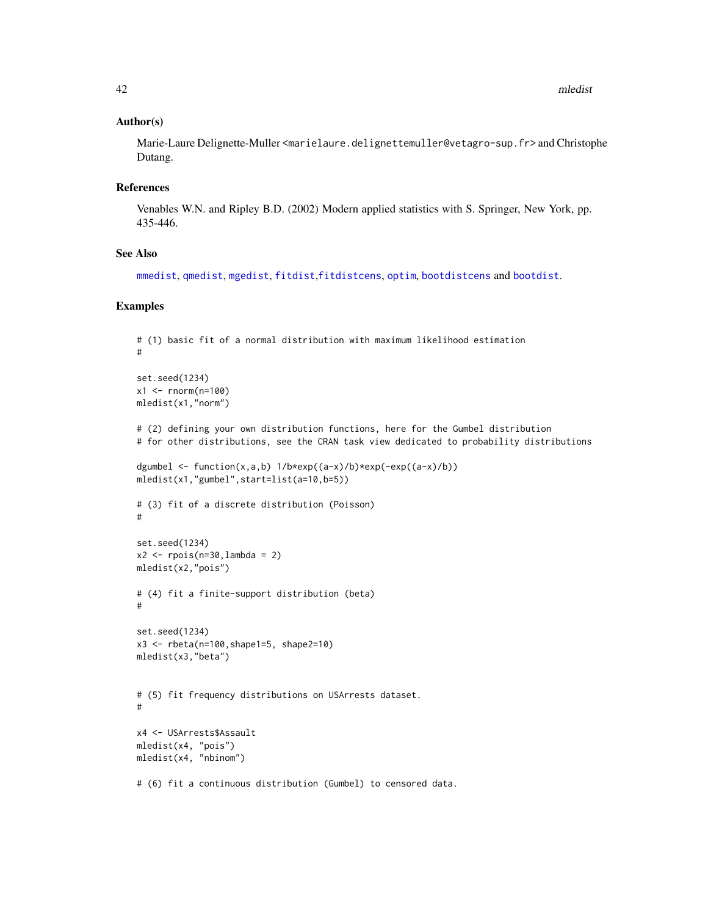#### <span id="page-41-0"></span>Author(s)

Marie-Laure Delignette-Muller <marielaure.delignettemuller@vetagro-sup.fr> and Christophe Dutang.

#### References

Venables W.N. and Ripley B.D. (2002) Modern applied statistics with S. Springer, New York, pp. 435-446.

#### See Also

[mmedist](#page-42-1), [qmedist](#page-49-1), [mgedist](#page-36-1), [fitdist](#page-13-1),[fitdistcens](#page-22-1), [optim](#page-0-0), [bootdistcens](#page-4-1) and [bootdist](#page-1-1).

```
# (1) basic fit of a normal distribution with maximum likelihood estimation
#
set.seed(1234)
x1 <- rnorm(n=100)mledist(x1,"norm")
# (2) defining your own distribution functions, here for the Gumbel distribution
# for other distributions, see the CRAN task view dedicated to probability distributions
dgumbel \le function(x,a,b) 1/b*exp((a-x)/b)*exp(-exp((a-x)/b))
mledist(x1,"gumbel",start=list(a=10,b=5))
# (3) fit of a discrete distribution (Poisson)
#
set.seed(1234)
x2 \leq - \text{rpois}(n=30, \text{lambda} = 2)mledist(x2,"pois")
# (4) fit a finite-support distribution (beta)
#
set.seed(1234)
x3 <- rbeta(n=100,shape1=5, shape2=10)
mledist(x3,"beta")
# (5) fit frequency distributions on USArrests dataset.
#
x4 <- USArrests$Assault
mledist(x4, "pois")
mledist(x4, "nbinom")
# (6) fit a continuous distribution (Gumbel) to censored data.
```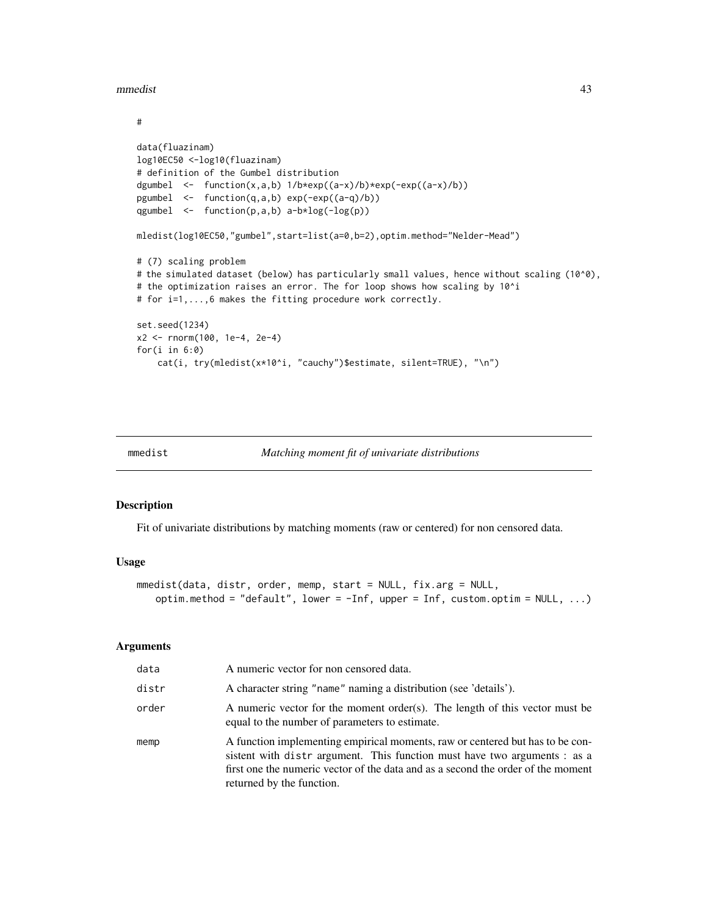<span id="page-42-0"></span>mmedist **43** 

```
#
data(fluazinam)
log10EC50 <-log10(fluazinam)
# definition of the Gumbel distribution
dgumbel <- function(x,a,b) 1/b*exp((a-x)/b)*exp(-exp((a-x)/b))
pgumbel <- function(q,a,b) exp(-exp((a-q)/b))
qgumbel \leq function(p,a,b) a-b*log(-log(p))
mledist(log10EC50,"gumbel",start=list(a=0,b=2),optim.method="Nelder-Mead")
# (7) scaling problem
# the simulated dataset (below) has particularly small values, hence without scaling (10^0),
# the optimization raises an error. The for loop shows how scaling by 10^i
# for i=1,...,6 makes the fitting procedure work correctly.
set.seed(1234)
x2 <- rnorm(100, 1e-4, 2e-4)
for(i in 6:0)
    cat(i, try(mledist(x*10^i, "cauchy")$estimate, silent=TRUE), "\n")
```
<span id="page-42-1"></span>

| mmedist | Matching moment fit of univariate distributions |  |  |
|---------|-------------------------------------------------|--|--|
|         |                                                 |  |  |

#### Description

Fit of univariate distributions by matching moments (raw or centered) for non censored data.

#### Usage

```
mmedist(data, distr, order, memp, start = NULL, fix.arg = NULL,
   optim.method = "default", lower = -Inf, upper = Inf, custom.optim = NULL, ...)
```
#### **Arguments**

| data  | A numeric vector for non censored data.                                                                                                                                                                                                                                    |
|-------|----------------------------------------------------------------------------------------------------------------------------------------------------------------------------------------------------------------------------------------------------------------------------|
| distr | A character string "name" naming a distribution (see 'details').                                                                                                                                                                                                           |
| order | A numeric vector for the moment order(s). The length of this vector must be<br>equal to the number of parameters to estimate.                                                                                                                                              |
| memp  | A function implementing empirical moments, raw or centered but has to be con-<br>sistent with distrargument. This function must have two arguments : as a<br>first one the numeric vector of the data and as a second the order of the moment<br>returned by the function. |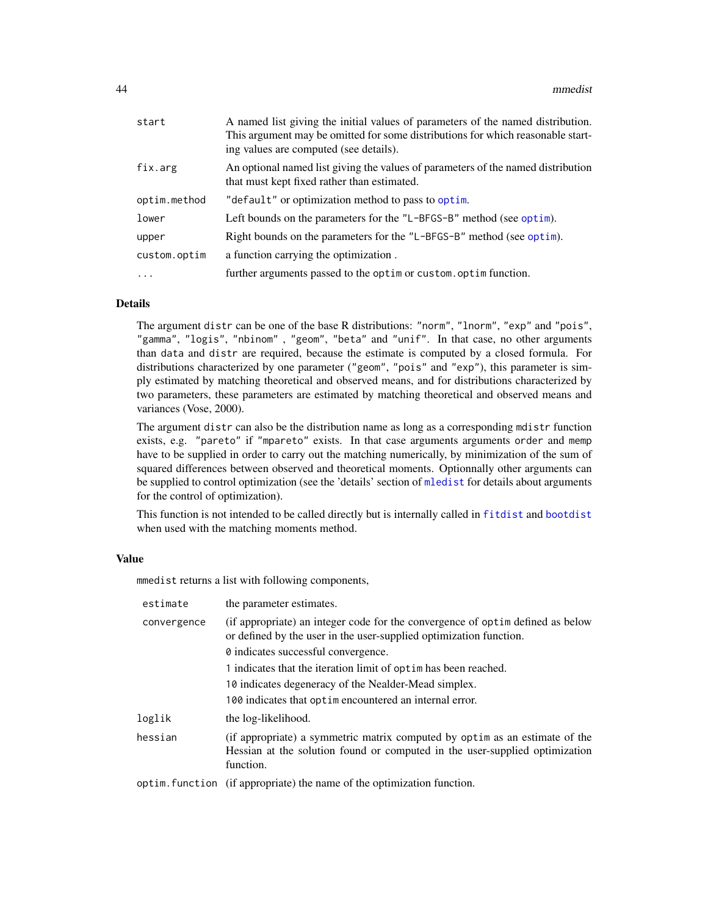<span id="page-43-0"></span>

| start        | A named list giving the initial values of parameters of the named distribution.<br>This argument may be omitted for some distributions for which reasonable start-<br>ing values are computed (see details). |
|--------------|--------------------------------------------------------------------------------------------------------------------------------------------------------------------------------------------------------------|
| fix.arg      | An optional named list giving the values of parameters of the named distribution<br>that must kept fixed rather than estimated.                                                                              |
| optim.method | "default" or optimization method to pass to optim.                                                                                                                                                           |
| lower        | Left bounds on the parameters for the "L-BFGS-B" method (see optim).                                                                                                                                         |
| upper        | Right bounds on the parameters for the "L-BFGS-B" method (see optim).                                                                                                                                        |
| custom.optim | a function carrying the optimization.                                                                                                                                                                        |
| $\ddots$     | further arguments passed to the optim or custom. optim function.                                                                                                                                             |

#### Details

The argument distr can be one of the base R distributions: "norm", "lnorm", "exp" and "pois", "gamma", "logis", "nbinom" , "geom", "beta" and "unif". In that case, no other arguments than data and distr are required, because the estimate is computed by a closed formula. For distributions characterized by one parameter ("geom", "pois" and "exp"), this parameter is simply estimated by matching theoretical and observed means, and for distributions characterized by two parameters, these parameters are estimated by matching theoretical and observed means and variances (Vose, 2000).

The argument distr can also be the distribution name as long as a corresponding mdistr function exists, e.g. "pareto" if "mpareto" exists. In that case arguments arguments order and memp have to be supplied in order to carry out the matching numerically, by minimization of the sum of squared differences between observed and theoretical moments. Optionnally other arguments can be supplied to control optimization (see the 'details' section of [mledist](#page-39-1) for details about arguments for the control of optimization).

This function is not intended to be called directly but is internally called in [fitdist](#page-13-1) and [bootdist](#page-1-1) when used with the matching moments method.

#### Value

mmedist returns a list with following components,

| estimate    | the parameter estimates.                                                                                                                                                |
|-------------|-------------------------------------------------------------------------------------------------------------------------------------------------------------------------|
| convergence | (if appropriate) an integer code for the convergence of optime defined as below<br>or defined by the user in the user-supplied optimization function.                   |
|             | 0 indicates successful convergence.                                                                                                                                     |
|             | 1 indicates that the iteration limit of optime has been reached.                                                                                                        |
|             | 10 indicates degeneracy of the Nealder-Mead simplex.                                                                                                                    |
|             | 100 indicates that optime not encountered an internal error.                                                                                                            |
| loglik      | the log-likelihood.                                                                                                                                                     |
| hessian     | (if appropriate) a symmetric matrix computed by optim as an estimate of the<br>Hessian at the solution found or computed in the user-supplied optimization<br>function. |
|             | optim. function (if appropriate) the name of the optimization function.                                                                                                 |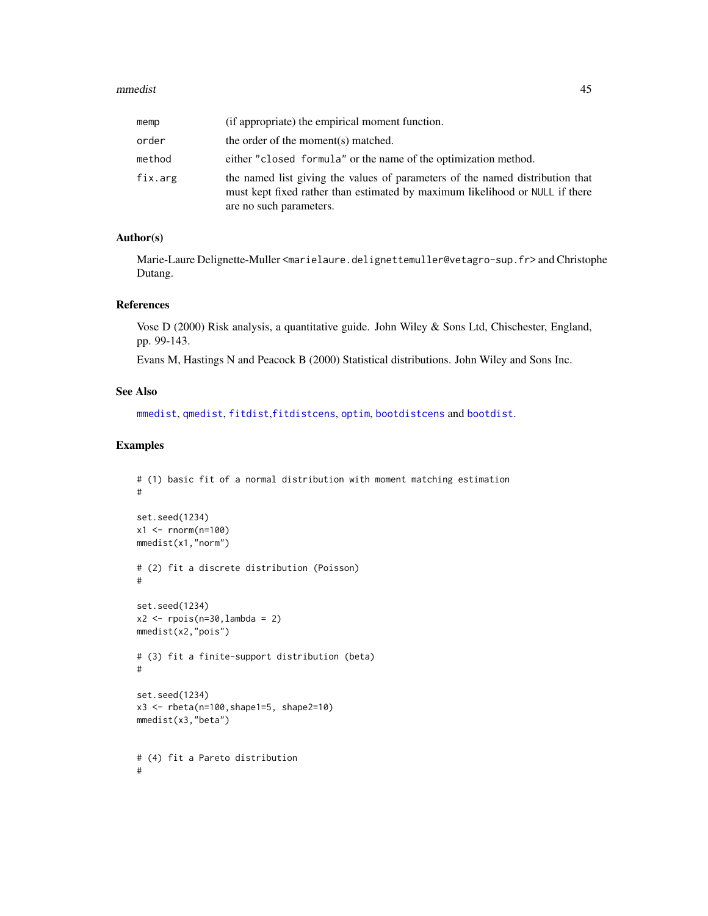#### <span id="page-44-0"></span>mmedist **45**

| memp    | (if appropriate) the empirical moment function.                                                                                                                                          |
|---------|------------------------------------------------------------------------------------------------------------------------------------------------------------------------------------------|
| order   | the order of the moment(s) matched.                                                                                                                                                      |
| method  | either "closed formula" or the name of the optimization method.                                                                                                                          |
| fix.arg | the named list giving the values of parameters of the named distribution that<br>must kept fixed rather than estimated by maximum likelihood or NULL if there<br>are no such parameters. |

#### Author(s)

Marie-Laure Delignette-Muller <marielaure.delignettemuller@vetagro-sup.fr> and Christophe Dutang.

#### References

Vose D (2000) Risk analysis, a quantitative guide. John Wiley & Sons Ltd, Chischester, England, pp. 99-143.

Evans M, Hastings N and Peacock B (2000) Statistical distributions. John Wiley and Sons Inc.

#### See Also

[mmedist](#page-42-1), [qmedist](#page-49-1), [fitdist](#page-13-1),[fitdistcens](#page-22-1), [optim](#page-0-0), [bootdistcens](#page-4-1) and [bootdist](#page-1-1).

```
# (1) basic fit of a normal distribution with moment matching estimation
#
set.seed(1234)
x1 <- rnorm(n=100)
mmedist(x1,"norm")
# (2) fit a discrete distribution (Poisson)
#
set.seed(1234)
x2 \le rpois(n=30, lambda = 2)
mmedist(x2,"pois")
# (3) fit a finite-support distribution (beta)
#
set.seed(1234)
x3 \le - \text{rbeta}(n=100, \text{shape1}=5, \text{shape2}=10)mmedist(x3,"beta")
# (4) fit a Pareto distribution
#
```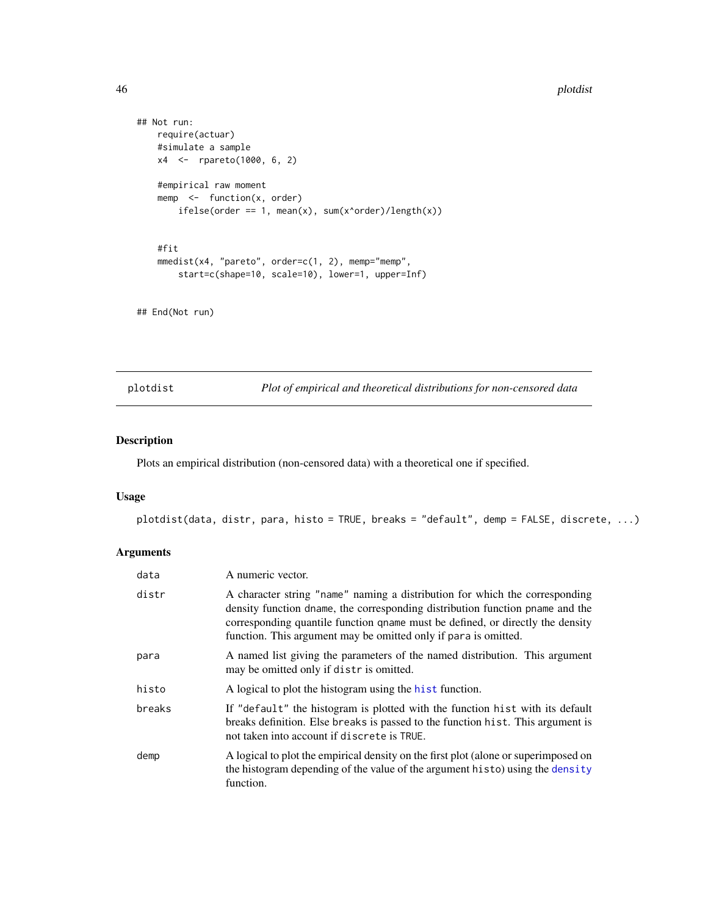#### 46 plotdist the property of the control of the plotdist probability of the plotdist  $p$

```
## Not run:
   require(actuar)
   #simulate a sample
   x4 <- rpareto(1000, 6, 2)
   #empirical raw moment
   memp \leq function(x, order)
       ifelse(order == 1, mean(x), sum(x^{\land}order)/length(x))#fit
   mmedist(x4, "pareto", order=c(1, 2), memp="memp",
       start=c(shape=10, scale=10), lower=1, upper=Inf)
```
## End(Not run)

<span id="page-45-1"></span>plotdist *Plot of empirical and theoretical distributions for non-censored data*

#### Description

Plots an empirical distribution (non-censored data) with a theoretical one if specified.

#### Usage

plotdist(data, distr, para, histo = TRUE, breaks = "default", demp = FALSE, discrete, ...)

#### Arguments

| data   | A numeric vector.                                                                                                                                                                                                                                                                                                 |
|--------|-------------------------------------------------------------------------------------------------------------------------------------------------------------------------------------------------------------------------------------------------------------------------------------------------------------------|
| distr  | A character string "name" naming a distribution for which the corresponding<br>density function dname, the corresponding distribution function pname and the<br>corresponding quantile function quame must be defined, or directly the density<br>function. This argument may be omitted only if para is omitted. |
| para   | A named list giving the parameters of the named distribution. This argument<br>may be omitted only if distr is omitted.                                                                                                                                                                                           |
| histo  | A logical to plot the histogram using the hist function.                                                                                                                                                                                                                                                          |
| breaks | If "default" the histogram is plotted with the function hist with its default<br>breaks definition. Else breaks is passed to the function hist. This argument is<br>not taken into account if discrete is TRUE.                                                                                                   |
| demp   | A logical to plot the empirical density on the first plot (alone or superimposed on<br>the histogram depending of the value of the argument histo) using the density<br>function.                                                                                                                                 |

<span id="page-45-0"></span>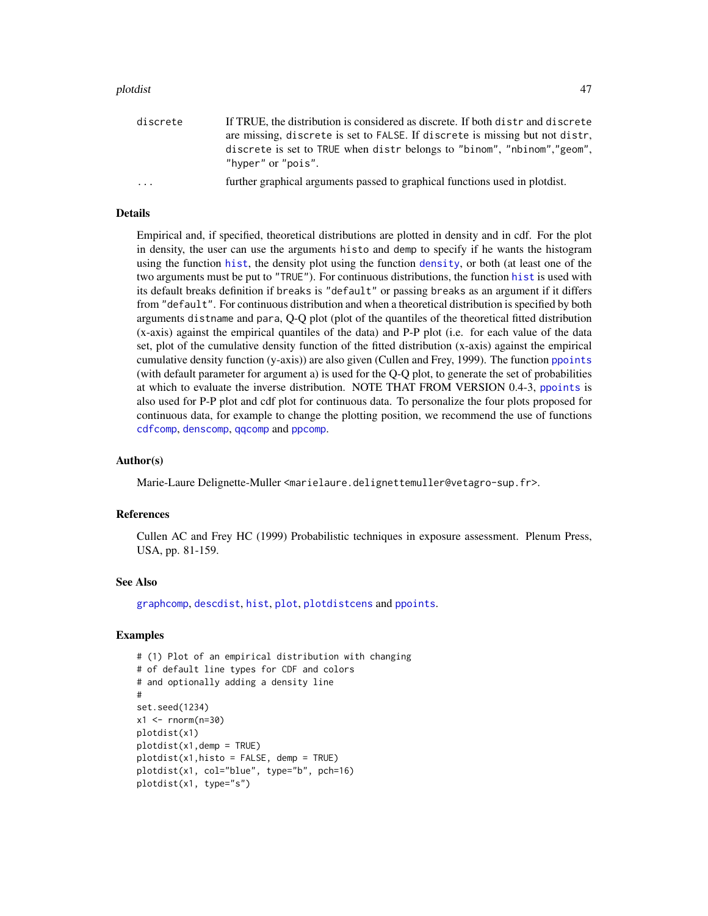#### <span id="page-46-0"></span>plotdist 47

| discrete                | If TRUE, the distribution is considered as discrete. If both distr and discrete                |
|-------------------------|------------------------------------------------------------------------------------------------|
|                         | are missing, discrete is set to FALSE. If discrete is missing but not distr.                   |
|                         | discrete is set to TRUE when distr belongs to "binom", "nbinom", "geom",<br>"hyper" or "pois". |
| $\cdot$ $\cdot$ $\cdot$ | further graphical arguments passed to graphical functions used in plotdist.                    |

#### Details

Empirical and, if specified, theoretical distributions are plotted in density and in cdf. For the plot in density, the user can use the arguments histo and demp to specify if he wants the histogram using the function [hist](#page-0-0), the density plot using the function [density](#page-0-0), or both (at least one of the two arguments must be put to "TRUE"). For continuous distributions, the function [hist](#page-0-0) is used with its default breaks definition if breaks is "default" or passing breaks as an argument if it differs from "default". For continuous distribution and when a theoretical distribution is specified by both arguments distname and para, Q-Q plot (plot of the quantiles of the theoretical fitted distribution (x-axis) against the empirical quantiles of the data) and P-P plot (i.e. for each value of the data set, plot of the cumulative density function of the fitted distribution (x-axis) against the empirical cumulative density function (y-axis)) are also given (Cullen and Frey, 1999). The function [ppoints](#page-0-0) (with default parameter for argument a) is used for the Q-Q plot, to generate the set of probabilities at which to evaluate the inverse distribution. NOTE THAT FROM VERSION 0.4-3, [ppoints](#page-0-0) is also used for P-P plot and cdf plot for continuous data. To personalize the four plots proposed for continuous data, for example to change the plotting position, we recommend the use of functions [cdfcomp](#page-31-1), [denscomp](#page-31-1), [qqcomp](#page-31-1) and [ppcomp](#page-31-1).

#### Author(s)

Marie-Laure Delignette-Muller <marielaure.delignettemuller@vetagro-sup.fr>.

#### References

Cullen AC and Frey HC (1999) Probabilistic techniques in exposure assessment. Plenum Press, USA, pp. 81-159.

#### See Also

[graphcomp](#page-31-2), [descdist](#page-9-1), [hist](#page-0-0), [plot](#page-0-0), [plotdistcens](#page-47-1) and [ppoints](#page-0-0).

```
# (1) Plot of an empirical distribution with changing
# of default line types for CDF and colors
# and optionally adding a density line
#
set.seed(1234)
x1 < - rnorm(n=30)
plotdist(x1)
plotdist(x1,demp = TRUE)plotdist(x1, histo = FALSE, demp = TRUE)plotdist(x1, col="blue", type="b", pch=16)
plotdist(x1, type="s")
```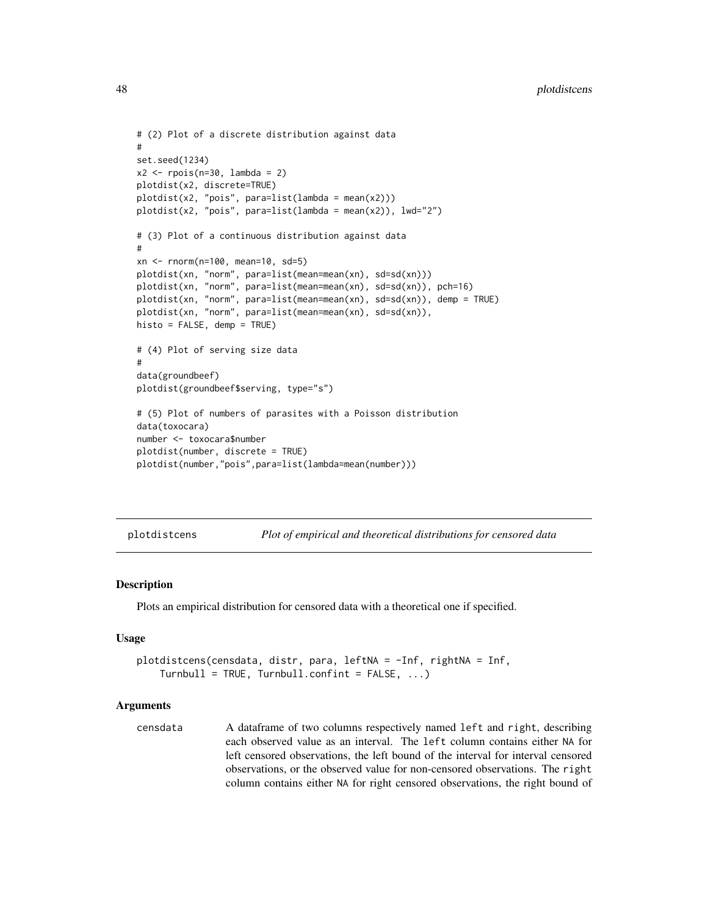```
# (2) Plot of a discrete distribution against data
#
set.seed(1234)
x2 \leq - \text{rpois}(n=30, \text{lambda} = 2)plotdist(x2, discrete=TRUE)
plotdist(x2, "pois", para=list(lambda = mean(x2)))
plotdist(x2, "pois", para=list(lambda = mean(x2)), lwd="2")
# (3) Plot of a continuous distribution against data
#
xn <- rnorm(n=100, mean=10, sd=5)
plotdist(xn, "norm", para=list(mean=mean(xn), sd=sd(xn)))
plotdist(xn, "norm", para=list(mean=mean(xn), sd=sd(xn)), pch=16)
plotdist(xn, "norm", para=list(mean=mean(xn), sd=sd(xn)), demp = TRUE)
plotdist(xn, "norm", para=list(mean=mean(xn), sd=sd(xn)),
histo = FALSE, demp = TRUE)
# (4) Plot of serving size data
#
data(groundbeef)
plotdist(groundbeef$serving, type="s")
# (5) Plot of numbers of parasites with a Poisson distribution
data(toxocara)
number <- toxocara$number
plotdist(number, discrete = TRUE)
plotdist(number,"pois",para=list(lambda=mean(number)))
```
<span id="page-47-1"></span>plotdistcens *Plot of empirical and theoretical distributions for censored data*

#### **Description**

Plots an empirical distribution for censored data with a theoretical one if specified.

#### Usage

```
plotdistcens(censdata, distr, para, leftNA = -Inf, rightNA = Inf,
   Turnbull = TRUE, Turnbull.config = FALSE, ...)
```
#### Arguments

censdata A dataframe of two columns respectively named left and right, describing each observed value as an interval. The left column contains either NA for left censored observations, the left bound of the interval for interval censored observations, or the observed value for non-censored observations. The right column contains either NA for right censored observations, the right bound of

<span id="page-47-0"></span>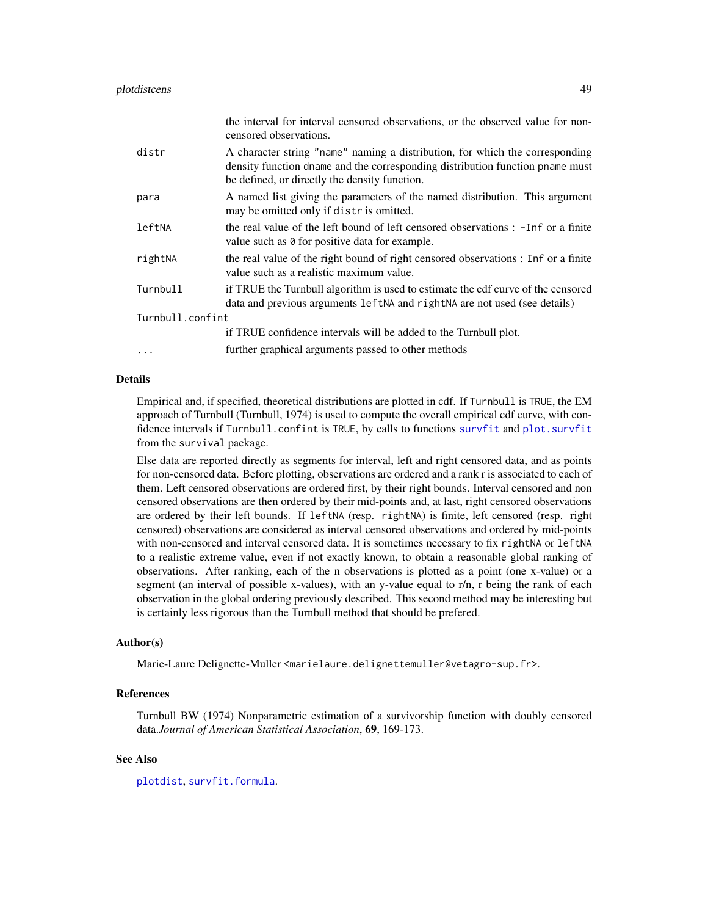<span id="page-48-0"></span>

|                  | the interval for interval censored observations, or the observed value for non-<br>censored observations.                                                                                                      |  |
|------------------|----------------------------------------------------------------------------------------------------------------------------------------------------------------------------------------------------------------|--|
| distr            | A character string "name" naming a distribution, for which the corresponding<br>density function dname and the corresponding distribution function pname must<br>be defined, or directly the density function. |  |
| para             | A named list giving the parameters of the named distribution. This argument<br>may be omitted only if distr is omitted.                                                                                        |  |
| leftNA           | the real value of the left bound of left censored observations : -Inf or a finite<br>value such as 0 for positive data for example.                                                                            |  |
| rightNA          | the real value of the right bound of right censored observations : Inf or a finite<br>value such as a realistic maximum value.                                                                                 |  |
| Turnbull         | if TRUE the Turnbull algorithm is used to estimate the cdf curve of the censored<br>data and previous arguments left NA and right NA are not used (see details)                                                |  |
| Turnbull.confint |                                                                                                                                                                                                                |  |
|                  | if TRUE confidence intervals will be added to the Turnbull plot.                                                                                                                                               |  |
| $\cdots$         | further graphical arguments passed to other methods                                                                                                                                                            |  |

#### Details

Empirical and, if specified, theoretical distributions are plotted in cdf. If Turnbull is TRUE, the EM approach of Turnbull (Turnbull, 1974) is used to compute the overall empirical cdf curve, with confidence intervals if Turnbull.confint is TRUE, by calls to functions [survfit](#page-0-0) and [plot.survfit](#page-0-0) from the survival package.

Else data are reported directly as segments for interval, left and right censored data, and as points for non-censored data. Before plotting, observations are ordered and a rank r is associated to each of them. Left censored observations are ordered first, by their right bounds. Interval censored and non censored observations are then ordered by their mid-points and, at last, right censored observations are ordered by their left bounds. If leftNA (resp. rightNA) is finite, left censored (resp. right censored) observations are considered as interval censored observations and ordered by mid-points with non-censored and interval censored data. It is sometimes necessary to fix rightNA or leftNA to a realistic extreme value, even if not exactly known, to obtain a reasonable global ranking of observations. After ranking, each of the n observations is plotted as a point (one x-value) or a segment (an interval of possible x-values), with an y-value equal to r/n, r being the rank of each observation in the global ordering previously described. This second method may be interesting but is certainly less rigorous than the Turnbull method that should be prefered.

#### Author(s)

Marie-Laure Delignette-Muller <marielaure.delignettemuller@vetagro-sup.fr>.

#### References

Turnbull BW (1974) Nonparametric estimation of a survivorship function with doubly censored data.*Journal of American Statistical Association*, 69, 169-173.

#### See Also

[plotdist](#page-45-1), [survfit.formula](#page-0-0).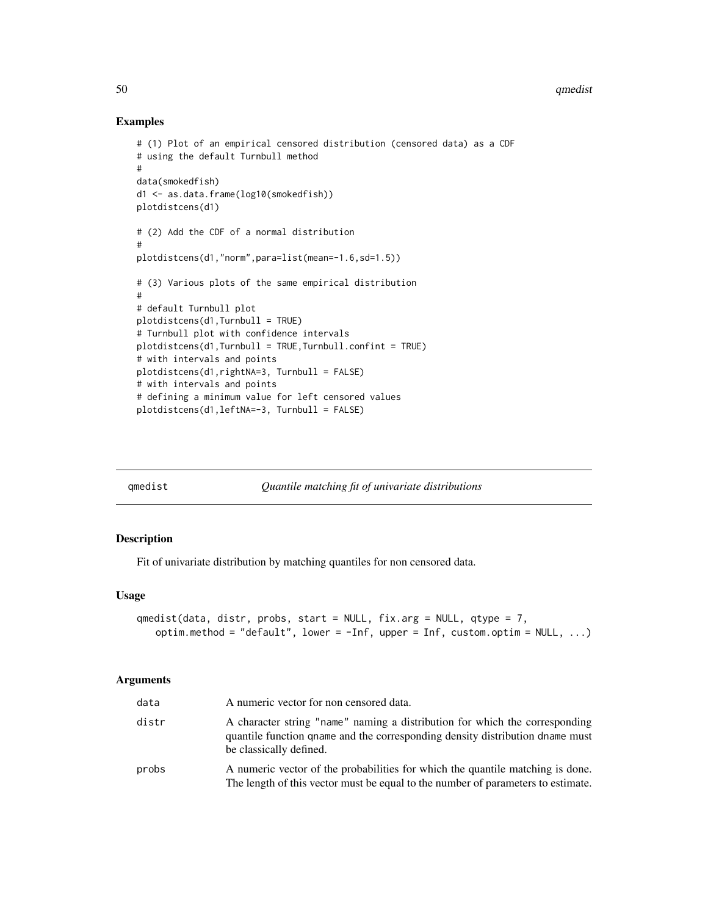#### Examples

```
# (1) Plot of an empirical censored distribution (censored data) as a CDF
# using the default Turnbull method
#
data(smokedfish)
d1 <- as.data.frame(log10(smokedfish))
plotdistcens(d1)
# (2) Add the CDF of a normal distribution
#
plotdistcens(d1,"norm",para=list(mean=-1.6,sd=1.5))
# (3) Various plots of the same empirical distribution
#
# default Turnbull plot
plotdistcens(d1,Turnbull = TRUE)
# Turnbull plot with confidence intervals
plotdistcens(d1,Turnbull = TRUE,Turnbull.confint = TRUE)
# with intervals and points
plotdistcens(d1,rightNA=3, Turnbull = FALSE)
# with intervals and points
# defining a minimum value for left censored values
plotdistcens(d1,leftNA=-3, Turnbull = FALSE)
```
<span id="page-49-1"></span>

| amedist |  |  |
|---------|--|--|
|         |  |  |

qmedist *Quantile matching fit of univariate distributions*

#### Description

Fit of univariate distribution by matching quantiles for non censored data.

#### Usage

```
qmedist(data, distr, probs, start = NULL, fix.arg = NULL, qtype = 7,
   optim.method = "default", lower = -Inf, upper = Inf, custom.optim = NULL, ...)
```
#### Arguments

| data  | A numeric vector for non censored data.                                                                                                                                                 |
|-------|-----------------------------------------------------------------------------------------------------------------------------------------------------------------------------------------|
| distr | A character string "name" naming a distribution for which the corresponding<br>quantile function qname and the corresponding density distribution dname must<br>be classically defined. |
| probs | A numeric vector of the probabilities for which the quantile matching is done.<br>The length of this vector must be equal to the number of parameters to estimate.                      |

<span id="page-49-0"></span>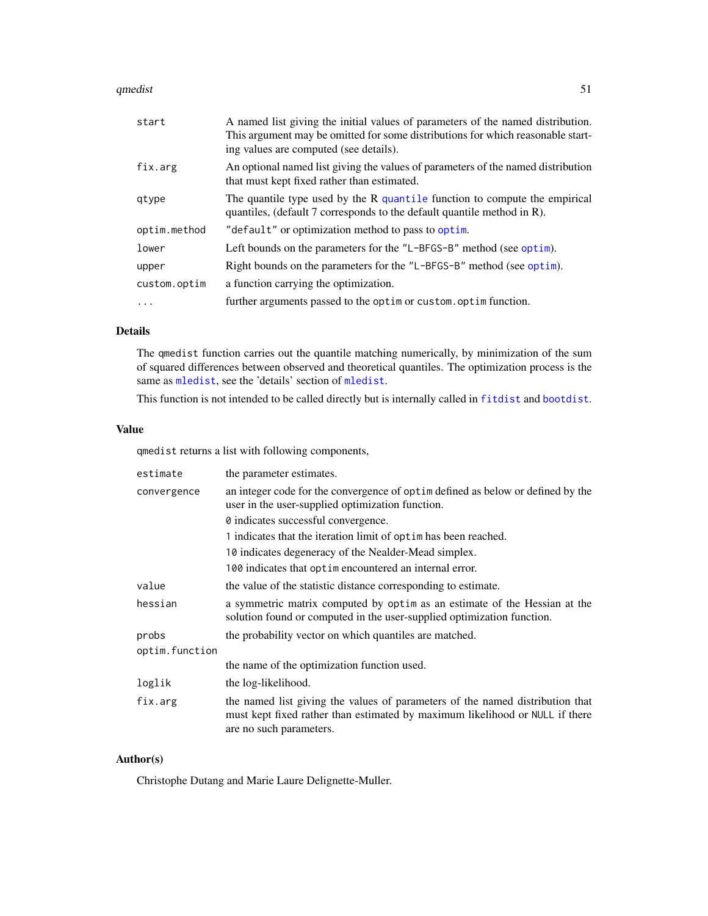#### <span id="page-50-0"></span>qmedist 51

| start        | A named list giving the initial values of parameters of the named distribution.<br>This argument may be omitted for some distributions for which reasonable start-<br>ing values are computed (see details). |
|--------------|--------------------------------------------------------------------------------------------------------------------------------------------------------------------------------------------------------------|
| fix.arg      | An optional named list giving the values of parameters of the named distribution<br>that must kept fixed rather than estimated.                                                                              |
| qtype        | The quantile type used by the R quantile function to compute the empirical<br>quantiles, (default 7 corresponds to the default quantile method in R).                                                        |
| optim.method | "default" or optimization method to pass to optim.                                                                                                                                                           |
| lower        | Left bounds on the parameters for the "L-BFGS-B" method (see optim).                                                                                                                                         |
| upper        | Right bounds on the parameters for the "L-BFGS-B" method (see optim).                                                                                                                                        |
| custom.optim | a function carrying the optimization.                                                                                                                                                                        |
| $\cdot$      | further arguments passed to the optim or custom. optim function.                                                                                                                                             |

#### Details

The qmedist function carries out the quantile matching numerically, by minimization of the sum of squared differences between observed and theoretical quantiles. The optimization process is the same as [mledist](#page-39-1), see the 'details' section of [mledist](#page-39-1).

This function is not intended to be called directly but is internally called in [fitdist](#page-13-1) and [bootdist](#page-1-1).

#### Value

qmedist returns a list with following components,

| estimate       | the parameter estimates.                                                                                                                                                                 |
|----------------|------------------------------------------------------------------------------------------------------------------------------------------------------------------------------------------|
| convergence    | an integer code for the convergence of optime defined as below or defined by the<br>user in the user-supplied optimization function.                                                     |
|                | 0 indicates successful convergence.                                                                                                                                                      |
|                | 1 indicates that the iteration limit of optimines been reached.                                                                                                                          |
|                | 10 indicates degeneracy of the Nealder-Mead simplex.                                                                                                                                     |
|                | 100 indicates that optimenrountered an internal error.                                                                                                                                   |
| value          | the value of the statistic distance corresponding to estimate.                                                                                                                           |
| hessian        | a symmetric matrix computed by optim as an estimate of the Hessian at the<br>solution found or computed in the user-supplied optimization function.                                      |
| probs          | the probability vector on which quantiles are matched.                                                                                                                                   |
| optim.function |                                                                                                                                                                                          |
|                | the name of the optimization function used.                                                                                                                                              |
| loglik         | the log-likelihood.                                                                                                                                                                      |
| fix.arg        | the named list giving the values of parameters of the named distribution that<br>must kept fixed rather than estimated by maximum likelihood or NULL if there<br>are no such parameters. |

#### Author(s)

Christophe Dutang and Marie Laure Delignette-Muller.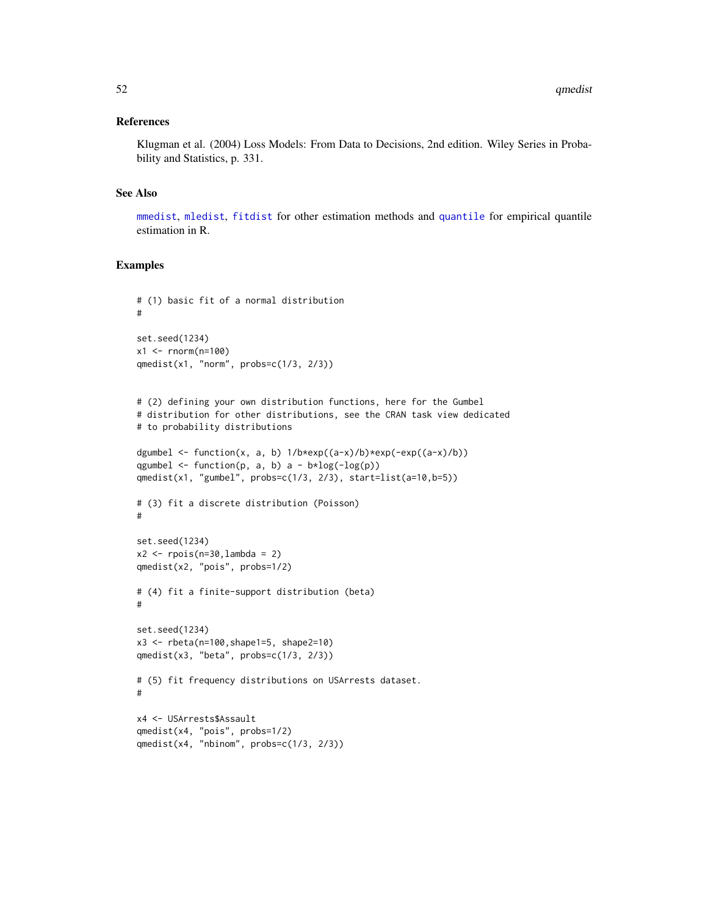#### <span id="page-51-0"></span>References

Klugman et al. (2004) Loss Models: From Data to Decisions, 2nd edition. Wiley Series in Probability and Statistics, p. 331.

#### See Also

[mmedist](#page-42-1), [mledist](#page-39-1), [fitdist](#page-13-1) for other estimation methods and [quantile](#page-0-0) for empirical quantile estimation in R.

```
# (1) basic fit of a normal distribution
#
set.seed(1234)
x1 <- rnorm(n=100)qmedist(x1, "norm", probs=c(1/3, 2/3))
# (2) defining your own distribution functions, here for the Gumbel
# distribution for other distributions, see the CRAN task view dedicated
# to probability distributions
dgumbel <- function(x, a, b) 1/b*exp((a-x)/b)*exp(-exp((a-x)/b))qgumbel \leq function(p, a, b) a - b*log(-log(p))
qmedist(x1, "gumbel", probs=c(1/3, 2/3), start=list(a=10,b=5))
# (3) fit a discrete distribution (Poisson)
#
set.seed(1234)
x2 <- rpois(n=30,lambda = 2)
qmedist(x2, "pois", probs=1/2)
# (4) fit a finite-support distribution (beta)
#
set.seed(1234)
x3 <- rbeta(n=100,shape1=5, shape2=10)
qmedist(x3, "beta", probs=c(1/3, 2/3))
# (5) fit frequency distributions on USArrests dataset.
#
x4 <- USArrests$Assault
qmedist(x4, "pois", probs=1/2)
qmedist(x4, "nbinom", probs=c(1/3, 2/3))
```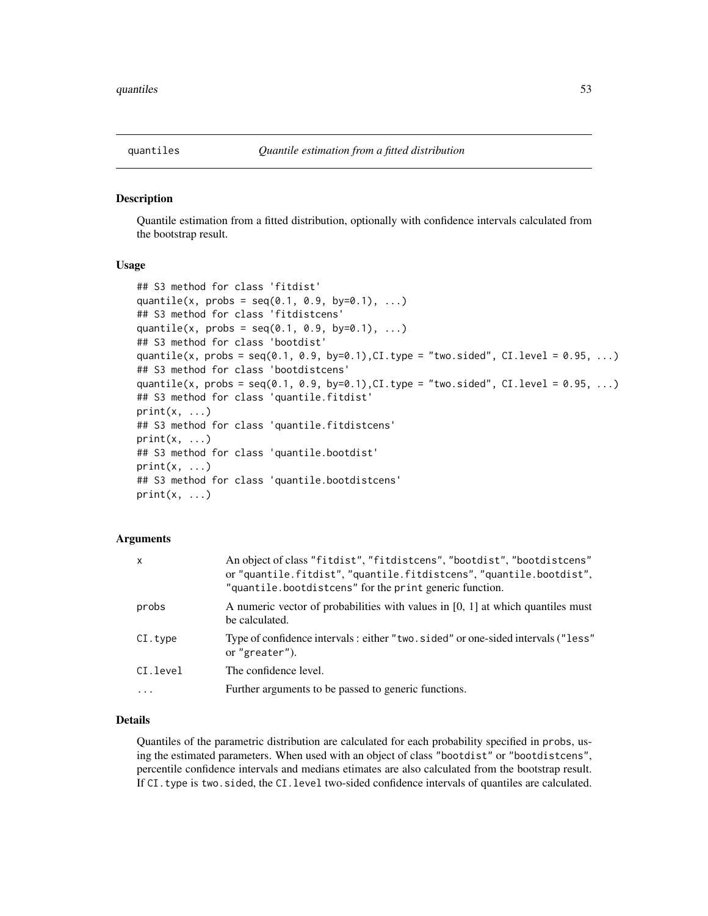#### <span id="page-52-1"></span><span id="page-52-0"></span>Description

Quantile estimation from a fitted distribution, optionally with confidence intervals calculated from the bootstrap result.

#### Usage

```
## S3 method for class 'fitdist'
quantile(x, probs = seq(0.1, 0.9, by=0.1), ...)
## S3 method for class 'fitdistcens'
quantile(x, probs = seq(0.1, 0.9, by=0.1), ...)
## S3 method for class 'bootdist'
quantile(x, probs = seq(0.1, 0.9, by=0.1), CI. type = "two. sided", CI. level = 0.95, ...)## S3 method for class 'bootdistcens'
quantile(x, probs = seq(0.1, 0.9, by=0.1), CI.type = "two.sided", CI.level = 0.95, ...)
## S3 method for class 'quantile.fitdist'
print(x, \ldots)## S3 method for class 'quantile.fitdistcens'
print(x, \ldots)## S3 method for class 'quantile.bootdist'
print(x, \ldots)## S3 method for class 'quantile.bootdistcens'
print(x, \ldots)
```
#### **Arguments**

| $\mathsf{x}$ | An object of class "fitdist", "fitdistcens", "bootdist", "bootdistcens"<br>or "quantile.fitdist", "quantile.fitdistcens", "quantile.bootdist",<br>"quantile.bootdistcens" for the print generic function. |
|--------------|-----------------------------------------------------------------------------------------------------------------------------------------------------------------------------------------------------------|
| probs        | A numeric vector of probabilities with values in $[0, 1]$ at which quantiles must<br>be calculated.                                                                                                       |
| CI.type      | Type of confidence intervals: either "two. sided" or one-sided intervals ("less"<br>or "greater").                                                                                                        |
| CI.level     | The confidence level.                                                                                                                                                                                     |
| $\ddots$     | Further arguments to be passed to generic functions.                                                                                                                                                      |

#### Details

Quantiles of the parametric distribution are calculated for each probability specified in probs, using the estimated parameters. When used with an object of class "bootdist" or "bootdistcens", percentile confidence intervals and medians etimates are also calculated from the bootstrap result. If CI.type is two.sided, the CI.level two-sided confidence intervals of quantiles are calculated.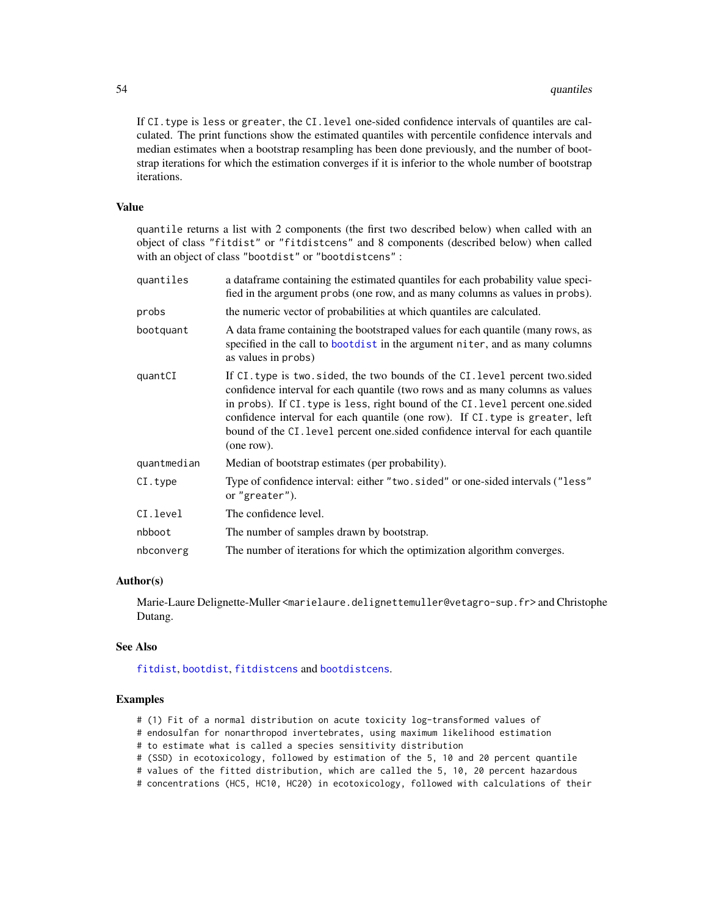<span id="page-53-0"></span>If CI.type is less or greater, the CI.level one-sided confidence intervals of quantiles are calculated. The print functions show the estimated quantiles with percentile confidence intervals and median estimates when a bootstrap resampling has been done previously, and the number of bootstrap iterations for which the estimation converges if it is inferior to the whole number of bootstrap iterations.

#### Value

quantile returns a list with 2 components (the first two described below) when called with an object of class "fitdist" or "fitdistcens" and 8 components (described below) when called with an object of class "bootdist" or "bootdistcens" :

| quantiles   | a dataframe containing the estimated quantiles for each probability value speci-<br>fied in the argument probs (one row, and as many columns as values in probs).                                                                                                                                                                                                                                                                 |
|-------------|-----------------------------------------------------------------------------------------------------------------------------------------------------------------------------------------------------------------------------------------------------------------------------------------------------------------------------------------------------------------------------------------------------------------------------------|
| probs       | the numeric vector of probabilities at which quantiles are calculated.                                                                                                                                                                                                                                                                                                                                                            |
| bootquant   | A data frame containing the bootstraped values for each quantile (many rows, as<br>specified in the call to bootdist in the argument niter, and as many columns<br>as values in probs)                                                                                                                                                                                                                                            |
| quantCI     | If CI, type is two, sided, the two bounds of the CI, level percent two, sided<br>confidence interval for each quantile (two rows and as many columns as values<br>in probs). If CI, type is less, right bound of the CI, level percent one sided<br>confidence interval for each quantile (one row). If CI, type is greater, left<br>bound of the CI. level percent one sided confidence interval for each quantile<br>(one row). |
| quantmedian | Median of bootstrap estimates (per probability).                                                                                                                                                                                                                                                                                                                                                                                  |
| CI.type     | Type of confidence interval: either "two.sided" or one-sided intervals ("less"<br>or "greater").                                                                                                                                                                                                                                                                                                                                  |
| CI.level    | The confidence level.                                                                                                                                                                                                                                                                                                                                                                                                             |
| nbboot      | The number of samples drawn by bootstrap.                                                                                                                                                                                                                                                                                                                                                                                         |
| nbconverg   | The number of iterations for which the optimization algorithm converges.                                                                                                                                                                                                                                                                                                                                                          |

#### Author(s)

Marie-Laure Delignette-Muller <marielaure.delignettemuller@vetagro-sup.fr> and Christophe Dutang.

#### See Also

[fitdist](#page-13-1), [bootdist](#page-1-1), [fitdistcens](#page-22-1) and [bootdistcens](#page-4-1).

- # (1) Fit of a normal distribution on acute toxicity log-transformed values of
- # endosulfan for nonarthropod invertebrates, using maximum likelihood estimation
- # to estimate what is called a species sensitivity distribution
- # (SSD) in ecotoxicology, followed by estimation of the 5, 10 and 20 percent quantile
- # values of the fitted distribution, which are called the 5, 10, 20 percent hazardous
- # concentrations (HC5, HC10, HC20) in ecotoxicology, followed with calculations of their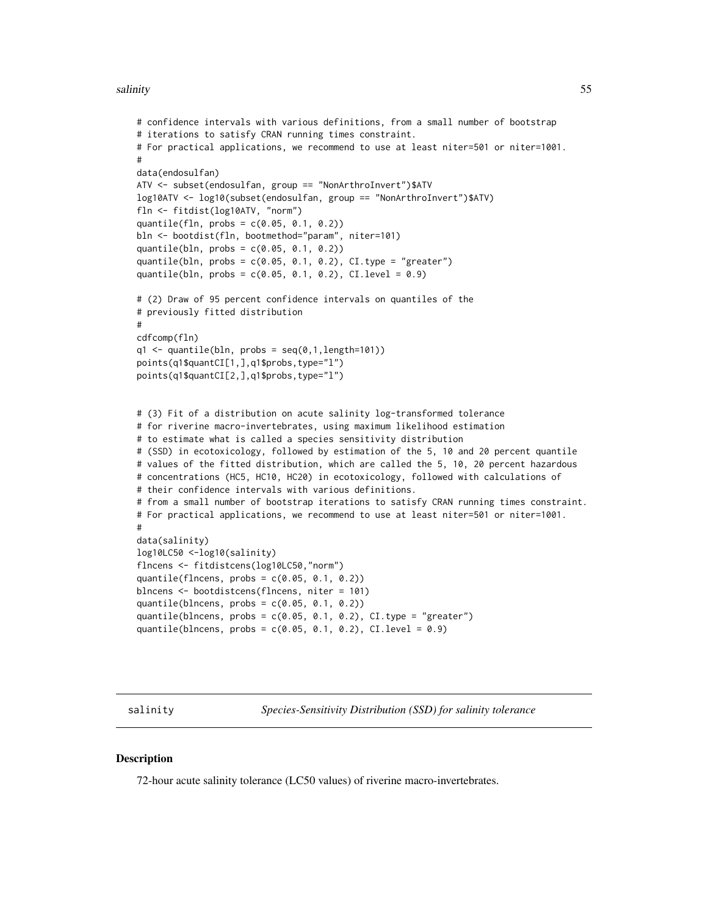#### <span id="page-54-0"></span>salinity 55

```
# confidence intervals with various definitions, from a small number of bootstrap
# iterations to satisfy CRAN running times constraint.
# For practical applications, we recommend to use at least niter=501 or niter=1001.
#
data(endosulfan)
ATV <- subset(endosulfan, group == "NonArthroInvert")$ATV
log10ATV <- log10(subset(endosulfan, group == "NonArthroInvert")$ATV)
fln <- fitdist(log10ATV, "norm")
quantile(fln, probs = c(0.05, 0.1, 0.2))
bln <- bootdist(fln, bootmethod="param", niter=101)
quantile(bln, probs = c(0.05, 0.1, 0.2))
quantile(bln, probs = c(0.05, 0.1, 0.2), CI.type = "greater")
quantile(bln, probs = c(0.05, 0.1, 0.2), CI.level = 0.9)
# (2) Draw of 95 percent confidence intervals on quantiles of the
# previously fitted distribution
#
cdfcomp(fln)
q1 \leftarrow quantile(bln, probs = seq(0,1,length=101))
points(q1$quantCI[1,],q1$probs,type="l")
points(q1$quantCI[2,],q1$probs,type="l")
# (3) Fit of a distribution on acute salinity log-transformed tolerance
# for riverine macro-invertebrates, using maximum likelihood estimation
# to estimate what is called a species sensitivity distribution
# (SSD) in ecotoxicology, followed by estimation of the 5, 10 and 20 percent quantile
# values of the fitted distribution, which are called the 5, 10, 20 percent hazardous
# concentrations (HC5, HC10, HC20) in ecotoxicology, followed with calculations of
# their confidence intervals with various definitions.
# from a small number of bootstrap iterations to satisfy CRAN running times constraint.
# For practical applications, we recommend to use at least niter=501 or niter=1001.
#
data(salinity)
log10LC50 <-log10(salinity)
flncens <- fitdistcens(log10LC50,"norm")
quantile(flncens, probs = c(0.05, 0.1, 0.2))
blncens <- bootdistcens(flncens, niter = 101)
quantile(blncens, probs = c(0.05, 0.1, 0.2))
quantile(blncens, probs = c(0.05, 0.1, 0.2), CI.type = "greater")
quantile(blncens, probs = c(0.05, 0.1, 0.2), CI.level = 0.9)
```
salinity *Species-Sensitivity Distribution (SSD) for salinity tolerance*

#### **Description**

72-hour acute salinity tolerance (LC50 values) of riverine macro-invertebrates.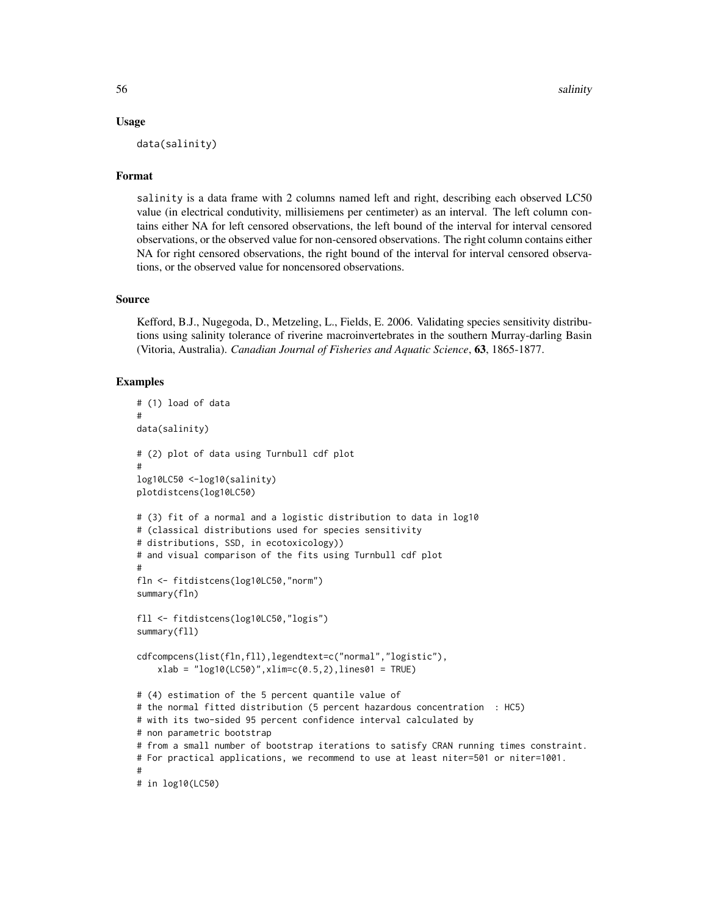#### Usage

data(salinity)

#### Format

salinity is a data frame with 2 columns named left and right, describing each observed LC50 value (in electrical condutivity, millisiemens per centimeter) as an interval. The left column contains either NA for left censored observations, the left bound of the interval for interval censored observations, or the observed value for non-censored observations. The right column contains either NA for right censored observations, the right bound of the interval for interval censored observations, or the observed value for noncensored observations.

#### Source

Kefford, B.J., Nugegoda, D., Metzeling, L., Fields, E. 2006. Validating species sensitivity distributions using salinity tolerance of riverine macroinvertebrates in the southern Murray-darling Basin (Vitoria, Australia). *Canadian Journal of Fisheries and Aquatic Science*, 63, 1865-1877.

```
# (1) load of data
#
data(salinity)
# (2) plot of data using Turnbull cdf plot
#
log10LC50 <-log10(salinity)
plotdistcens(log10LC50)
# (3) fit of a normal and a logistic distribution to data in log10
# (classical distributions used for species sensitivity
# distributions, SSD, in ecotoxicology))
# and visual comparison of the fits using Turnbull cdf plot
#
fln <- fitdistcens(log10LC50,"norm")
summary(fln)
fll <- fitdistcens(log10LC50,"logis")
summary(fll)
cdfcompcens(list(fln,fll),legendtext=c("normal","logistic"),
    xlab = "log10(LC50)",xlim=c(0.5,2),lines01 = TRUE)
# (4) estimation of the 5 percent quantile value of
# the normal fitted distribution (5 percent hazardous concentration : HC5)
# with its two-sided 95 percent confidence interval calculated by
# non parametric bootstrap
# from a small number of bootstrap iterations to satisfy CRAN running times constraint.
# For practical applications, we recommend to use at least niter=501 or niter=1001.
#
# in log10(LC50)
```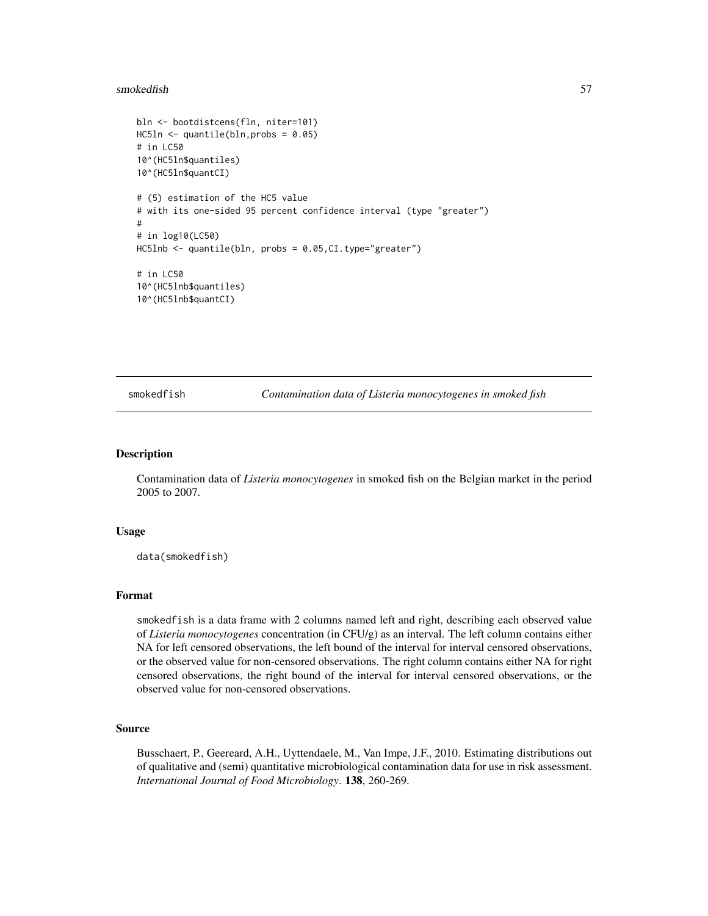#### <span id="page-56-0"></span>smokedfish 57

```
bln <- bootdistcens(fln, niter=101)
HC5ln <- quantile(bln,probs = 0.05)
# in LC50
10^(HC5ln$quantiles)
10^(HC5ln$quantCI)
# (5) estimation of the HC5 value
# with its one-sided 95 percent confidence interval (type "greater")
#
# in log10(LC50)
HC5lnb <- quantile(bln, probs = 0.05,CI.type="greater")
# in LC50
10^(HC5lnb$quantiles)
10^(HC5lnb$quantCI)
```
smokedfish *Contamination data of Listeria monocytogenes in smoked fish*

#### Description

Contamination data of *Listeria monocytogenes* in smoked fish on the Belgian market in the period 2005 to 2007.

#### Usage

data(smokedfish)

#### Format

smokedfish is a data frame with 2 columns named left and right, describing each observed value of *Listeria monocytogenes* concentration (in CFU/g) as an interval. The left column contains either NA for left censored observations, the left bound of the interval for interval censored observations, or the observed value for non-censored observations. The right column contains either NA for right censored observations, the right bound of the interval for interval censored observations, or the observed value for non-censored observations.

#### Source

Busschaert, P., Geereard, A.H., Uyttendaele, M., Van Impe, J.F., 2010. Estimating distributions out of qualitative and (semi) quantitative microbiological contamination data for use in risk assessment. *International Journal of Food Microbiology*. 138, 260-269.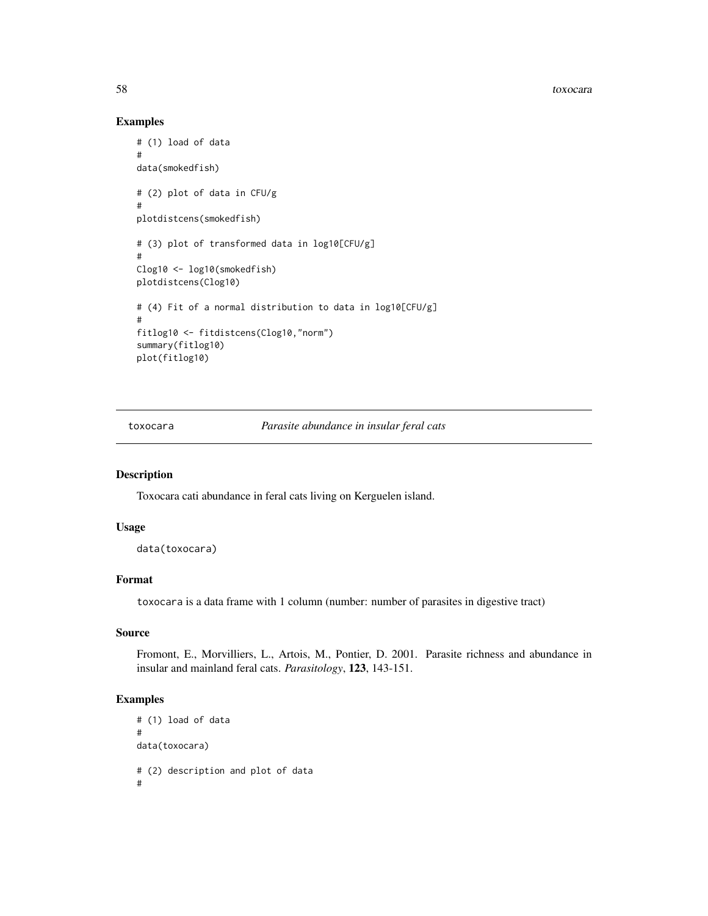<span id="page-57-0"></span>58 toxocara e a contra a contra a contra a contra a contra a contra a contra a contra a contra a contra a contra a contra a contra a contra a contra a contra a contra a contra a contra a contra a contra a contra a contra a

#### Examples

```
# (1) load of data
#
data(smokedfish)
# (2) plot of data in CFU/g
#
plotdistcens(smokedfish)
# (3) plot of transformed data in log10[CFU/g]
#
Clog10 <- log10(smokedfish)
plotdistcens(Clog10)
# (4) Fit of a normal distribution to data in log10[CFU/g]
#
fitlog10 <- fitdistcens(Clog10,"norm")
summary(fitlog10)
plot(fitlog10)
```
toxocara *Parasite abundance in insular feral cats*

#### Description

Toxocara cati abundance in feral cats living on Kerguelen island.

#### Usage

```
data(toxocara)
```
#### Format

toxocara is a data frame with 1 column (number: number of parasites in digestive tract)

#### Source

Fromont, E., Morvilliers, L., Artois, M., Pontier, D. 2001. Parasite richness and abundance in insular and mainland feral cats. *Parasitology*, 123, 143-151.

```
# (1) load of data
#
data(toxocara)
# (2) description and plot of data
#
```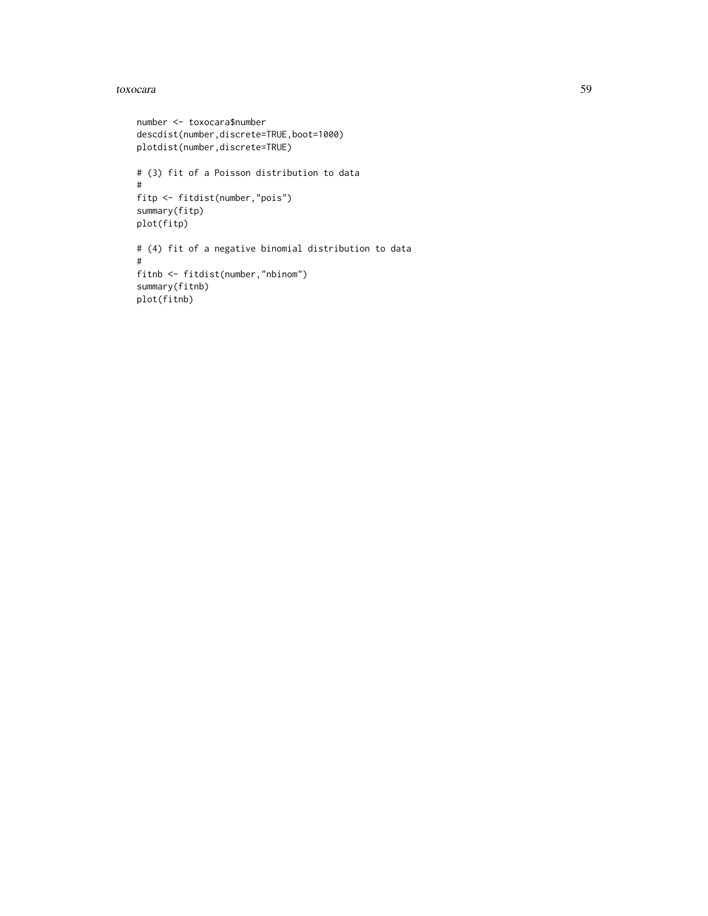#### toxocara 59

```
number <- toxocara$number
descdist(number,discrete=TRUE,boot=1000)
plotdist(number,discrete=TRUE)
# (3) fit of a Poisson distribution to data
#
fitp <- fitdist(number,"pois")
summary(fitp)
plot(fitp)
# (4) fit of a negative binomial distribution to data
#
fitnb <- fitdist(number,"nbinom")
summary(fitnb)
plot(fitnb)
```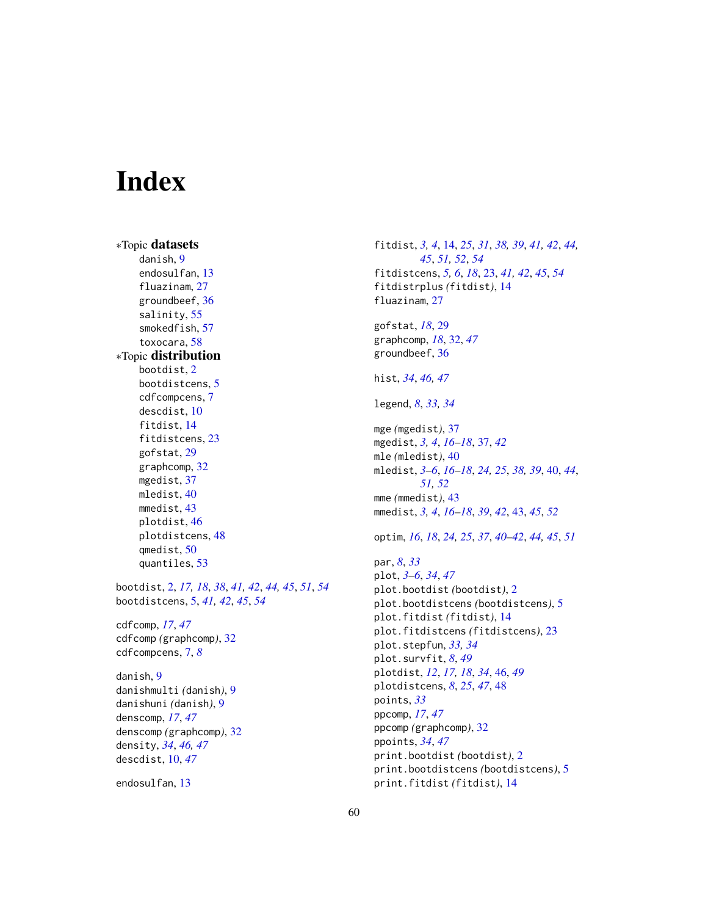# <span id="page-59-0"></span>**Index**

∗Topic datasets danish, [9](#page-8-0) endosulfan, [13](#page-12-0) fluazinam, [27](#page-26-0) groundbeef, [36](#page-35-0) salinity, [55](#page-54-0) smokedfish, [57](#page-56-0) toxocara, [58](#page-57-0) ∗Topic distribution bootdist, [2](#page-1-0) bootdistcens, [5](#page-4-0) cdfcompcens, [7](#page-6-0) descdist, [10](#page-9-0) fitdist, [14](#page-13-0) fitdistcens, [23](#page-22-0) gofstat, [29](#page-28-0) graphcomp, [32](#page-31-0) mgedist, [37](#page-36-0) mledist, [40](#page-39-0) mmedist, [43](#page-42-0) plotdist, [46](#page-45-0) plotdistcens, [48](#page-47-0) qmedist, [50](#page-49-0) quantiles, [53](#page-52-0)

bootdist, [2,](#page-1-0) *[17,](#page-16-0) [18](#page-17-0)*, *[38](#page-37-0)*, *[41,](#page-40-0) [42](#page-41-0)*, *[44,](#page-43-0) [45](#page-44-0)*, *[51](#page-50-0)*, *[54](#page-53-0)* bootdistcens, [5,](#page-4-0) *[41,](#page-40-0) [42](#page-41-0)*, *[45](#page-44-0)*, *[54](#page-53-0)*

cdfcomp, *[17](#page-16-0)*, *[47](#page-46-0)* cdfcomp *(*graphcomp*)*, [32](#page-31-0) cdfcompcens, [7,](#page-6-0) *[8](#page-7-0)*

danish, [9](#page-8-0) danishmulti *(*danish*)*, [9](#page-8-0) danishuni *(*danish*)*, [9](#page-8-0) denscomp, *[17](#page-16-0)*, *[47](#page-46-0)* denscomp *(*graphcomp*)*, [32](#page-31-0) density, *[34](#page-33-0)*, *[46,](#page-45-0) [47](#page-46-0)* descdist, [10,](#page-9-0) *[47](#page-46-0)*

endosulfan, [13](#page-12-0)

fitdist, *[3,](#page-2-0) [4](#page-3-0)*, [14,](#page-13-0) *[25](#page-24-0)*, *[31](#page-30-0)*, *[38,](#page-37-0) [39](#page-38-0)*, *[41,](#page-40-0) [42](#page-41-0)*, *[44,](#page-43-0) [45](#page-44-0)*, *[51,](#page-50-0) [52](#page-51-0)*, *[54](#page-53-0)* fitdistcens, *[5,](#page-4-0) [6](#page-5-0)*, *[18](#page-17-0)*, [23,](#page-22-0) *[41,](#page-40-0) [42](#page-41-0)*, *[45](#page-44-0)*, *[54](#page-53-0)* fitdistrplus *(*fitdist*)*, [14](#page-13-0) fluazinam, [27](#page-26-0)

gofstat, *[18](#page-17-0)*, [29](#page-28-0) graphcomp, *[18](#page-17-0)*, [32,](#page-31-0) *[47](#page-46-0)* groundbeef, [36](#page-35-0)

hist, *[34](#page-33-0)*, *[46,](#page-45-0) [47](#page-46-0)*

legend, *[8](#page-7-0)*, *[33,](#page-32-0) [34](#page-33-0)*

mge *(*mgedist*)*, [37](#page-36-0) mgedist, *[3,](#page-2-0) [4](#page-3-0)*, *[16](#page-15-0)[–18](#page-17-0)*, [37,](#page-36-0) *[42](#page-41-0)* mle *(*mledist*)*, [40](#page-39-0) mledist, *[3](#page-2-0)[–6](#page-5-0)*, *[16](#page-15-0)[–18](#page-17-0)*, *[24,](#page-23-0) [25](#page-24-0)*, *[38,](#page-37-0) [39](#page-38-0)*, [40,](#page-39-0) *[44](#page-43-0)*, *[51,](#page-50-0) [52](#page-51-0)* mme *(*mmedist*)*, [43](#page-42-0) mmedist, *[3,](#page-2-0) [4](#page-3-0)*, *[16](#page-15-0)[–18](#page-17-0)*, *[39](#page-38-0)*, *[42](#page-41-0)*, [43,](#page-42-0) *[45](#page-44-0)*, *[52](#page-51-0)*

optim, *[16](#page-15-0)*, *[18](#page-17-0)*, *[24,](#page-23-0) [25](#page-24-0)*, *[37](#page-36-0)*, *[40](#page-39-0)[–42](#page-41-0)*, *[44,](#page-43-0) [45](#page-44-0)*, *[51](#page-50-0)*

par, *[8](#page-7-0)*, *[33](#page-32-0)* plot, *[3–](#page-2-0)[6](#page-5-0)*, *[34](#page-33-0)*, *[47](#page-46-0)* plot.bootdist *(*bootdist*)*, [2](#page-1-0) plot.bootdistcens *(*bootdistcens*)*, [5](#page-4-0) plot.fitdist *(*fitdist*)*, [14](#page-13-0) plot.fitdistcens *(*fitdistcens*)*, [23](#page-22-0) plot.stepfun, *[33,](#page-32-0) [34](#page-33-0)* plot.survfit, *[8](#page-7-0)*, *[49](#page-48-0)* plotdist, *[12](#page-11-0)*, *[17,](#page-16-0) [18](#page-17-0)*, *[34](#page-33-0)*, [46,](#page-45-0) *[49](#page-48-0)* plotdistcens, *[8](#page-7-0)*, *[25](#page-24-0)*, *[47](#page-46-0)*, [48](#page-47-0) points, *[33](#page-32-0)* ppcomp, *[17](#page-16-0)*, *[47](#page-46-0)* ppcomp *(*graphcomp*)*, [32](#page-31-0) ppoints, *[34](#page-33-0)*, *[47](#page-46-0)* print.bootdist *(*bootdist*)*, [2](#page-1-0) print.bootdistcens *(*bootdistcens*)*, [5](#page-4-0) print.fitdist *(*fitdist*)*, [14](#page-13-0)